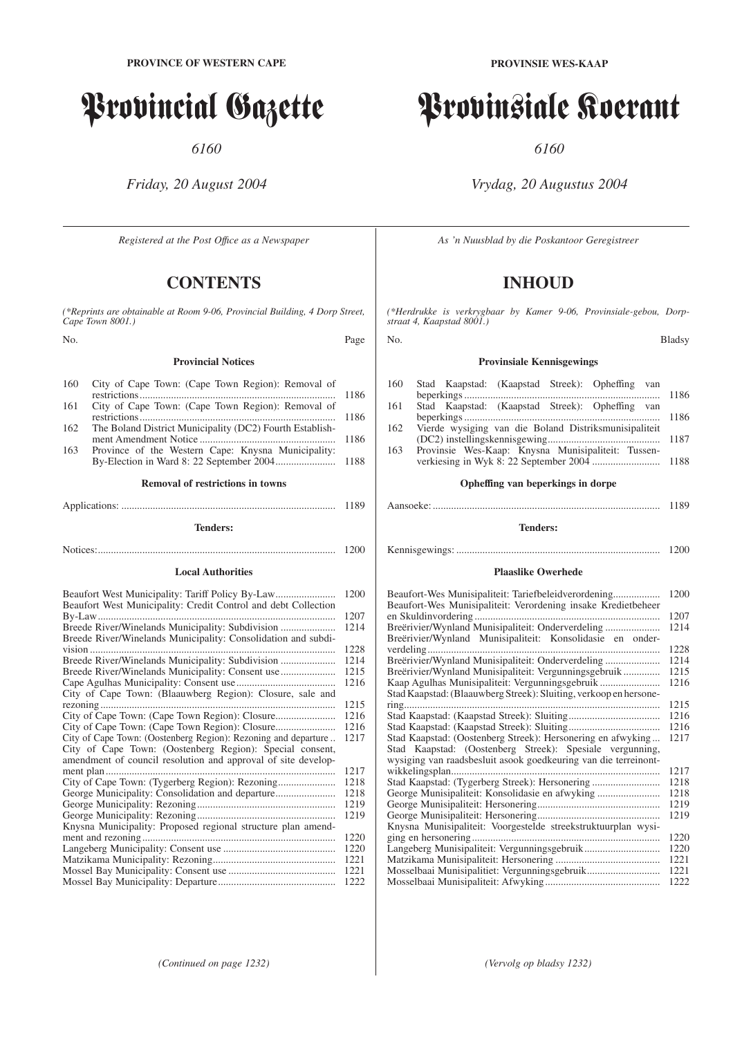# Provincial Gazette

*6160*

# *Friday, 20 August 2004*

*Registered at the Post Offıce as a Newspaper*

# **CONTENTS**

*(\*Reprints are obtainable at Room 9-06, Provincial Building, 4 Dorp Street, Cape Town 8001.)*

No. Page

#### **Provincial Notices**

| 160 | City of Cape Town: (Cape Town Region): Removal of        |  |
|-----|----------------------------------------------------------|--|
|     |                                                          |  |
| 161 | City of Cape Town: (Cape Town Region): Removal of        |  |
|     |                                                          |  |
| 162 | The Boland District Municipality (DC2) Fourth Establish- |  |
|     |                                                          |  |
|     |                                                          |  |

163 Province of the Western Cape: Knysna Municipality: By-Election in Ward 8: 22 September 2004....................... 1188

# **Removal of restrictions in towns** Applications: .................................................................................. 1189

#### **Tenders:**

Notices:........................................................................................... 1200

#### **Local Authorities**

| Beaufort West Municipality: Tariff Policy By-Law               | 1200 |
|----------------------------------------------------------------|------|
| Beaufort West Municipality: Credit Control and debt Collection |      |
|                                                                | 1207 |
|                                                                | 1214 |
| Breede River/Winelands Municipality: Consolidation and subdi-  |      |
|                                                                | 1228 |
|                                                                | 1214 |
|                                                                | 1215 |
|                                                                | 1216 |
| City of Cape Town: (Blaauwberg Region): Closure, sale and      |      |
|                                                                | 1215 |
|                                                                | 1216 |
|                                                                | 1216 |
| City of Cape Town: (Oostenberg Region): Rezoning and departure | 1217 |
| City of Cape Town: (Oostenberg Region): Special consent,       |      |
| amendment of council resolution and approval of site develop-  |      |
|                                                                | 1217 |
|                                                                | 1218 |
|                                                                | 1218 |
|                                                                | 1219 |
|                                                                | 1219 |
| Knysna Municipality: Proposed regional structure plan amend-   |      |
| ment and rezoning                                              | 1220 |
|                                                                | 1220 |
|                                                                | 1221 |
|                                                                | 1221 |
|                                                                | 1222 |

# Provinsiale Koerant

*6160*

# *Vrydag, 20 Augustus 2004*

*As 'n Nuusblad by die Poskantoor Geregistreer*

# **INHOUD**

*(\*Herdrukke is verkrygbaar by Kamer 9-06, Provinsiale-gebou, Dorpstraat 4, Kaapstad 8001.)*

#### No. Bladsy

## **Provinsiale Kennisgewings**

| 160 | Stad Kaapstad: (Kaapstad Streek): Opheffing van       | 1186 |
|-----|-------------------------------------------------------|------|
| 161 | Stad Kaapstad: (Kaapstad Streek): Opheffing van       | 1186 |
| 162 | Vierde wysiging van die Boland Distriksmunisipaliteit |      |
| 163 | Provinsie Wes-Kaap: Knysna Munisipaliteit: Tussen-    |      |

## **Opheffing van beperkings in dorpe**

#### Aansoeke: ....................................................................................... 1189

#### **Tenders:**

Kennisgewings: .............................................................................. 1200

## **Plaaslike Owerhede**

| Beaufort-Wes Munisipaliteit: Tariefbeleidverordening<br>Beaufort-Wes Munisipaliteit: Verordening insake Kredietbeheer | 1200 |
|-----------------------------------------------------------------------------------------------------------------------|------|
|                                                                                                                       | 1207 |
| Breërivier/Wynland Munisipaliteit: Onderverdeling                                                                     | 1214 |
| Breërivier/Wynland Munisipaliteit: Konsolidasie en onder-                                                             |      |
|                                                                                                                       | 1228 |
| Breërivier/Wynland Munisipaliteit: Onderverdeling                                                                     | 1214 |
| Breërivier/Wynland Munisipaliteit: Vergunningsgebruik                                                                 | 1215 |
| Kaap Agulhas Munisipaliteit: Vergunningsgebruik                                                                       | 1216 |
| Stad Kaapstad: (Blaauwberg Streek): Sluiting, verkoop en hersone-                                                     |      |
| ring                                                                                                                  | 1215 |
|                                                                                                                       | 1216 |
|                                                                                                                       | 1216 |
| Stad Kaapstad: (Oostenberg Streek): Hersonering en afwyking                                                           | 1217 |
| Stad Kaapstad: (Oostenberg Streek): Spesiale vergunning,                                                              |      |
| wysiging van raadsbesluit asook goedkeuring van die terreinont-                                                       |      |
|                                                                                                                       | 1217 |
| Stad Kaapstad: (Tygerberg Streek): Hersonering                                                                        | 1218 |
|                                                                                                                       | 1218 |
|                                                                                                                       | 1219 |
|                                                                                                                       | 1219 |
| Knysna Munisipaliteit: Voorgestelde streekstruktuurplan wysi-                                                         |      |
| ging en hersonering                                                                                                   | 1220 |
|                                                                                                                       | 1220 |
|                                                                                                                       | 1221 |
|                                                                                                                       |      |
| Mosselbaai Munisipalitiet: Vergunningsgebruik                                                                         | 1221 |
|                                                                                                                       | 1222 |

**PROVINSIE WES-KAAP**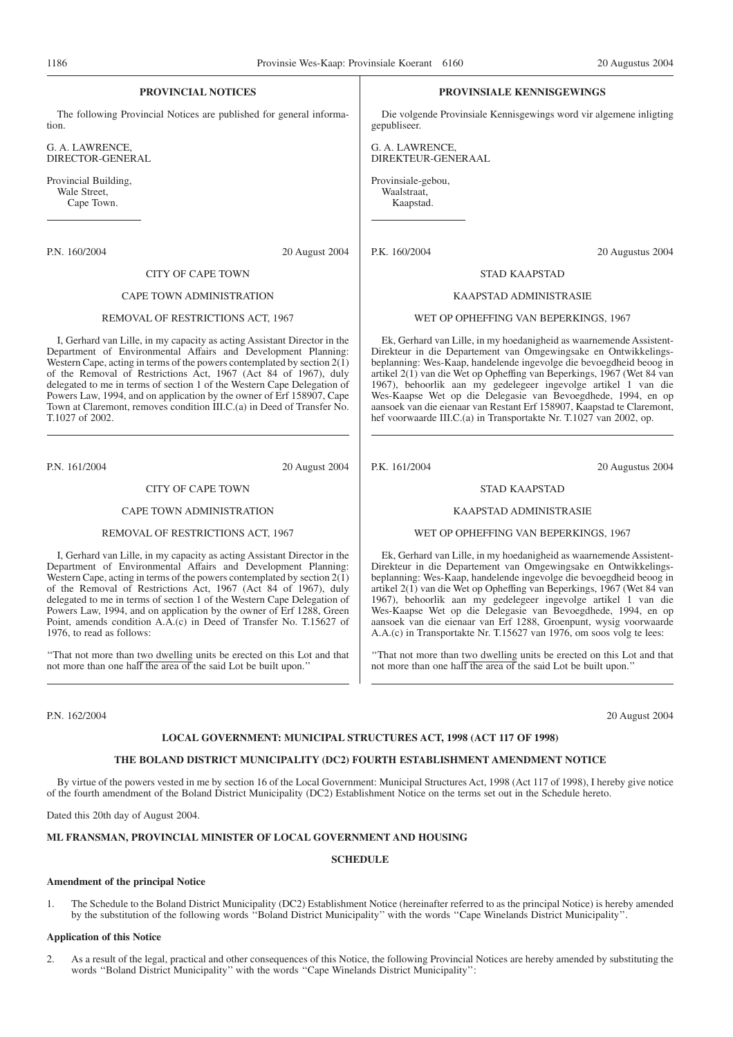#### **PROVINCIAL NOTICES**

The following Provincial Notices are published for general information.

G. A. LAWRENCE, DIRECTOR-GENERAL

Provincial Building, Wale Street, Cape Town.

P.N. 160/2004 20 August 2004

#### CITY OF CAPE TOWN

#### CAPE TOWN ADMINISTRATION

#### REMOVAL OF RESTRICTIONS ACT, 1967

I, Gerhard van Lille, in my capacity as acting Assistant Director in the Department of Environmental Affairs and Development Planning: Western Cape, acting in terms of the powers contemplated by section  $2(\tilde{1})$ of the Removal of Restrictions Act, 1967 (Act 84 of 1967), duly delegated to me in terms of section 1 of the Western Cape Delegation of Powers Law, 1994, and on application by the owner of Erf 158907, Cape Town at Claremont, removes condition III.C.(a) in Deed of Transfer No. T.1027 of 2002.

P.N. 161/2004 20 August 2004

#### CITY OF CAPE TOWN

#### CAPE TOWN ADMINISTRATION

#### REMOVAL OF RESTRICTIONS ACT, 1967

I, Gerhard van Lille, in my capacity as acting Assistant Director in the Department of Environmental Affairs and Development Planning: Western Cape, acting in terms of the powers contemplated by section  $2(1)$ of the Removal of Restrictions Act, 1967 (Act 84 of 1967), duly delegated to me in terms of section 1 of the Western Cape Delegation of Powers Law, 1994, and on application by the owner of Erf 1288, Green Point, amends condition A.A.(c) in Deed of Transfer No. T.15627 of 1976, to read as follows:

''That not more than two dwelling units be erected on this Lot and that not more than one half the area of the said Lot be built upon.''

P.N. 162/2004 20 August 2004

#### **LOCAL GOVERNMENT: MUNICIPAL STRUCTURES ACT, 1998 (ACT 117 OF 1998)**

#### **THE BOLAND DISTRICT MUNICIPALITY (DC2) FOURTH ESTABLISHMENT AMENDMENT NOTICE**

By virtue of the powers vested in me by section 16 of the Local Government: Municipal Structures Act, 1998 (Act 117 of 1998), I hereby give notice of the fourth amendment of the Boland District Municipality (DC2) Establishment Notice on the terms set out in the Schedule hereto.

Dated this 20th day of August 2004.

#### **ML FRANSMAN, PROVINCIAL MINISTER OF LOCAL GOVERNMENT AND HOUSING**

#### **SCHEDULE**

#### **Amendment of the principal Notice**

1. The Schedule to the Boland District Municipality (DC2) Establishment Notice (hereinafter referred to as the principal Notice) is hereby amended by the substitution of the following words ''Boland District Municipality'' with the words ''Cape Winelands District Municipality''.

#### **Application of this Notice**

2. As a result of the legal, practical and other consequences of this Notice, the following Provincial Notices are hereby amended by substituting the words ''Boland District Municipality'' with the words ''Cape Winelands District Municipality'':

#### **PROVINSIALE KENNISGEWINGS**

Die volgende Provinsiale Kennisgewings word vir algemene inligting gepubliseer.

G. A. LAWRENCE, DIREKTEUR-GENERAAL

Provinsiale-gebou, Waalstraat, Kaapstad.

P.K. 160/2004 20 Augustus 2004

#### STAD KAAPSTAD

#### KAAPSTAD ADMINISTRASIE

#### WET OP OPHEFFING VAN BEPERKINGS, 1967

Ek, Gerhard van Lille, in my hoedanigheid as waarnemende Assistent-Direkteur in die Departement van Omgewingsake en Ontwikkelingsbeplanning: Wes-Kaap, handelende ingevolge die bevoegdheid beoog in artikel 2(1) van die Wet op Opheffing van Beperkings, 1967 (Wet 84 van 1967), behoorlik aan my gedelegeer ingevolge artikel 1 van die Wes-Kaapse Wet op die Delegasie van Bevoegdhede, 1994, en op aansoek van die eienaar van Restant Erf 158907, Kaapstad te Claremont, hef voorwaarde III.C.(a) in Transportakte Nr. T.1027 van 2002, op.

P.K. 161/2004 20 Augustus 2004

#### STAD KAAPSTAD

#### KAAPSTAD ADMINISTRASIE

WET OP OPHEFFING VAN BEPERKINGS, 1967

Ek, Gerhard van Lille, in my hoedanigheid as waarnemende Assistent-Direkteur in die Departement van Omgewingsake en Ontwikkelingsbeplanning: Wes-Kaap, handelende ingevolge die bevoegdheid beoog in artikel 2(1) van die Wet op Opheffing van Beperkings, 1967 (Wet 84 van 1967), behoorlik aan my gedelegeer ingevolge artikel 1 van die Wes-Kaapse Wet op die Delegasie van Bevoegdhede, 1994, en op aansoek van die eienaar van Erf 1288, Groenpunt, wysig voorwaarde A.A.(c) in Transportakte Nr. T.15627 van 1976, om soos volg te lees:

"That not more than two dwelling units be erected on this Lot and that not more than one half the area of the said Lot be built upon.''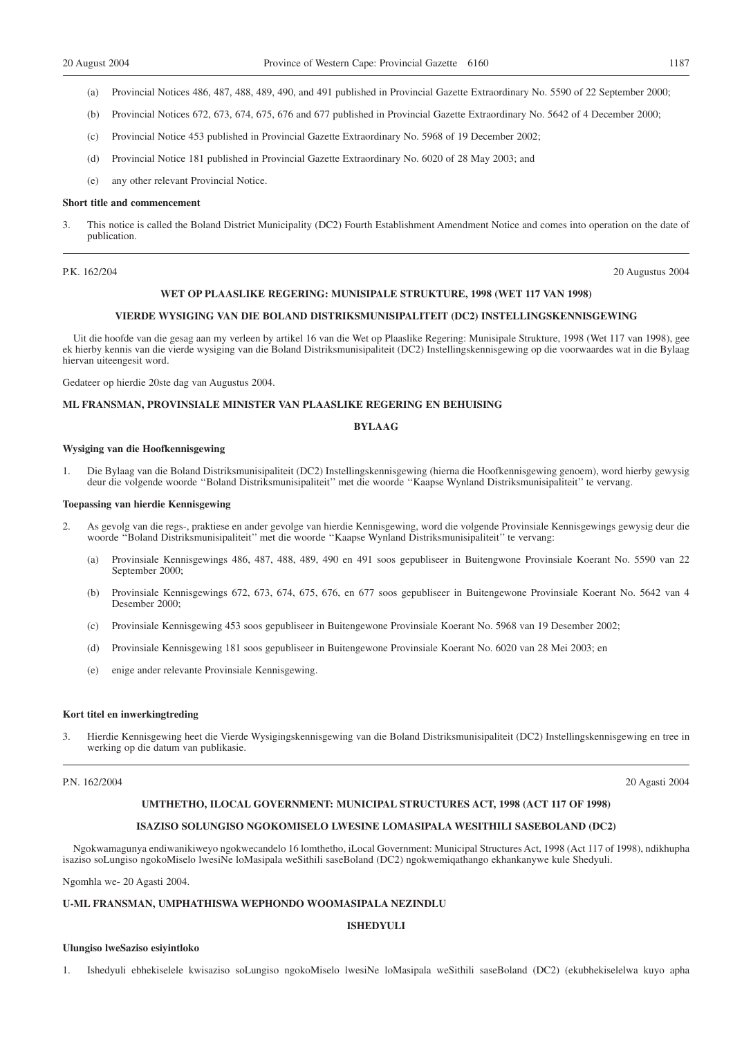- (a) Provincial Notices 486, 487, 488, 489, 490, and 491 published in Provincial Gazette Extraordinary No. 5590 of 22 September 2000;
- (b) Provincial Notices 672, 673, 674, 675, 676 and 677 published in Provincial Gazette Extraordinary No. 5642 of 4 December 2000;
- (c) Provincial Notice 453 published in Provincial Gazette Extraordinary No. 5968 of 19 December 2002;
- (d) Provincial Notice 181 published in Provincial Gazette Extraordinary No. 6020 of 28 May 2003; and
- (e) any other relevant Provincial Notice.

#### **Short title and commencement**

3. This notice is called the Boland District Municipality (DC2) Fourth Establishment Amendment Notice and comes into operation on the date of publication.

P.K. 162/204 20 Augustus 2004

#### **WET OP PLAASLIKE REGERING: MUNISIPALE STRUKTURE, 1998 (WET 117 VAN 1998)**

#### **VIERDE WYSIGING VAN DIE BOLAND DISTRIKSMUNISIPALITEIT (DC2) INSTELLINGSKENNISGEWING**

Uit die hoofde van die gesag aan my verleen by artikel 16 van die Wet op Plaaslike Regering: Munisipale Strukture, 1998 (Wet 117 van 1998), gee ek hierby kennis van die vierde wysiging van die Boland Distriksmunisipaliteit (DC2) Instellingskennisgewing op die voorwaardes wat in die Bylaag hiervan uiteengesit word.

Gedateer op hierdie 20ste dag van Augustus 2004.

#### **ML FRANSMAN, PROVINSIALE MINISTER VAN PLAASLIKE REGERING EN BEHUISING**

#### **BYLAAG**

#### **Wysiging van die Hoofkennisgewing**

1. Die Bylaag van die Boland Distriksmunisipaliteit (DC2) Instellingskennisgewing (hierna die Hoofkennisgewing genoem), word hierby gewysig deur die volgende woorde ''Boland Distriksmunisipaliteit'' met die woorde ''Kaapse Wynland Distriksmunisipaliteit'' te vervang.

#### **Toepassing van hierdie Kennisgewing**

- 2. As gevolg van die regs-, praktiese en ander gevolge van hierdie Kennisgewing, word die volgende Provinsiale Kennisgewings gewysig deur die woorde ''Boland Distriksmunisipaliteit'' met die woorde ''Kaapse Wynland Distriksmunisipaliteit'' te vervang:
	- (a) Provinsiale Kennisgewings 486, 487, 488, 489, 490 en 491 soos gepubliseer in Buitengwone Provinsiale Koerant No. 5590 van 22 September 2000;
	- (b) Provinsiale Kennisgewings 672, 673, 674, 675, 676, en 677 soos gepubliseer in Buitengewone Provinsiale Koerant No. 5642 van 4 Desember 2000;
	- (c) Provinsiale Kennisgewing 453 soos gepubliseer in Buitengewone Provinsiale Koerant No. 5968 van 19 Desember 2002;
	- (d) Provinsiale Kennisgewing 181 soos gepubliseer in Buitengewone Provinsiale Koerant No. 6020 van 28 Mei 2003; en
	- (e) enige ander relevante Provinsiale Kennisgewing.

#### **Kort titel en inwerkingtreding**

3. Hierdie Kennisgewing heet die Vierde Wysigingskennisgewing van die Boland Distriksmunisipaliteit (DC2) Instellingskennisgewing en tree in werking op die datum van publikasie.

#### P.N. 162/2004 20 Agasti 2004

#### **UMTHETHO, ILOCAL GOVERNMENT: MUNICIPAL STRUCTURES ACT, 1998 (ACT 117 OF 1998)**

#### **ISAZISO SOLUNGISO NGOKOMISELO LWESINE LOMASIPALA WESITHILI SASEBOLAND (DC2)**

Ngokwamagunya endiwanikiweyo ngokwecandelo 16 lomthetho, iLocal Government: Municipal Structures Act, 1998 (Act 117 of 1998), ndikhupha isaziso soLungiso ngokoMiselo lwesiNe loMasipala weSithili saseBoland (DC2) ngokwemiqathango ekhankanywe kule Shedyuli.

Ngomhla we- 20 Agasti 2004.

#### **U-ML FRANSMAN, UMPHATHISWA WEPHONDO WOOMASIPALA NEZINDLU**

#### **ISHEDYULI**

#### **Ulungiso lweSaziso esiyintloko**

1. Ishedyuli ebhekiselele kwisaziso soLungiso ngokoMiselo lwesiNe loMasipala weSithili saseBoland (DC2) (ekubhekiselelwa kuyo apha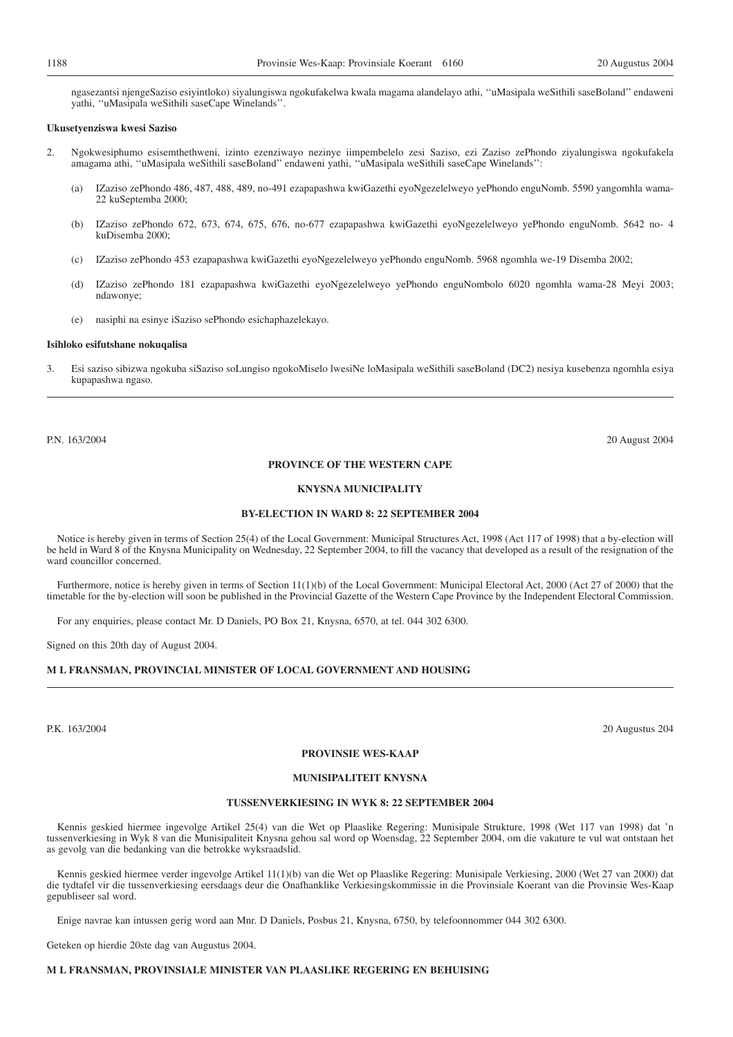ngasezantsi njengeSaziso esiyintloko) siyalungiswa ngokufakelwa kwala magama alandelayo athi, ''uMasipala weSithili saseBoland'' endaweni yathi, ''uMasipala weSithili saseCape Winelands''.

#### **Ukusetyenziswa kwesi Saziso**

- 2. Ngokwesiphumo esisemthethweni, izinto ezenziwayo nezinye iimpembelelo zesi Saziso, ezi Zaziso zePhondo ziyalungiswa ngokufakela amagama athi, ''uMasipala weSithili saseBoland'' endaweni yathi, ''uMasipala weSithili saseCape Winelands'':
	- (a) IZaziso zePhondo 486, 487, 488, 489, no-491 ezapapashwa kwiGazethi eyoNgezelelweyo yePhondo enguNomb. 5590 yangomhla wama-22 kuSeptemba 2000;
	- (b) IZaziso zePhondo 672, 673, 674, 675, 676, no-677 ezapapashwa kwiGazethi eyoNgezelelweyo yePhondo enguNomb. 5642 no- 4 kuDisemba 2000;
	- (c) IZaziso zePhondo 453 ezapapashwa kwiGazethi eyoNgezelelweyo yePhondo enguNomb. 5968 ngomhla we-19 Disemba 2002;
	- (d) IZaziso zePhondo 181 ezapapashwa kwiGazethi eyoNgezelelweyo yePhondo enguNombolo 6020 ngomhla wama-28 Meyi 2003; ndawonye;
	- (e) nasiphi na esinye iSaziso sePhondo esichaphazelekayo.

#### **Isihloko esifutshane nokuqalisa**

3. Esi saziso sibizwa ngokuba siSaziso soLungiso ngokoMiselo lwesiNe loMasipala weSithili saseBoland (DC2) nesiya kusebenza ngomhla esiya kupapashwa ngaso.

P.N. 163/2004 20 August 2004

#### **PROVINCE OF THE WESTERN CAPE**

#### **KNYSNA MUNICIPALITY**

#### **BY-ELECTION IN WARD 8: 22 SEPTEMBER 2004**

Notice is hereby given in terms of Section 25(4) of the Local Government: Municipal Structures Act, 1998 (Act 117 of 1998) that a by-election will be held in Ward 8 of the Knysna Municipality on Wednesday, 22 September 2004, to fill the vacancy that developed as a result of the resignation of the ward councillor concerned.

Furthermore, notice is hereby given in terms of Section 11(1)(b) of the Local Government: Municipal Electoral Act, 2000 (Act 27 of 2000) that the timetable for the by-election will soon be published in the Provincial Gazette of the Western Cape Province by the Independent Electoral Commission.

For any enquiries, please contact Mr. D Daniels, PO Box 21, Knysna, 6570, at tel. 044 302 6300.

Signed on this 20th day of August 2004.

#### **M L FRANSMAN, PROVINCIAL MINISTER OF LOCAL GOVERNMENT AND HOUSING**

P.K. 163/2004 20 Augustus 204

#### **PROVINSIE WES-KAAP**

#### **MUNISIPALITEIT KNYSNA**

#### **TUSSENVERKIESING IN WYK 8: 22 SEPTEMBER 2004**

Kennis geskied hiermee ingevolge Artikel 25(4) van die Wet op Plaaslike Regering: Munisipale Strukture, 1998 (Wet 117 van 1998) dat 'n tussenverkiesing in Wyk 8 van die Munisipaliteit Knysna gehou sal word op Woensdag, 22 September 2004, om die vakature te vul wat ontstaan het as gevolg van die bedanking van die betrokke wyksraadslid.

Kennis geskied hiermee verder ingevolge Artikel 11(1)(b) van die Wet op Plaaslike Regering: Munisipale Verkiesing, 2000 (Wet 27 van 2000) dat die tydtafel vir die tussenverkiesing eersdaags deur die Onafhanklike Verkiesingskommissie in die Provinsiale Koerant van die Provinsie Wes-Kaap gepubliseer sal word.

Enige navrae kan intussen gerig word aan Mnr. D Daniels, Posbus 21, Knysna, 6750, by telefoonnommer 044 302 6300.

Geteken op hierdie 20ste dag van Augustus 2004.

#### **M L FRANSMAN, PROVINSIALE MINISTER VAN PLAASLIKE REGERING EN BEHUISING**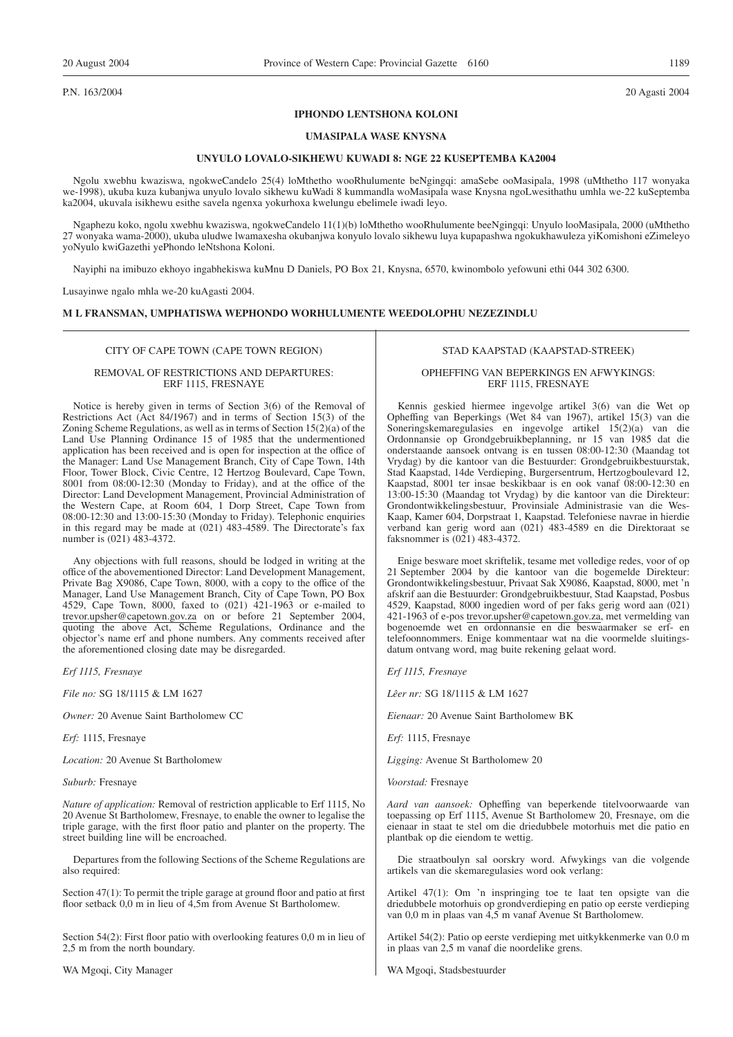P.N. 163/2004 20 Agasti 2004

#### **IPHONDO LENTSHONA KOLONI**

#### **UMASIPALA WASE KNYSNA**

#### **UNYULO LOVALO-SIKHEWU KUWADI 8: NGE 22 KUSEPTEMBA KA2004**

Ngolu xwebhu kwaziswa, ngokweCandelo 25(4) loMthetho wooRhulumente beNgingqi: amaSebe ooMasipala, 1998 (uMthetho 117 wonyaka we-1998), ukuba kuza kubanjwa unyulo lovalo sikhewu kuWadi 8 kummandla woMasipala wase Knysna ngoLwesithathu umhla we-22 kuSeptemba ka2004, ukuvala isikhewu esithe savela ngenxa yokurhoxa kwelungu ebelimele iwadi leyo.

Ngaphezu koko, ngolu xwebhu kwaziswa, ngokweCandelo 11(1)(b) loMthetho wooRhulumente beeNgingqi: Unyulo looMasipala, 2000 (uMthetho 27 wonyaka wama-2000), ukuba uludwe lwamaxesha okubanjwa konyulo lovalo sikhewu luya kupapashwa ngokukhawuleza yiKomishoni eZimeleyo yoNyulo kwiGazethi yePhondo leNtshona Koloni.

Nayiphi na imibuzo ekhoyo ingabhekiswa kuMnu D Daniels, PO Box 21, Knysna, 6570, kwinombolo yefowuni ethi 044 302 6300.

Lusayinwe ngalo mhla we-20 kuAgasti 2004.

#### **M L FRANSMAN, UMPHATISWA WEPHONDO WORHULUMENTE WEEDOLOPHU NEZEZINDLU**

#### CITY OF CAPE TOWN (CAPE TOWN REGION)

#### REMOVAL OF RESTRICTIONS AND DEPARTURES: ERF 1115, FRESNAYE

Notice is hereby given in terms of Section 3(6) of the Removal of Restrictions Act (Act 84/1967) and in terms of Section 15(3) of the Zoning Scheme Regulations, as well as in terms of Section  $15(2)(a)$  of the Land Use Planning Ordinance 15 of 1985 that the undermentioned application has been received and is open for inspection at the office of the Manager: Land Use Management Branch, City of Cape Town, 14th Floor, Tower Block, Civic Centre, 12 Hertzog Boulevard, Cape Town, 8001 from 08:00-12:30 (Monday to Friday), and at the office of the Director: Land Development Management, Provincial Administration of the Western Cape, at Room 604, 1 Dorp Street, Cape Town from 08:00-12:30 and 13:00-15:30 (Monday to Friday). Telephonic enquiries in this regard may be made at (021) 483-4589. The Directorate's fax number is (021) 483-4372.

Any objections with full reasons, should be lodged in writing at the office of the abovementioned Director: Land Development Management, Private Bag X9086, Cape Town, 8000, with a copy to the office of the Manager, Land Use Management Branch, City of Cape Town, PO Box 4529, Cape Town, 8000, faxed to (021) 421-1963 or e-mailed to trevor.upsher@capetown.gov.za on or before 21 September 2004, quoting the above Act, Scheme Regulations, Ordinance and the objector's name erf and phone numbers. Any comments received after the aforementioned closing date may be disregarded.

*Erf 1115, Fresnaye*

*File no:* SG 18/1115 & LM 1627

*Owner:* 20 Avenue Saint Bartholomew CC

*Erf:* 1115, Fresnaye

*Location:* 20 Avenue St Bartholomew

*Suburb:* Fresnaye

*Nature of application:* Removal of restriction applicable to Erf 1115, No 20 Avenue St Bartholomew, Fresnaye, to enable the owner to legalise the triple garage, with the first floor patio and planter on the property. The street building line will be encroached.

Departures from the following Sections of the Scheme Regulations are also required:

Section 47(1): To permit the triple garage at ground floor and patio at first floor setback 0,0 m in lieu of 4,5m from Avenue St Bartholomew.

Section 54(2): First floor patio with overlooking features 0,0 m in lieu of 2,5 m from the north boundary.

WA Mgoqi, City Manager

#### STAD KAAPSTAD (KAAPSTAD-STREEK)

#### OPHEFFING VAN BEPERKINGS EN AFWYKINGS: ERF 1115, FRESNAYE

Kennis geskied hiermee ingevolge artikel 3(6) van die Wet op Opheffing van Beperkings (Wet 84 van 1967), artikel 15(3) van die Soneringskemaregulasies en ingevolge artikel 15(2)(a) van die Ordonnansie op Grondgebruikbeplanning, nr 15 van 1985 dat die onderstaande aansoek ontvang is en tussen 08:00-12:30 (Maandag tot Vrydag) by die kantoor van die Bestuurder: Grondgebruikbestuurstak, Stad Kaapstad, 14de Verdieping, Burgersentrum, Hertzogboulevard 12, Kaapstad, 8001 ter insae beskikbaar is en ook vanaf 08:00-12:30 en 13:00-15:30 (Maandag tot Vrydag) by die kantoor van die Direkteur: Grondontwikkelingsbestuur, Provinsiale Administrasie van die Wes-Kaap, Kamer 604, Dorpstraat 1, Kaapstad. Telefoniese navrae in hierdie verband kan gerig word aan (021) 483-4589 en die Direktoraat se faksnommer is (021) 483-4372.

Enige besware moet skriftelik, tesame met volledige redes, voor of op 21 September 2004 by die kantoor van die bogemelde Direkteur: Grondontwikkelingsbestuur, Privaat Sak X9086, Kaapstad, 8000, met 'n afskrif aan die Bestuurder: Grondgebruikbestuur, Stad Kaapstad, Posbus 4529, Kaapstad, 8000 ingedien word of per faks gerig word aan (021) 421-1963 of e-pos trevor.upsher@capetown.gov.za, met vermelding van bogenoemde wet en ordonnansie en die beswaarmaker se erf- en telefoonnommers. Enige kommentaar wat na die voormelde sluitingsdatum ontvang word, mag buite rekening gelaat word.

*Erf 1115, Fresnaye*

*Lêer nr:* SG 18/1115 & LM 1627

*Eienaar:* 20 Avenue Saint Bartholomew BK

*Erf:* 1115, Fresnaye

*Ligging:* Avenue St Bartholomew 20

*Voorstad:* Fresnaye

*Aard van aansoek:* Opheffing van beperkende titelvoorwaarde van toepassing op Erf 1115, Avenue St Bartholomew 20, Fresnaye, om die eienaar in staat te stel om die driedubbele motorhuis met die patio en plantbak op die eiendom te wettig.

Die straatboulyn sal oorskry word. Afwykings van die volgende artikels van die skemaregulasies word ook verlang:

Artikel 47(1): Om 'n inspringing toe te laat ten opsigte van die driedubbele motorhuis op grondverdieping en patio op eerste verdieping van 0,0 m in plaas van 4,5 m vanaf Avenue St Bartholomew.

Artikel 54(2): Patio op eerste verdieping met uitkykkenmerke van 0.0 m in plaas van 2,5 m vanaf die noordelike grens.

WA Mgoqi, Stadsbestuurder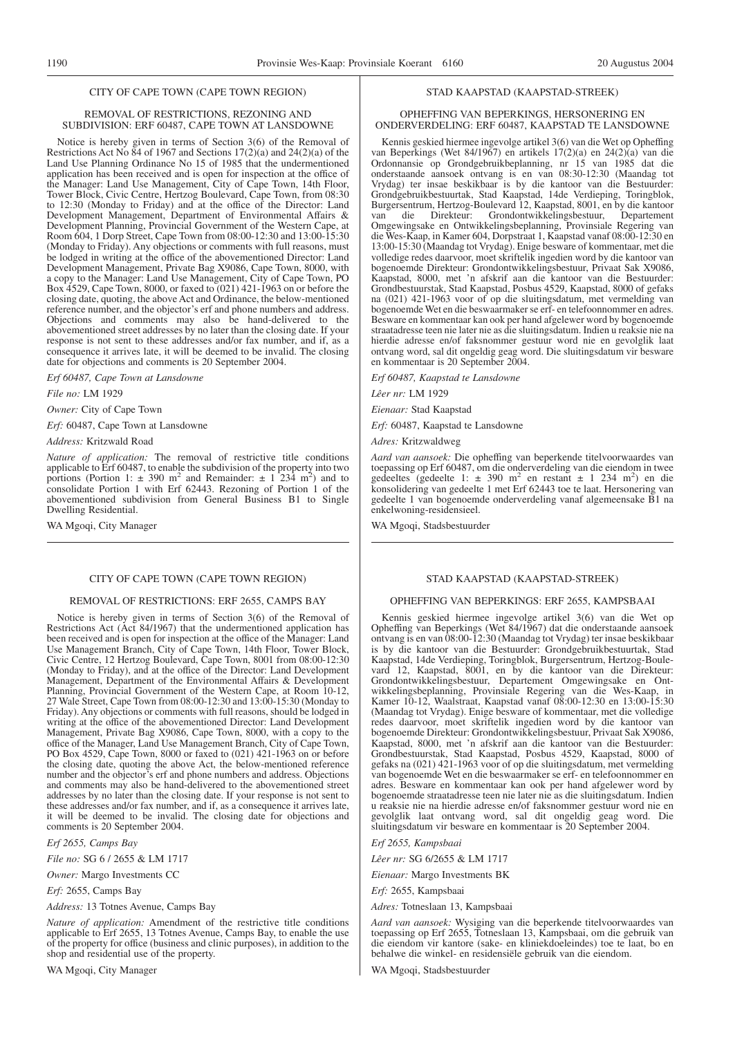#### CITY OF CAPE TOWN (CAPE TOWN REGION)

#### REMOVAL OF RESTRICTIONS, REZONING AND SUBDIVISION: ERF 60487, CAPE TOWN AT LANSDOWNE

Notice is hereby given in terms of Section 3(6) of the Removal of Restrictions Act No 84 of 1967 and Sections 17(2)(a) and 24(2)(a) of the Land Use Planning Ordinance No 15 of 1985 that the undermentioned application has been received and is open for inspection at the office of the Manager: Land Use Management, City of Cape Town, 14th Floor, Tower Block, Civic Centre, Hertzog Boulevard, Cape Town, from 08:30 to 12:30 (Monday to Friday) and at the office of the Director: Land Development Management, Department of Environmental Affairs & Development Planning, Provincial Government of the Western Cape, at Room 604, 1 Dorp Street, Cape Town from 08:00-12:30 and 13:00-15:30 (Monday to Friday). Any objections or comments with full reasons, must be lodged in writing at the office of the abovementioned Director: Land Development Management, Private Bag X9086, Cape Town, 8000, with a copy to the Manager: Land Use Management, City of Cape Town, PO Box 4529, Cape Town, 8000, or faxed to (021) 421-1963 on or before the closing date, quoting, the above Act and Ordinance, the below-mentioned reference number, and the objector's erf and phone numbers and address. Objections and comments may also be hand-delivered to the abovementioned street addresses by no later than the closing date. If your response is not sent to these addresses and/or fax number, and if, as a consequence it arrives late, it will be deemed to be invalid. The closing date for objections and comments is 20 September 2004.

*Erf 60487, Cape Town at Lansdowne*

*File no:* LM 1929

*Owner:* City of Cape Town

*Erf:* 60487, Cape Town at Lansdowne

*Address:* Kritzwald Road

*Nature of application:* The removal of restrictive title conditions applicable to Erf 60487, to enable the subdivision of the property into two portions (Portion 1:  $\pm$  390 m<sup>2</sup> and Remainder:  $\pm$  1 234 m<sup>2</sup>) and to consolidate Portion 1 with Erf 62443. Rezoning of Portion 1 of the abovementioned subdivision from General Business B1 to Single Dwelling Residential.

WA Mgoqi, City Manager

#### CITY OF CAPE TOWN (CAPE TOWN REGION)

#### REMOVAL OF RESTRICTIONS: ERF 2655, CAMPS BAY

Notice is hereby given in terms of Section 3(6) of the Removal of Restrictions Act (Act 84/1967) that the undermentioned application has been received and is open for inspection at the office of the Manager: Land Use Management Branch, City of Cape Town, 14th Floor, Tower Block, Civic Centre, 12 Hertzog Boulevard, Cape Town, 8001 from 08:00-12:30 (Monday to Friday), and at the office of the Director: Land Development Management, Department of the Environmental Affairs & Development Planning, Provincial Government of the Western Cape, at Room 10-12, 27 Wale Street, Cape Town from 08:00-12:30 and 13:00-15:30 (Monday to Friday). Any objections or comments with full reasons, should be lodged in writing at the office of the abovementioned Director: Land Development Management, Private Bag X9086, Cape Town, 8000, with a copy to the office of the Manager, Land Use Management Branch, City of Cape Town, PO Box 4529, Cape Town, 8000 or faxed to (021) 421-1963 on or before the closing date, quoting the above Act, the below-mentioned reference number and the objector's erf and phone numbers and address. Objections and comments may also be hand-delivered to the abovementioned street addresses by no later than the closing date. If your response is not sent to these addresses and/or fax number, and if, as a consequence it arrives late, it will be deemed to be invalid. The closing date for objections and comments is 20 September 2004.

*Erf 2655, Camps Bay*

*File no:* SG 6 / 2655 & LM 1717

*Owner:* Margo Investments CC

*Erf:* 2655, Camps Bay

*Address:* 13 Totnes Avenue, Camps Bay

*Nature of application:* Amendment of the restrictive title conditions applicable to Erf 2655, 13 Totnes Avenue, Camps Bay, to enable the use of the property for office (business and clinic purposes), in addition to the shop and residential use of the property.

WA Mgoqi, City Manager

#### STAD KAAPSTAD (KAAPSTAD-STREEK)

#### OPHEFFING VAN BEPERKINGS, HERSONERING EN ONDERVERDELING: ERF 60487, KAAPSTAD TE LANSDOWNE

Kennis geskied hiermee ingevolge artikel 3(6) van die Wet op Opheffing van Beperkings (Wet 84/1967) en artikels 17(2)(a) en 24(2)(a) van die Ordonnansie op Grondgebruikbeplanning, nr 15 van 1985 dat die onderstaande aansoek ontvang is en van 08:30-12:30 (Maandag tot Vrydag) ter insae beskikbaar is by die kantoor van die Bestuurder: Grondgebruikbestuurtak, Stad Kaapstad, 14de Verdieping, Toringblok, Burgersentrum, Hertzog-Boulevard 12, Kaapstad, 8001, en by die kantoor van die Direkteur: Grondontwikkelingsbestuur, Departement Omgewingsake en Ontwikkelingsbeplanning, Provinsiale Regering van die Wes-Kaap, in Kamer 604, Dorpstraat 1, Kaapstad vanaf 08:00-12:30 en 13:00-15:30 (Maandag tot Vrydag). Enige besware of kommentaar, met die volledige redes daarvoor, moet skriftelik ingedien word by die kantoor van bogenoemde Direkteur: Grondontwikkelingsbestuur, Privaat Sak X9086, Kaapstad, 8000, met 'n afskrif aan die kantoor van die Bestuurder: Grondbestuurstak, Stad Kaapstad, Posbus 4529, Kaapstad, 8000 of gefaks na (021) 421-1963 voor of op die sluitingsdatum, met vermelding van bogenoemde Wet en die beswaarmaker se erf- en telefoonnommer en adres. Besware en kommentaar kan ook per hand afgelewer word by bogenoemde straatadresse teen nie later nie as die sluitingsdatum. Indien u reaksie nie na hierdie adresse en/of faksnommer gestuur word nie en gevolglik laat ontvang word, sal dit ongeldig geag word. Die sluitingsdatum vir besware en kommentaar is 20 September 2004.

*Erf 60487, Kaapstad te Lansdowne*

*Lêer nr:* LM 1929

*Eienaar:* Stad Kaapstad

*Erf:* 60487, Kaapstad te Lansdowne

*Adres:* Kritzwaldweg

*Aard van aansoek:* Die opheffing van beperkende titelvoorwaardes van toepassing op Erf 60487, om die onderverdeling van die eiendom in twee gedeeltes (gedeelte  $1: \pm 390$  m<sup>2</sup> en restant  $\pm 1$  234 m<sup>2</sup>) en die konsolidering van gedeelte 1 met Erf 62443 toe te laat. Hersonering van gedeelte 1 van bogenoemde onderverdeling vanaf algemeensake B1 na enkelwoning-residensieel.

WA Mgoqi, Stadsbestuurder

#### STAD KAAPSTAD (KAAPSTAD-STREEK)

#### OPHEFFING VAN BEPERKINGS: ERF 2655, KAMPSBAAI

Kennis geskied hiermee ingevolge artikel 3(6) van die Wet op Opheffing van Beperkings (Wet 84/1967) dat die onderstaande aansoek ontvang is en van 08:00-12:30 (Maandag tot Vrydag) ter insae beskikbaar is by die kantoor van die Bestuurder: Grondgebruikbestuurtak, Stad Kaapstad, 14de Verdieping, Toringblok, Burgersentrum, Hertzog-Boulevard 12, Kaapstad, 8001, en by die kantoor van die Direkteur: Grondontwikkelingsbestuur, Departement Omgewingsake en Ontwikkelingsbeplanning, Provinsiale Regering van die Wes-Kaap, in Kamer 10-12, Waalstraat, Kaapstad vanaf 08:00-12:30 en 13:00-15:30 (Maandag tot Vrydag). Enige besware of kommentaar, met die volledige redes daarvoor, moet skriftelik ingedien word by die kantoor van bogenoemde Direkteur: Grondontwikkelingsbestuur, Privaat Sak X9086, Kaapstad, 8000, met 'n afskrif aan die kantoor van die Bestuurder: Grondbestuurstak, Stad Kaapstad, Posbus 4529, Kaapstad, 8000 of gefaks na (021) 421-1963 voor of op die sluitingsdatum, met vermelding van bogenoemde Wet en die beswaarmaker se erf- en telefoonnommer en adres. Besware en kommentaar kan ook per hand afgelewer word by bogenoemde straatadresse teen nie later nie as die sluitingsdatum. Indien u reaksie nie na hierdie adresse en/of faksnommer gestuur word nie en gevolglik laat ontvang word, sal dit ongeldig geag word. Die sluitingsdatum vir besware en kommentaar is 20 September 2004.

*Erf 2655, Kampsbaai*

*Lêer nr:* SG 6/2655 & LM 1717

*Eienaar:* Margo Investments BK

*Erf:* 2655, Kampsbaai

*Adres:* Totneslaan 13, Kampsbaai

*Aard van aansoek:* Wysiging van die beperkende titelvoorwaardes van toepassing op Erf 2655, Totneslaan 13, Kampsbaai, om die gebruik van die eiendom vir kantore (sake- en kliniekdoeleindes) toe te laat, bo en behalwe die winkel- en residensiële gebruik van die eiendom.

WA Mgoqi, Stadsbestuurder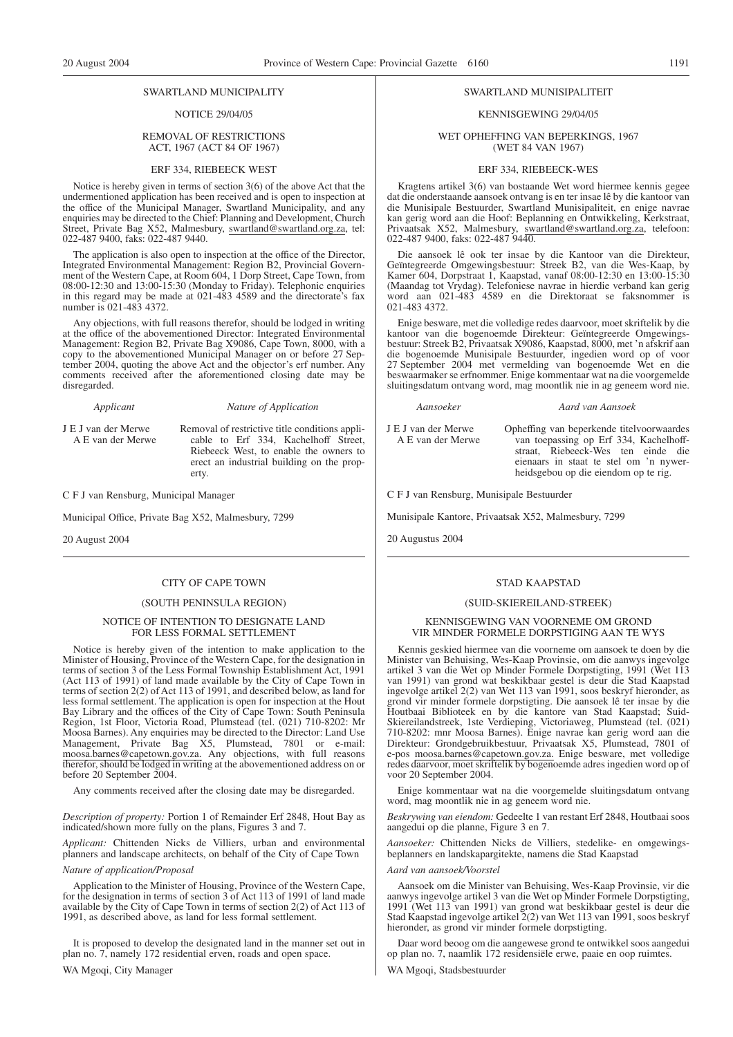#### SWARTLAND MUNICIPALITY

#### NOTICE 29/04/05

#### REMOVAL OF RESTRICTIONS ACT, 1967 (ACT 84 OF 1967)

#### ERF 334, RIEBEECK WEST

Notice is hereby given in terms of section 3(6) of the above Act that the undermentioned application has been received and is open to inspection at the office of the Municipal Manager, Swartland Municipality, and any enquiries may be directed to the Chief: Planning and Development, Church Street, Private Bag X52, Malmesbury, swartland@swartland.org.za, tel: 022-487 9400, faks: 022-487 9440.

The application is also open to inspection at the office of the Director, Integrated Environmental Management: Region B2, Provincial Government of the Western Cape, at Room 604, 1 Dorp Street, Cape Town, from 08:00-12:30 and 13:00-15:30 (Monday to Friday). Telephonic enquiries in this regard may be made at 021-483 4589 and the directorate's fax number is 021-483 4372.

Any objections, with full reasons therefor, should be lodged in writing at the office of the abovementioned Director: Integrated Environmental Management: Region B2, Private Bag X9086, Cape Town, 8000, with a copy to the abovementioned Municipal Manager on or before 27 September 2004, quoting the above Act and the objector's erf number. Any comments received after the aforementioned closing date may be disregarded.

#### *Applicant Nature of Application*

J E J van der Merwe A E van der Merwe Removal of restrictive title conditions applicable to Erf 334, Kachelhoff Street, Riebeeck West, to enable the owners to erect an industrial building on the property.

C F J van Rensburg, Municipal Manager

Municipal Office, Private Bag X52, Malmesbury, 7299

20 August 2004

#### CITY OF CAPE TOWN

#### (SOUTH PENINSULA REGION)

#### NOTICE OF INTENTION TO DESIGNATE LAND FOR LESS FORMAL SETTLEMENT

Notice is hereby given of the intention to make application to the Minister of Housing, Province of the Western Cape, for the designation in terms of section 3 of the Less Formal Township Establishment Act, 1991 (Act 113 of 1991) of land made available by the City of Cape Town in terms of section 2(2) of Act 113 of 1991, and described below, as land for less formal settlement. The application is open for inspection at the Hout Bay Library and the offices of the City of Cape Town: South Peninsula Region, 1st Floor, Victoria Road, Plumstead (tel. (021) 710-8202: Mr Moosa Barnes). Any enquiries may be directed to the Director: Land Use Management, Private Bag X5, Plumstead, 7801 or e-mail: moosa.barnes@capetown.gov.za. Any objections, with full reasons therefor, should be lodged in writing at the abovementioned address on or before 20 September 2004.

Any comments received after the closing date may be disregarded.

*Description of property:* Portion 1 of Remainder Erf 2848, Hout Bay as indicated/shown more fully on the plans, Figures 3 and 7.

*Applicant:* Chittenden Nicks de Villiers, urban and environmental planners and landscape architects, on behalf of the City of Cape Town

#### *Nature of application/Proposal*

Application to the Minister of Housing, Province of the Western Cape, for the designation in terms of section 3 of Act 113 of 1991 of land made available by the City of Cape Town in terms of section 2(2) of Act 113 of 1991, as described above, as land for less formal settlement.

It is proposed to develop the designated land in the manner set out in plan no. 7, namely 172 residential erven, roads and open space. WA Mgoqi, City Manager

#### SWARTLAND MUNISIPALITEIT

#### KENNISGEWING 29/04/05

WET OPHEFFING VAN BEPERKINGS, 1967 (WET 84 VAN 1967)

#### ERF 334, RIEBEECK-WES

Kragtens artikel 3(6) van bostaande Wet word hiermee kennis gegee dat die onderstaande aansoek ontvang is en ter insae lê by die kantoor van die Munisipale Bestuurder, Swartland Munisipaliteit, en enige navrae kan gerig word aan die Hoof: Beplanning en Ontwikkeling, Kerkstraat, Privaatsak X52, Malmesbury, swartland@swartland.org.za, telefoon: 022-487 9400, faks: 022-487 9440.

Die aansoek lê ook ter insae by die Kantoor van die Direkteur, Geïntegreerde Omgewingsbestuur: Streek B2, van die Wes-Kaap, by Kamer 604, Dorpstraat 1, Kaapstad, vanaf 08:00-12:30 en 13:00-15:30 (Maandag tot Vrydag). Telefoniese navrae in hierdie verband kan gerig word aan 021-483 4589 en die Direktoraat se faksnommer is 021-483 4372.

Enige besware, met die volledige redes daarvoor, moet skriftelik by die kantoor van die bogenoemde Direkteur: Geïntegreerde Omgewingsbestuur: Streek B2, Privaatsak X9086, Kaapstad, 8000, met 'n afskrif aan die bogenoemde Munisipale Bestuurder, ingedien word op of voor 27 September 2004 met vermelding van bogenoemde Wet en die beswaarmaker se erfnommer. Enige kommentaar wat na die voorgemelde sluitingsdatum ontvang word, mag moontlik nie in ag geneem word nie.

*Aansoeker Aard van Aansoek*

J E J van der Merwe A E van der Merwe

Opheffing van beperkende titelvoorwaardes van toepassing op Erf 334, Kachelhoffstraat, Riebeeck-Wes ten einde die eienaars in staat te stel om 'n nywerheidsgebou op die eiendom op te rig.

C F J van Rensburg, Munisipale Bestuurder

Munisipale Kantore, Privaatsak X52, Malmesbury, 7299

20 Augustus 2004

#### STAD KAAPSTAD

#### (SUID-SKIEREILAND-STREEK)

#### KENNISGEWING VAN VOORNEME OM GROND VIR MINDER FORMELE DORPSTIGING AAN TE WYS

Kennis geskied hiermee van die voorneme om aansoek te doen by die Minister van Behuising, Wes-Kaap Provinsie, om die aanwys ingevolge artikel 3 van die Wet op Minder Formele Dorpstigting, 1991 (Wet 113 van 1991) van grond wat beskikbaar gestel is deur die Stad Kaapstad ingevolge artikel 2(2) van Wet 113 van 1991, soos beskryf hieronder, as grond vir minder formele dorpstigting. Die aansoek lê ter insae by die Houtbaai Biblioteek en by die kantore van Stad Kaapstad; Suid-Skiereilandstreek, 1ste Verdieping, Victoriaweg, Plumstead (tel. (021) 710-8202: mnr Moosa Barnes). Enige navrae kan gerig word aan die Direkteur: Grondgebruikbestuur, Privaatsak X5, Plumstead, 7801 of e-pos moosa.barnes@capetown.gov.za. Enige besware, met volledige redes daarvoor, moet skriftelik by bogenoemde adres ingedien word op of voor 20 September 2004.

Enige kommentaar wat na die voorgemelde sluitingsdatum ontvang word, mag moontlik nie in ag geneem word nie.

*Beskrywing van eiendom:* Gedeelte 1 van restant Erf 2848, Houtbaai soos aangedui op die planne, Figure 3 en 7.

*Aansoeker:* Chittenden Nicks de Villiers, stedelike- en omgewingsbeplanners en landskapargitekte, namens die Stad Kaapstad

#### *Aard van aansoek/Voorstel*

Aansoek om die Minister van Behuising, Wes-Kaap Provinsie, vir die aanwys ingevolge artikel 3 van die Wet op Minder Formele Dorpstigting, 1991 (Wet 113 van 1991) van grond wat beskikbaar gestel is deur die Stad Kaapstad ingevolge artikel 2(2) van Wet 113 van 1991, soos beskryf hieronder, as grond vir minder formele dorpstigting.

Daar word beoog om die aangewese grond te ontwikkel soos aangedui op plan no. 7, naamlik 172 residensiële erwe, paaie en oop ruimtes.

WA Mgoqi, Stadsbestuurder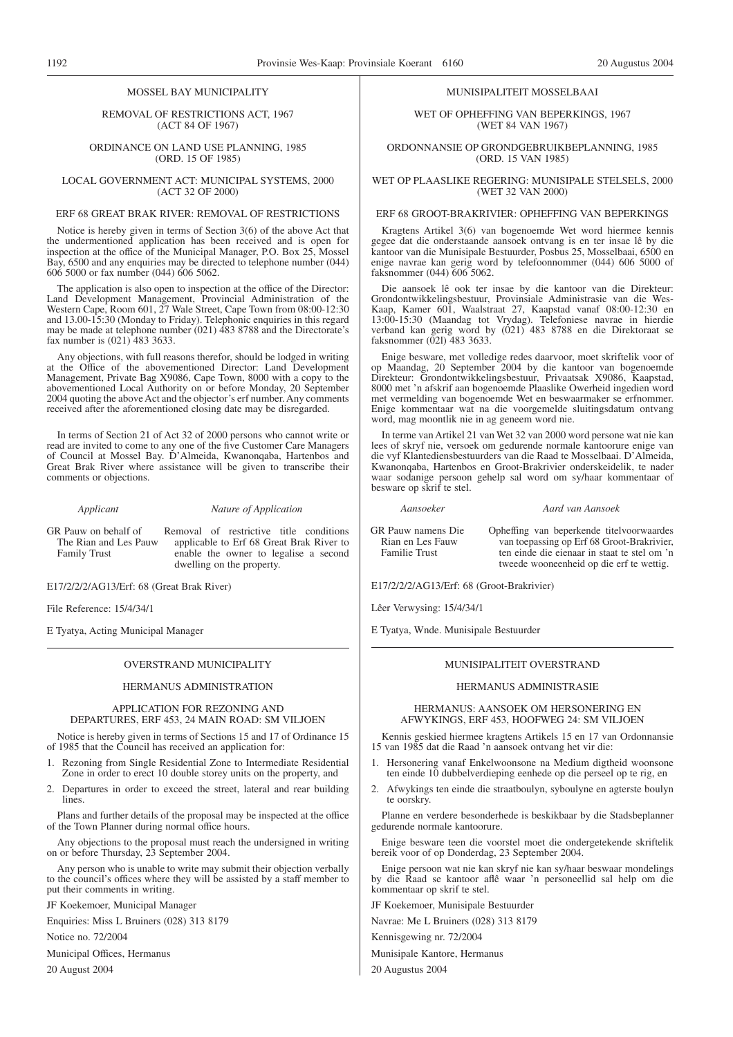# MUNISIPALITEIT MOSSELBAAI WET OF OPHEFFING VAN BEPERKINGS, 1967 (WET 84 VAN 1967)

#### ORDONNANSIE OP GRONDGEBRUIKBEPLANNING, 1985 (ORD. 15 VAN 1985)

WET OP PLAASLIKE REGERING: MUNISIPALE STELSELS, 2000 (WET 32 VAN 2000)

#### ERF 68 GROOT-BRAKRIVIER: OPHEFFING VAN BEPERKINGS

Kragtens Artikel 3(6) van bogenoemde Wet word hiermee kennis gegee dat die onderstaande aansoek ontvang is en ter insae lê by die kantoor van die Munisipale Bestuurder, Posbus 25, Mosselbaai, 6500 en enige navrae kan gerig word by telefoonnommer (044) 606 5000 of faksnommer (044) 606 5062.

Die aansoek lê ook ter insae by die kantoor van die Direkteur: Grondontwikkelingsbestuur, Provinsiale Administrasie van die Wes-Kaap, Kamer 601, Waalstraat 27, Kaapstad vanaf 08:00-12:30 en 13:00-15:30 (Maandag tot Vrydag). Telefoniese navrae in hierdie verband kan gerig word by (021) 483 8788 en die Direktoraat se faksnommer (02l) 483 3633.

Enige besware, met volledige redes daarvoor, moet skriftelik voor of op Maandag, 20 September 2004 by die kantoor van bogenoemde Direkteur: Grondontwikkelingsbestuur, Privaatsak X9086, Kaapstad, 8000 met 'n afskrif aan bogenoemde Plaaslike Owerheid ingedien word met vermelding van bogenoemde Wet en beswaarmaker se erfnommer. Enige kommentaar wat na die voorgemelde sluitingsdatum ontvang word, mag moontlik nie in ag geneem word nie.

In terme van Artikel 21 van Wet 32 van 2000 word persone wat nie kan lees of skryf nie, versoek om gedurende normale kantoorure enige van die vyf Klantediensbestuurders van die Raad te Mosselbaai. D'Almeida, Kwanonqaba, Hartenbos en Groot-Brakrivier onderskeidelik, te nader waar sodanige persoon gehelp sal word om sy/haar kommentaar of besware op skrif te stel.

#### *Aansoeker Aard van Aansoek*

GR Pauw namens Die Rian en Les Fauw Familie Trust Opheffing van beperkende titelvoorwaardes van toepassing op Erf 68 Groot-Brakrivier, ten einde die eienaar in staat te stel om 'n tweede wooneenheid op die erf te wettig.

E17/2/2/2/AG13/Erf: 68 (Groot-Brakrivier)

Lêer Verwysing: 15/4/34/1

E Tyatya, Wnde. Munisipale Bestuurder

#### MUNISIPALITEIT OVERSTRAND

#### HERMANUS ADMINISTRASIE

HERMANUS: AANSOEK OM HERSONERING EN AFWYKINGS, ERF 453, HOOFWEG 24: SM VILJOEN

Kennis geskied hiermee kragtens Artikels 15 en 17 van Ordonnansie 15 van 1985 dat die Raad 'n aansoek ontvang het vir die:

- 1. Hersonering vanaf Enkelwoonsone na Medium digtheid woonsone ten einde 10 dubbelverdieping eenhede op die perseel op te rig, en
- 2. Afwykings ten einde die straatboulyn, syboulyne en agterste boulyn te oorskry.

Planne en verdere besonderhede is beskikbaar by die Stadsbeplanner gedurende normale kantoorure.

Enige besware teen die voorstel moet die ondergetekende skriftelik bereik voor of op Donderdag, 23 September 2004.

Enige persoon wat nie kan skryf nie kan sy/haar beswaar mondelings by die Raad se kantoor aflê waar 'n personeellid sal help om die kommentaar op skrif te stel.

JF Koekemoer, Munisipale Bestuurder

Navrae: Me L Bruiners (028) 313 8179

Kennisgewing nr. 72/2004

Munisipale Kantore, Hermanus

20 Augustus 2004

#### MOSSEL BAY MUNICIPALITY

REMOVAL OF RESTRICTIONS ACT, 1967 (ACT 84 OF 1967)

ORDINANCE ON LAND USE PLANNING, 1985 (ORD. 15 OF 1985)

LOCAL GOVERNMENT ACT: MUNICIPAL SYSTEMS, 2000 (ACT 32 OF 2000)

#### ERF 68 GREAT BRAK RIVER: REMOVAL OF RESTRICTIONS

Notice is hereby given in terms of Section 3(6) of the above Act that the undermentioned application has been received and is open for inspection at the office of the Municipal Manager, P.O. Box 25, Mossel Bay, 6500 and any enquiries may be directed to telephone number (044) 606 5000 or fax number (044) 606 5062.

The application is also open to inspection at the office of the Director: Land Development Management, Provincial Administration of the Western Cape, Room 601, 27 Wale Street, Cape Town from 08:00-12:30 and 13.00-15:30 (Monday to Friday). Telephonic enquiries in this regard may be made at telephone number (021) 483 8788 and the Directorate's fax number is (021) 483 3633.

Any objections, with full reasons therefor, should be lodged in writing at the Office of the abovementioned Director: Land Development Management, Private Bag X9086, Cape Town, 8000 with a copy to the abovementioned Local Authority on or before Monday, 20 September 2004 quoting the above Act and the objector's erf number. Any comments received after the aforementioned closing date may be disregarded.

In terms of Section 21 of Act 32 of 2000 persons who cannot write or read are invited to come to any one of the five Customer Care Managers of Council at Mossel Bay. D'Almeida, Kwanonqaba, Hartenbos and Great Brak River where assistance will be given to transcribe their comments or objections.

#### *Applicant Nature of Application*

GR Pauw on behalf of The Rian and Les Pauw Family Trust Removal of restrictive title conditions applicable to Erf 68 Great Brak River to enable the owner to legalise a second dwelling on the property.

E17/2/2/2/AG13/Erf: 68 (Great Brak River)

File Reference: 15/4/34/1

E Tyatya, Acting Municipal Manager

#### OVERSTRAND MUNICIPALITY

#### HERMANUS ADMINISTRATION

#### APPLICATION FOR REZONING AND DEPARTURES, ERF 453, 24 MAIN ROAD: SM VILJOEN

Notice is hereby given in terms of Sections 15 and 17 of Ordinance 15 of 1985 that the Council has received an application for:

- 1. Rezoning from Single Residential Zone to Intermediate Residential Zone in order to erect 10 double storey units on the property, and
- 2. Departures in order to exceed the street, lateral and rear building lines.

Plans and further details of the proposal may be inspected at the office of the Town Planner during normal office hours.

Any objections to the proposal must reach the undersigned in writing on or before Thursday, 23 September 2004.

Any person who is unable to write may submit their objection verbally to the council's offices where they will be assisted by a staff member to put their comments in writing.

JF Koekemoer, Municipal Manager

Enquiries: Miss L Bruiners (028) 313 8179

Notice no. 72/2004

Municipal Offices, Hermanus

20 August 2004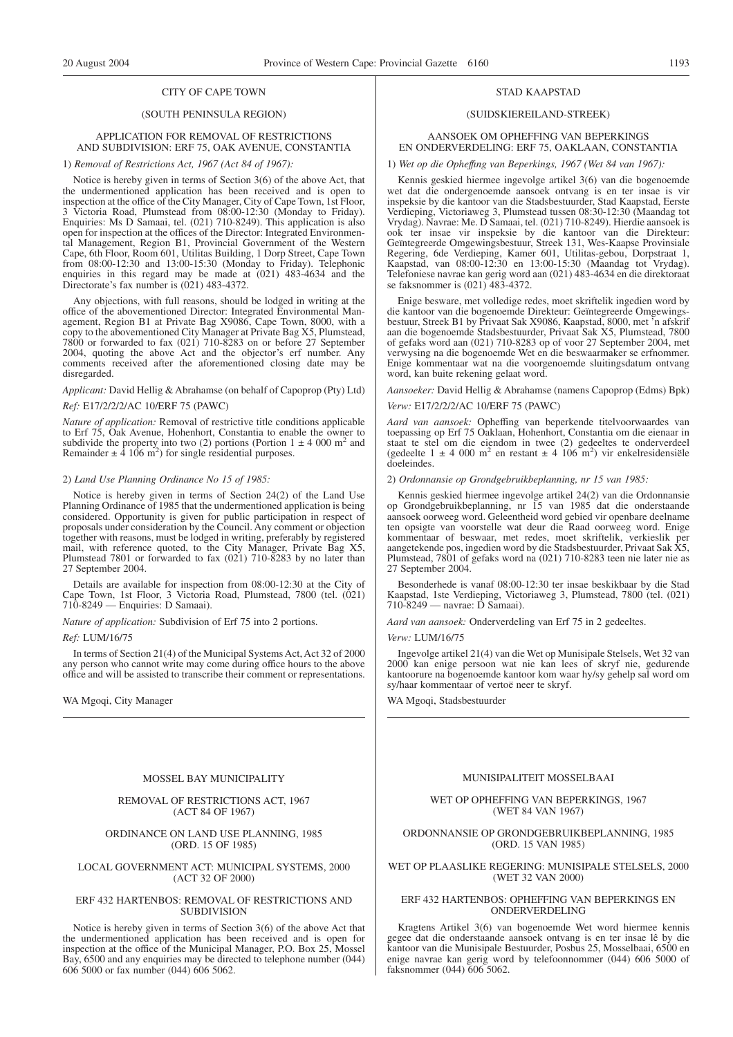#### CITY OF CAPE TOWN

## (SOUTH PENINSULA REGION)

#### APPLICATION FOR REMOVAL OF RESTRICTIONS AND SUBDIVISION: ERF 75, OAK AVENUE, CONSTANTIA

#### 1) *Removal of Restrictions Act, 1967 (Act 84 of 1967):*

Notice is hereby given in terms of Section 3(6) of the above Act, that the undermentioned application has been received and is open to inspection at the office of the City Manager, City of Cape Town, 1st Floor, 3 Victoria Road, Plumstead from 08:00-12:30 (Monday to Friday). Enquiries: Ms D Samaai, tel. (021) 710-8249). This application is also open for inspection at the offices of the Director: Integrated Environmental Management, Region B1, Provincial Government of the Western Cape, 6th Floor, Room 601, Utilitas Building, 1 Dorp Street, Cape Town from 08:00-12:30 and 13:00-15:30 (Monday to Friday). Telephonic enquiries in this regard may be made at (021) 483-4634 and the Directorate's fax number is (021) 483-4372.

Any objections, with full reasons, should be lodged in writing at the office of the abovementioned Director: Integrated Environmental Management, Region B1 at Private Bag X9086, Cape Town, 8000, with a copy to the abovementioned City Manager at Private Bag X5, Plumstead, 7800 or forwarded to fax (021) 710-8283 on or before 27 September 2004, quoting the above Act and the objector's erf number. Any comments received after the aforementioned closing date may be disregarded.

# *Applicant:* David Hellig & Abrahamse (on behalf of Capoprop (Pty) Ltd)

#### *Ref:* E17/2/2/2/AC 10/ERF 75 (PAWC)

*Nature of application:* Removal of restrictive title conditions applicable to Erf 75, Oak Avenue, Hohenhort, Constantia to enable the owner to subdivide the property into two (2) portions (Portion  $1 \pm 4000$  m<sup>2</sup> and Remainder  $\pm 4.106$  m<sup>2</sup>) for single residential purposes.

#### 2) *Land Use Planning Ordinance No 15 of 1985:*

Notice is hereby given in terms of Section 24(2) of the Land Use Planning Ordinance of 1985 that the undermentioned application is being considered. Opportunity is given for public participation in respect of proposals under consideration by the Council. Any comment or objection together with reasons, must be lodged in writing, preferably by registered mail, with reference quoted, to the City Manager, Private Bag X5, Plumstead 7801 or forwarded to fax (021) 710-8283 by no later than 27 September 2004.

Details are available for inspection from 08:00-12:30 at the City of Cape Town, 1st Floor, 3 Victoria Road, Plumstead, 7800 (tel. (021) 710-8249 — Enquiries: D Samaai).

*Nature of application:* Subdivision of Erf 75 into 2 portions.

#### *Ref:* LUM/16/75

In terms of Section 21(4) of the Municipal Systems Act, Act 32 of 2000 any person who cannot write may come during office hours to the above office and will be assisted to transcribe their comment or representations.

WA Mgoqi, City Manager

#### MOSSEL BAY MUNICIPALITY

#### REMOVAL OF RESTRICTIONS ACT, 1967 (ACT 84 OF 1967)

#### ORDINANCE ON LAND USE PLANNING, 1985 (ORD. 15 OF 1985)

#### LOCAL GOVERNMENT ACT: MUNICIPAL SYSTEMS, 2000 (ACT 32 OF 2000)

#### ERF 432 HARTENBOS: REMOVAL OF RESTRICTIONS AND SUBDIVISION

Notice is hereby given in terms of Section 3(6) of the above Act that the undermentioned application has been received and is open for inspection at the office of the Municipal Manager, P.O. Box 25, Mossel Bay, 6500 and any enquiries may be directed to telephone number (044) 606 5000 or fax number (044) 606 5062.

#### STAD KAAPSTAD

#### (SUIDSKIEREILAND-STREEK)

#### AANSOEK OM OPHEFFING VAN BEPERKINGS EN ONDERVERDELING: ERF 75, OAKLAAN, CONSTANTIA

#### 1) *Wet op die Opheffıng van Beperkings, 1967 (Wet 84 van 1967):*

Kennis geskied hiermee ingevolge artikel 3(6) van die bogenoemde wet dat die ondergenoemde aansoek ontvang is en ter insae is vir inspeksie by die kantoor van die Stadsbestuurder, Stad Kaapstad, Eerste Verdieping, Victoriaweg 3, Plumstead tussen 08:30-12:30 (Maandag tot Vrydag). Navrae: Me. D Samaai, tel. (021) 710-8249). Hierdie aansoek is ook ter insae vir inspeksie by die kantoor van die Direkteur: Geïntegreerde Omgewingsbestuur, Streek 131, Wes-Kaapse Provinsiale Regering, 6de Verdieping, Kamer 601, Utilitas-gebou, Dorpstraat 1, Kaapstad, van 08:00-12:30 en 13:00-15:30 (Maandag tot Vrydag). Telefoniese navrae kan gerig word aan (021) 483-4634 en die direktoraat se faksnommer is (021) 483-4372.

Enige besware, met volledige redes, moet skriftelik ingedien word by die kantoor van die bogenoemde Direkteur: Geïntegreerde Omgewingsbestuur, Streek B1 by Privaat Sak X9086, Kaapstad, 8000, met 'n afskrif aan die bogenoemde Stadsbestuurder, Privaat Sak X5, Plumstead, 7800 of gefaks word aan (021) 710-8283 op of voor 27 September 2004, met verwysing na die bogenoemde Wet en die beswaarmaker se erfnommer. Enige kommentaar wat na die voorgenoemde sluitingsdatum ontvang word, kan buite rekening gelaat word.

*Aansoeker:* David Hellig & Abrahamse (namens Capoprop (Edms) Bpk) *Verw:* E17/2/2/2/AC 10/ERF 75 (PAWC)

*Aard van aansoek:* Opheffing van beperkende titelvoorwaardes van toepassing op Erf 75 Oaklaan, Hohenhort, Constantia om die eienaar in staat te stel om die eiendom in twee (2) gedeeltes te onderverdeel (gedeelte  $1 \pm 4$  000 m<sup>2</sup> en restant  $\pm 4$  106 m<sup>2</sup>) vir enkelresidensiële doeleindes.

#### 2) *Ordonnansie op Grondgebruikbeplanning, nr 15 van 1985:*

Kennis geskied hiermee ingevolge artikel 24(2) van die Ordonnansie op Grondgebruikbeplanning, nr 15 van 1985 dat die onderstaande aansoek oorweeg word. Geleentheid word gebied vir openbare deelname ten opsigte van voorstelle wat deur die Raad oorweeg word. Enige kommentaar of beswaar, met redes, moet skriftelik, verkieslik per aangetekende pos, ingedien word by die Stadsbestuurder, Privaat Sak X5, Plumstead, 7801 of gefaks word na (021) 710-8283 teen nie later nie as 27 September 2004.

Besonderhede is vanaf 08:00-12:30 ter insae beskikbaar by die Stad Kaapstad, 1ste Verdieping, Victoriaweg 3, Plumstead, 7800 (tel. (021) 710-8249 — navrae: D Samaai).

*Aard van aansoek:* Onderverdeling van Erf 75 in 2 gedeeltes.

#### *Verw:* LUM/16/75

Ingevolge artikel 21(4) van die Wet op Munisipale Stelsels, Wet 32 van 2000 kan enige persoon wat nie kan lees of skryf nie, gedurende kantoorure na bogenoemde kantoor kom waar hy/sy gehelp sal word om sy/haar kommentaar of vertoë neer te skryf.

WA Mgoqi, Stadsbestuurder

#### MUNISIPALITEIT MOSSELBAAI

#### WET OP OPHEFFING VAN BEPERKINGS, 1967 (WET 84 VAN 1967)

#### ORDONNANSIE OP GRONDGEBRUIKBEPLANNING, 1985 (ORD. 15 VAN 1985)

#### WET OP PLAASLIKE REGERING: MUNISIPALE STELSELS, 2000 (WET 32 VAN 2000)

#### ERF 432 HARTENBOS: OPHEFFING VAN BEPERKINGS EN ONDERVERDELING

Kragtens Artikel 3(6) van bogenoemde Wet word hiermee kennis gegee dat die onderstaande aansoek ontvang is en ter insae lê by die kantoor van die Munisipale Bestuurder, Posbus 25, Mosselbaai, 6500 en enige navrae kan gerig word by telefoonnommer (044) 606 5000 of faksnommer (044) 606 5062.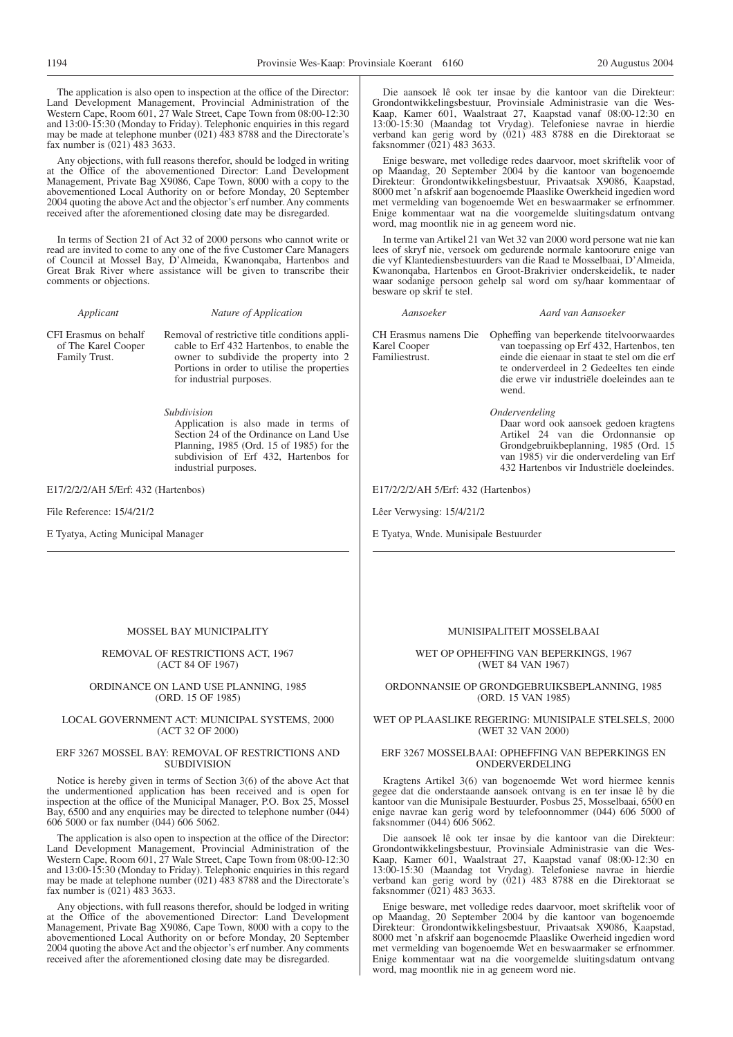The application is also open to inspection at the office of the Director: Land Development Management, Provincial Administration of the Western Cape, Room 601, 27 Wale Street, Cape Town from 08:00-12:30 and 13:00-15:30 (Monday to Friday). Telephonic enquiries in this regard may be made at telephone munber (021) 483 8788 and the Directorate's fax number is (021) 483 3633.

Any objections, with full reasons therefor, should be lodged in writing at the Office of the abovementioned Director: Land Development Management, Private Bag X9086, Cape Town, 8000 with a copy to the abovementioned Local Authority on or before Monday, 20 September 2004 quoting the above Act and the objector's erf number. Any comments received after the aforementioned closing date may be disregarded.

In terms of Section 21 of Act 32 of 2000 persons who cannot write or read are invited to come to any one of the five Customer Care Managers of Council at Mossel Bay, D'Almeida, Kwanonqaba, Hartenbos and Great Brak River where assistance will be given to transcribe their comments or objections.

#### *Applicant Nature of Application*

CFI Erasmus on behalf of The Karel Cooper Family Trust.

Removal of restrictive title conditions applicable to Erf 432 Hartenbos, to enable the owner to subdivide the property into 2 Portions in order to utilise the properties for industrial purposes.

*Subdivision*

Application is also made in terms of Section 24 of the Ordinance on Land Use Planning, 1985 (Ord. 15 of 1985) for the subdivision of Erf 432, Hartenbos for industrial purposes.

E17/2/2/2/AH 5/Erf: 432 (Hartenbos)

File Reference: 15/4/21/2

E Tyatya, Acting Municipal Manager

#### MOSSEL BAY MUNICIPALITY

#### REMOVAL OF RESTRICTIONS ACT, 1967 (ACT 84 OF 1967)

#### ORDINANCE ON LAND USE PLANNING, 1985 (ORD. 15 OF 1985)

#### LOCAL GOVERNMENT ACT: MUNICIPAL SYSTEMS, 2000 (ACT 32 OF 2000)

#### ERF 3267 MOSSEL BAY: REMOVAL OF RESTRICTIONS AND **SUBDIVISION**

Notice is hereby given in terms of Section 3(6) of the above Act that the undermentioned application has been received and is open for inspection at the office of the Municipal Manager, P.O. Box 25, Mossel Bay, 6500 and any enquiries may be directed to telephone number (044) 606 5000 or fax number (044) 606 5062.

The application is also open to inspection at the office of the Director: Land Development Management, Provincial Administration of the Western Cape, Room 601, 27 Wale Street, Cape Town from 08:00-12:30 and 13:00-15:30 (Monday to Friday). Telephonic enquiries in this regard may be made at telephone number (021) 483 8788 and the Directorate's fax number is (021) 483 3633.

Any objections, with full reasons therefor, should be lodged in writing at the Office of the abovementioned Director: Land Development Management, Private Bag X9086, Cape Town, 8000 with a copy to the abovementioned Local Authority on or before Monday, 20 September 2004 quoting the above Act and the objector's erf number. Any comments received after the aforementioned closing date may be disregarded.

Die aansoek lê ook ter insae by die kantoor van die Direkteur: Grondontwikkelingsbestuur, Provinsiale Administrasie van die Wes-Kaap, Kamer 601, Waalstraat 27, Kaapstad vanaf 08:00-12:30 en 13:00-15:30 (Maandag tot Vrydag). Telefoniese navrae in hierdie verband kan gerig word by (021) 483 8788 en die Direktoraat se faksnommer (021) 483 3633.

Enige besware, met volledige redes daarvoor, moet skriftelik voor of op Maandag, 20 September 2004 by die kantoor van bogenoemde Direkteur: Grondontwikkelingsbestuur, Privaatsak X9086, Kaapstad, 8000 met 'n afskrif aan bogenoemde Plaaslike Owerkheid ingedien word met vermelding van bogenoemde Wet en beswaarmaker se erfnommer. Enige kommentaar wat na die voorgemelde sluitingsdatum ontvang word, mag moontlik nie in ag geneem word nie.

In terme van Artikel 21 van Wet 32 van 2000 word persone wat nie kan lees of skryf nie, versoek om gedurende normale kantoorure enige van die vyf Klantediensbestuurders van die Raad te Mosselbaai, D'Almeida, Kwanonqaba, Hartenbos en Groot-Brakrivier onderskeidelik, te nader waar sodanige persoon gehelp sal word om sy/haar kommentaar of besware op skrif te stel.

*Aansoeker Aard van Aansoeker*

Karel Cooper Familiestrust.

CH Erasmus namens Die Opheffing van beperkende titelvoorwaardes van toepassing op Erf 432, Hartenbos, ten einde die eienaar in staat te stel om die erf te onderverdeel in 2 Gedeeltes ten einde die erwe vir industriële doeleindes aan te wend.

*Onderverdeling*

Daar word ook aansoek gedoen kragtens Artikel 24 van die Ordonnansie op Grondgebruikbeplanning, 1985 (Ord. 15 van 1985) vir die onderverdeling van Erf 432 Hartenbos vir Industriële doeleindes.

E17/2/2/2/AH 5/Erf: 432 (Hartenbos)

Lêer Verwysing: 15/4/21/2

E Tyatya, Wnde. Munisipale Bestuurder

#### MUNISIPALITEIT MOSSELBAAI

WET OP OPHEFFING VAN BEPERKINGS, 1967 (WET 84 VAN 1967)

ORDONNANSIE OP GRONDGEBRUIKSBEPLANNING, 1985 (ORD. 15 VAN 1985)

#### WET OP PLAASLIKE REGERING: MUNISIPALE STELSELS, 2000 (WET 32 VAN 2000)

#### ERF 3267 MOSSELBAAI: OPHEFFING VAN BEPERKINGS EN ONDERVERDELING

Kragtens Artikel 3(6) van bogenoemde Wet word hiermee kennis gegee dat die onderstaande aansoek ontvang is en ter insae lê by die kantoor van die Munisipale Bestuurder, Posbus 25, Mosselbaai, 6500 en enige navrae kan gerig word by telefoonnommer (044) 606 5000 of faksnommer (044) 606 5062.

Die aansoek lê ook ter insae by die kantoor van die Direkteur: Grondontwikkelingsbestuur, Provinsiale Administrasie van die Wes-Kaap, Kamer 601, Waalstraat 27, Kaapstad vanaf 08:00-12:30 en 13:00-15:30 (Maandag tot Vrydag). Telefoniese navrae in hierdie verband kan gerig word by (021) 483 8788 en die Direktoraat se faksnommer (021) 483 3633.

Enige besware, met volledige redes daarvoor, moet skriftelik voor of op Maandag, 20 September 2004 by die kantoor van bogenoemde Direkteur: Grondontwikkelingsbestuur, Privaatsak X9086, Kaapstad, 8000 met 'n afskrif aan bogenoemde Plaaslike Owerheid ingedien word met vermelding van bogenoemde Wet en beswaarmaker se erfnommer. Enige kommentaar wat na die voorgemelde sluitingsdatum ontvang word, mag moontlik nie in ag geneem word nie.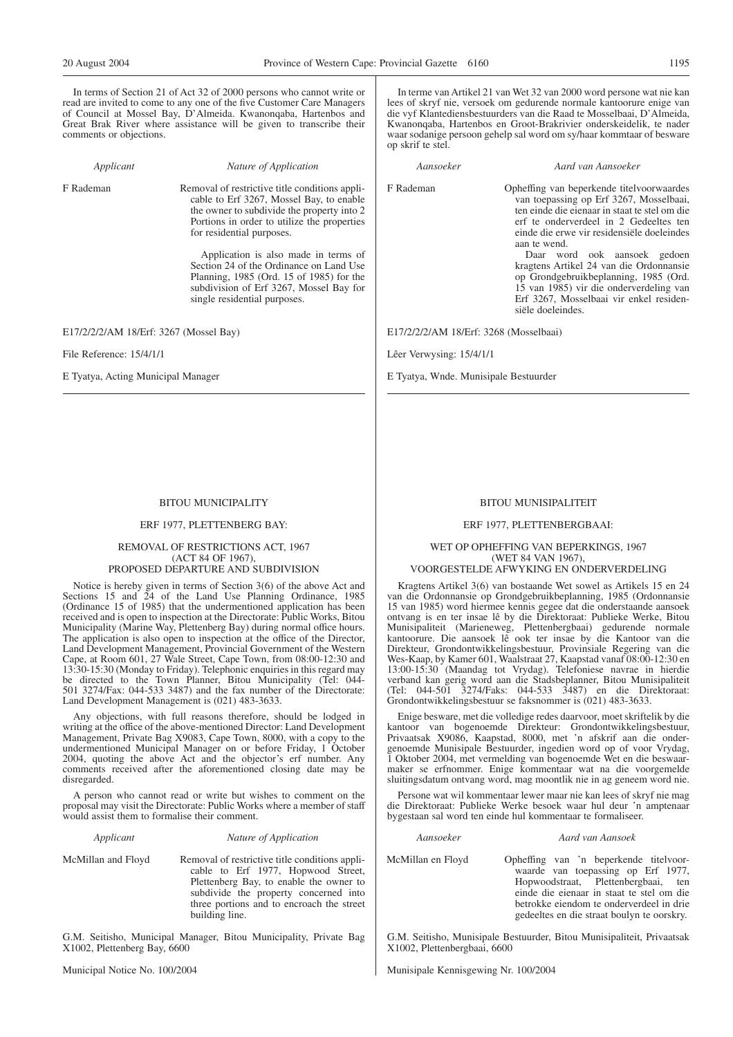In terms of Section 21 of Act 32 of 2000 persons who cannot write or read are invited to come to any one of the five Customer Care Managers of Council at Mossel Bay, D'Almeida. Kwanonqaba, Hartenbos and Great Brak River where assistance will be given to transcribe their comments or objections.

*Applicant Nature of Application*

F Rademan Removal of restrictive title conditions applicable to Erf 3267, Mossel Bay, to enable the owner to subdivide the property into 2 Portions in order to utilize the properties for residential purposes.

> Application is also made in terms of Section 24 of the Ordinance on Land Use Planning, 1985 (Ord. 15 of 1985) for the subdivision of Erf 3267, Mossel Bay for single residential purposes.

E17/2/2/2/AM 18/Erf: 3267 (Mossel Bay)

File Reference: 15/4/1/1

E Tyatya, Acting Municipal Manager

#### BITOU MUNICIPALITY

#### ERF 1977, PLETTENBERG BAY:

#### REMOVAL OF RESTRICTIONS ACT, 1967 (ACT 84 OF 1967), PROPOSED DEPARTURE AND SUBDIVISION

Notice is hereby given in terms of Section 3(6) of the above Act and Sections 15 and  $\tilde{24}$  of the Land Use Planning Ordinance, 1985 (Ordinance 15 of 1985) that the undermentioned application has been received and is open to inspection at the Directorate: Public Works, Bitou Municipality (Marine Way, Plettenberg Bay) during normal office hours. The application is also open to inspection at the office of the Director, Land Development Management, Provincial Government of the Western Cape, at Room 601, 27 Wale Street, Cape Town, from 08:00-12:30 and 13:30-15:30 (Monday to Friday). Telephonic enquiries in this regard may be directed to the Town Planner, Bitou Municipality (Tel: 044- 501 3274/Fax: 044-533 3487) and the fax number of the Directorate: Land Development Management is (021) 483-3633.

Any objections, with full reasons therefore, should be lodged in writing at the office of the above-mentioned Director: Land Development Management, Private Bag X9083, Cape Town, 8000, with a copy to the undermentioned Municipal Manager on or before Friday, 1 October 2004, quoting the above Act and the objector's erf number. Any comments received after the aforementioned closing date may be disregarded.

A person who cannot read or write but wishes to comment on the proposal may visit the Directorate: Public Works where a member of staff would assist them to formalise their comment.

#### *Applicant Nature of Application*

McMillan and Floyd Removal of restrictive title conditions applicable to Erf 1977, Hopwood Street, Plettenberg Bay, to enable the owner to subdivide the property concerned into three portions and to encroach the street building line.

G.M. Seitisho, Municipal Manager, Bitou Municipality, Private Bag X1002, Plettenberg Bay, 6600

Municipal Notice No. 100/2004

In terme van Artikel 21 van Wet 32 van 2000 word persone wat nie kan lees of skryf nie, versoek om gedurende normale kantoorure enige van die vyf Klantediensbestuurders van die Raad te Mosselbaai, D'Almeida, Kwanonqaba, Hartenbos en Groot-Brakrivier onderskeidelik, te nader waar sodanige persoon gehelp sal word om sy/haar kommtaar of besware op skrif te stel.

#### *Aansoeker Aard van Aansoeker*

F Rademan Opheffing van beperkende titelvoorwaardes van toepassing op Erf 3267, Mosselbaai, ten einde die eienaar in staat te stel om die erf te onderverdeel in 2 Gedeeltes ten einde die erwe vir residensiële doeleindes aan te wend.

> Daar word ook aansoek gedoen kragtens Artikel 24 van die Ordonnansie op Grondgebruikbeplanning, 1985 (Ord. 15 van 1985) vir die onderverdeling van Erf 3267, Mosselbaai vir enkel residensiële doeleindes.

E17/2/2/2/AM 18/Erf: 3268 (Mosselbaai)

Lêer Verwysing: 15/4/1/1

E Tyatya, Wnde. Munisipale Bestuurder

#### BITOU MUNISIPALITEIT

#### ERF 1977, PLETTENBERGBAAI:

#### WET OP OPHEFFING VAN BEPERKINGS, 1967 (WET 84 VAN 1967), VOORGESTELDE AFWYKING EN ONDERVERDELING

Kragtens Artikel 3(6) van bostaande Wet sowel as Artikels 15 en 24 van die Ordonnansie op Grondgebruikbeplanning, 1985 (Ordonnansie 15 van 1985) word hiermee kennis gegee dat die onderstaande aansoek ontvang is en ter insae lê by die Direktoraat: Publieke Werke, Bitou Munisipaliteit (Marieneweg, Plettenbergbaai) gedurende normale kantoorure. Die aansoek lê ook ter insae by die Kantoor van die Direkteur, Grondontwikkelingsbestuur, Provinsiale Regering van die Wes-Kaap, by Kamer 601, Waalstraat 27, Kaapstad vanaf 08:00-12:30 en 13:00-15:30 (Maandag tot Vrydag). Telefoniese navrae in hierdie verband kan gerig word aan die Stadsbeplanner, Bitou Munisipaliteit (Tel: 044-501 3274/Faks: 044-533 3487) en die Direktoraat: Grondontwikkelingsbestuur se faksnommer is (021) 483-3633.

Enige besware, met die volledige redes daarvoor, moet skriftelik by die kantoor van bogenoemde Direkteur: Grondontwikkelingsbestuur, Privaatsak X9086, Kaapstad, 8000, met 'n afskrif aan die ondergenoemde Munisipale Bestuurder, ingedien word op of voor Vrydag, 1 Oktober 2004, met vermelding van bogenoemde Wet en die beswaarmaker se erfnommer. Enige kommentaar wat na die voorgemelde sluitingsdatum ontvang word, mag moontlik nie in ag geneem word nie.

Persone wat wil kommentaar lewer maar nie kan lees of skryf nie mag die Direktoraat: Publieke Werke besoek waar hul deur 'n amptenaar bygestaan sal word ten einde hul kommentaar te formaliseer.

#### *Aansoeker Aard van Aansoek*

McMillan en Floyd Opheffing van 'n beperkende titelvoorwaarde van toepassing op Erf 1977, Hopwoodstraat, Plettenbergbaai, ten einde die eienaar in staat te stel om die betrokke eiendom te onderverdeel in drie gedeeltes en die straat boulyn te oorskry.

G.M. Seitisho, Munisipale Bestuurder, Bitou Munisipaliteit, Privaatsak X1002, Plettenbergbaai, 6600

Munisipale Kennisgewing Nr. 100/2004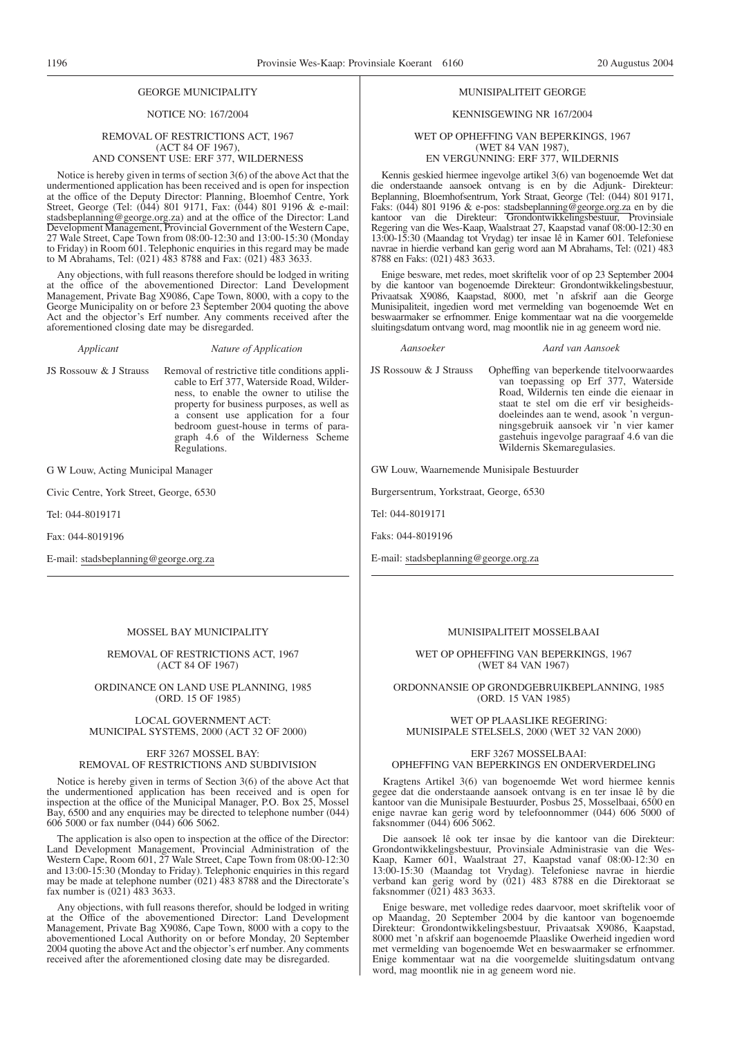#### GEORGE MUNICIPALITY

#### NOTICE NO: 167/2004

#### REMOVAL OF RESTRICTIONS ACT, 1967 (ACT 84 OF 1967), AND CONSENT USE: ERF 377, WILDERNESS

Notice is hereby given in terms of section 3(6) of the above Act that the undermentioned application has been received and is open for inspection at the office of the Deputy Director: Planning, Bloemhof Centre, York Street, George (Tel: (044) 801 9171, Fax: (044) 801 9196 & e-mail: stadsbeplanning@george.org.za) and at the office of the Director: Land Development Management, Provincial Government of the Western Cape, 27 Wale Street, Cape Town from 08:00-12:30 and 13:00-15:30 (Monday to Friday) in Room 601. Telephonic enquiries in this regard may be made to M Abrahams, Tel: (021) 483 8788 and Fax: (021) 483 3633.

Any objections, with full reasons therefore should be lodged in writing at the office of the abovementioned Director: Land Development Management, Private Bag X9086, Cape Town, 8000, with a copy to the George Municipality on or before 23 September 2004 quoting the above Act and the objector's Erf number. Any comments received after the aforementioned closing date may be disregarded.

*Applicant Nature of Application*

JS Rossouw & J Strauss Removal of restrictive title conditions applicable to Erf 377, Waterside Road, Wilderness, to enable the owner to utilise the property for business purposes, as well as a consent use application for a four bedroom guest-house in terms of paragraph 4.6 of the Wilderness Scheme Regulations.

G W Louw, Acting Municipal Manager

Civic Centre, York Street, George, 6530

Tel: 044-8019171

Fax: 044-8019196

E-mail: stadsbeplanning@george.org.za

#### MOSSEL BAY MUNICIPALITY

REMOVAL OF RESTRICTIONS ACT, 1967 (ACT 84 OF 1967)

#### ORDINANCE ON LAND USE PLANNING, 1985 (ORD. 15 OF 1985)

#### LOCAL GOVERNMENT ACT: MUNICIPAL SYSTEMS, 2000 (ACT 32 OF 2000)

#### ERF 3267 MOSSEL BAY: REMOVAL OF RESTRICTIONS AND SUBDIVISION

Notice is hereby given in terms of Section 3(6) of the above Act that the undermentioned application has been received and is open for inspection at the office of the Municipal Manager, P.O. Box 25, Mossel Bay, 6500 and any enquiries may be directed to telephone number (044) 606 5000 or fax number (044) 606 5062.

The application is also open to inspection at the office of the Director: Land Development Management, Provincial Administration of the Western Cape, Room 601, 27 Wale Street, Cape Town from 08:00-12:30 and 13:00-15:30 (Monday to Friday). Telephonic enquiries in this regard may be made at telephone number (021) 483 8788 and the Directorate's fax number is (021) 483 3633.

Any objections, with full reasons therefor, should be lodged in writing at the Office of the abovementioned Director: Land Development Management, Private Bag X9086, Cape Town, 8000 with a copy to the abovementioned Local Authority on or before Monday, 20 September 2004 quoting the above Act and the objector's erf number. Any comments received after the aforementioned closing date may be disregarded.

#### MUNISIPALITEIT GEORGE

#### KENNISGEWING NR 167/2004

#### WET OP OPHEFFING VAN BEPERKINGS, 1967 (WET 84 VAN 1987), EN VERGUNNING: ERF 377, WILDERNIS

Kennis geskied hiermee ingevolge artikel 3(6) van bogenoemde Wet dat die onderstaande aansoek ontvang is en by die Adjunk- Direkteur: Beplanning, Bloemhofsentrum, York Straat, George (Tel: (044) 801 9171, Faks: (044) 801 9196 & e-pos: stadsbeplanning@george.org.za en by die kantoor van die Direkteur: Grondontwikkelingsbestuur, Provinsiale Regering van die Wes-Kaap, Waalstraat 27, Kaapstad vanaf 08:00-12:30 en 13:00-15:30 (Maandag tot Vrydag) ter insae lê in Kamer 601. Telefoniese navrae in hierdie verband kan gerig word aan M Abrahams, Tel: (021) 483 8788 en Faks: (021) 483 3633.

Enige besware, met redes, moet skriftelik voor of op 23 September 2004 by die kantoor van bogenoemde Direkteur: Grondontwikkelingsbestuur, Privaatsak X9086, Kaapstad, 8000, met 'n afskrif aan die George Munisipaliteit, ingedien word met vermelding van bogenoemde Wet en beswaarmaker se erfnommer. Enige kommentaar wat na die voorgemelde sluitingsdatum ontvang word, mag moontlik nie in ag geneem word nie.

*Aansoeker Aard van Aansoek*

JS Rossouw & J Strauss Opheffing van beperkende titelvoorwaardes van toepassing op Erf 377, Waterside Road, Wildernis ten einde die eienaar in staat te stel om die erf vir besigheidsdoeleindes aan te wend, asook 'n vergunningsgebruik aansoek vir 'n vier kamer gastehuis ingevolge paragraaf 4.6 van die Wildernis Skemaregulasies.

GW Louw, Waarnemende Munisipale Bestuurder

Burgersentrum, Yorkstraat, George, 6530

Tel: 044-8019171

Faks: 044-8019196

E-mail: stadsbeplanning@george.org.za

#### MUNISIPALITEIT MOSSELBAAI

WET OP OPHEFFING VAN BEPERKINGS, 1967 (WET 84 VAN 1967)

ORDONNANSIE OP GRONDGEBRUIKBEPLANNING, 1985 (ORD. 15 VAN 1985)

#### WET OP PLAASLIKE REGERING: MUNISIPALE STELSELS, 2000 (WET 32 VAN 2000)

#### ERF 3267 MOSSELBAAI: OPHEFFING VAN BEPERKINGS EN ONDERVERDELING

Kragtens Artikel 3(6) van bogenoemde Wet word hiermee kennis gegee dat die onderstaande aansoek ontvang is en ter insae lê by die kantoor van die Munisipale Bestuurder, Posbus 25, Mosselbaai, 6500 en enige navrae kan gerig word by telefoonnommer (044) 606 5000 of faksnommer (044) 606 5062.

Die aansoek lê ook ter insae by die kantoor van die Direkteur: Grondontwikkelingsbestuur, Provinsiale Administrasie van die Wes-Kaap, Kamer 601, Waalstraat 27, Kaapstad vanaf 08:00-12:30 en 13:00-15:30 (Maandag tot Vrydag). Telefoniese navrae in hierdie verband kan gerig word by (021) 483 8788 en die Direktoraat se faksnommer (021) 483 3633.

Enige besware, met volledige redes daarvoor, moet skriftelik voor of op Maandag, 20 September 2004 by die kantoor van bogenoemde Direkteur: Grondontwikkelingsbestuur, Privaatsak X9086, Kaapstad, 8000 met 'n afskrif aan bogenoemde Plaaslike Owerheid ingedien word met vermelding van bogenoemde Wet en beswaarmaker se erfnommer. Enige kommentaar wat na die voorgemelde sluitingsdatum ontvang word, mag moontlik nie in ag geneem word nie.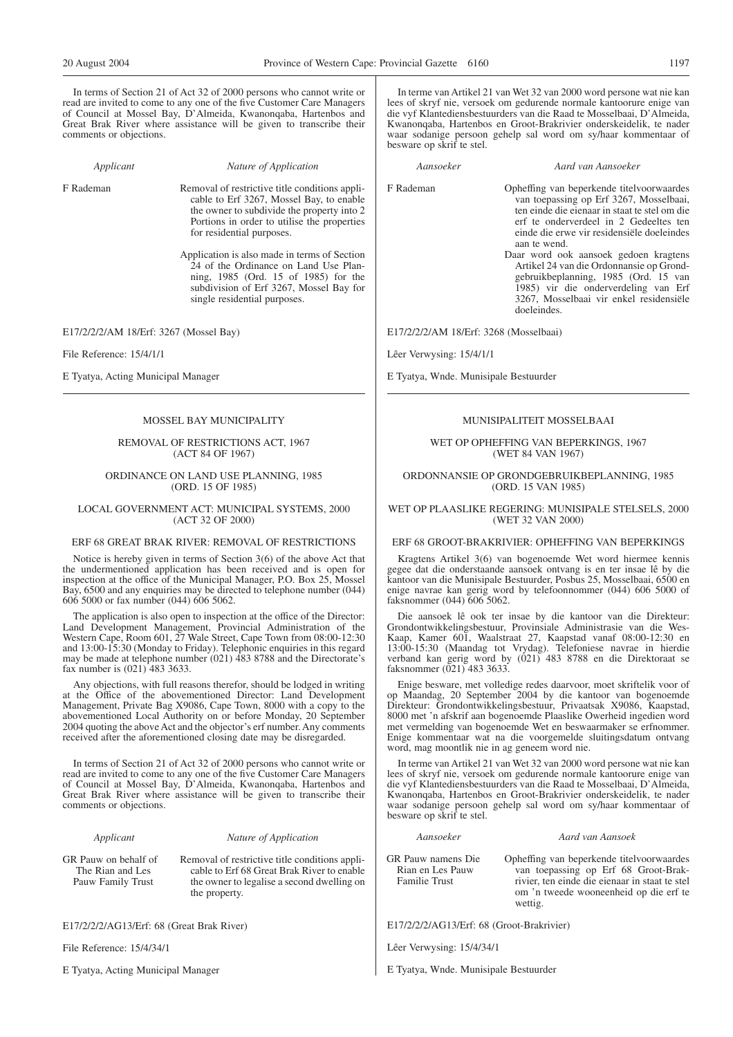In terms of Section 21 of Act 32 of 2000 persons who cannot write or read are invited to come to any one of the five Customer Care Managers of Council at Mossel Bay, D'Almeida, Kwanonqaba, Hartenbos and Great Brak River where assistance will be given to transcribe their comments or objections.

*Applicant Nature of Application*

F Rademan Removal of restrictive title conditions applicable to Erf 3267, Mossel Bay, to enable the owner to subdivide the property into 2 Portions in order to utilise the properties for residential purposes.

> Application is also made in terms of Section 24 of the Ordinance on Land Use Planning, 1985 (Ord. 15 of 1985) for the subdivision of Erf 3267, Mossel Bay for single residential purposes.

E17/2/2/2/AM 18/Erf: 3267 (Mossel Bay)

File Reference: 15/4/1/1

E Tyatya, Acting Municipal Manager

#### MOSSEL BAY MUNICIPALITY

REMOVAL OF RESTRICTIONS ACT, 1967 (ACT 84 OF 1967)

ORDINANCE ON LAND USE PLANNING, 1985 (ORD. 15 OF 1985)

#### LOCAL GOVERNMENT ACT: MUNICIPAL SYSTEMS, 2000 (ACT 32 OF 2000)

#### ERF 68 GREAT BRAK RIVER: REMOVAL OF RESTRICTIONS

Notice is hereby given in terms of Section 3(6) of the above Act that the undermentioned application has been received and is open for inspection at the office of the Municipal Manager, P.O. Box 25, Mossel Bay, 6500 and any enquiries may be directed to telephone number (044) 606 5000 or fax number (044) 606 5062.

The application is also open to inspection at the office of the Director: Land Development Management, Provincial Administration of the Western Cape, Room 601, 27 Wale Street, Cape Town from 08:00-12:30 and 13:00-15:30 (Monday to Friday). Telephonic enquiries in this regard may be made at telephone number (021) 483 8788 and the Directorate's fax number is (021) 483 3633.

Any objections, with full reasons therefor, should be lodged in writing at the Office of the abovementioned Director: Land Development Management, Private Bag X9086, Cape Town, 8000 with a copy to the abovementioned Local Authority on or before Monday, 20 September 2004 quoting the above Act and the objector's erf number. Any comments received after the aforementioned closing date may be disregarded.

In terms of Section 21 of Act 32 of 2000 persons who cannot write or read are invited to come to any one of the five Customer Care Managers of Council at Mossel Bay, D'Almeida, Kwanonqaba, Hartenbos and Great Brak River where assistance will be given to transcribe their comments or objections.

#### *Applicant Nature of Application*

GR Pauw on behalf of The Rian and Les Pauw Family Trust

Removal of restrictive title conditions applicable to Erf 68 Great Brak River to enable the owner to legalise a second dwelling on the property.

E17/2/2/2/AG13/Erf: 68 (Great Brak River)

File Reference: 15/4/34/1

E Tyatya, Acting Municipal Manager

In terme van Artikel 21 van Wet 32 van 2000 word persone wat nie kan lees of skryf nie, versoek om gedurende normale kantoorure enige van die vyf Klantediensbestuurders van die Raad te Mosselbaai, D'Almeida, Kwanonqaba, Hartenbos en Groot-Brakrivier onderskeidelik, te nader waar sodanige persoon gehelp sal word om sy/haar kommentaar of besware op skrif te stel.

*Aansoeker Aard van Aansoeker*

F Rademan Opheffing van beperkende titelvoorwaardes van toepassing op Erf 3267, Mosselbaai, ten einde die eienaar in staat te stel om die erf te onderverdeel in 2 Gedeeltes ten einde die erwe vir residensiële doeleindes aan te wend.

> Daar word ook aansoek gedoen kragtens Artikel 24 van die Ordonnansie op Grondgebruikbeplanning, 1985 (Ord. 15 van 1985) vir die onderverdeling van Erf 3267, Mosselbaai vir enkel residensiële doeleindes.

E17/2/2/2/AM 18/Erf: 3268 (Mosselbaai)

Lêer Verwysing: 15/4/1/1

E Tyatya, Wnde. Munisipale Bestuurder

#### MUNISIPALITEIT MOSSELBAAI

#### WET OP OPHEFFING VAN BEPERKINGS, 1967 (WET 84 VAN 1967)

ORDONNANSIE OP GRONDGEBRUIKBEPLANNING, 1985 (ORD. 15 VAN 1985)

#### WET OP PLAASLIKE REGERING: MUNISIPALE STELSELS, 2000 (WET 32 VAN 2000)

#### ERF 68 GROOT-BRAKRIVIER: OPHEFFING VAN BEPERKINGS

Kragtens Artikel 3(6) van bogenoemde Wet word hiermee kennis gegee dat die onderstaande aansoek ontvang is en ter insae lê by die kantoor van die Munisipale Bestuurder, Posbus 25, Mosselbaai, 6500 en enige navrae kan gerig word by telefoonnommer (044) 606 5000 of faksnommer (044) 606 5062.

Die aansoek lê ook ter insae by die kantoor van die Direkteur: Grondontwikkelingsbestuur, Provinsiale Administrasie van die Wes-Kaap, Kamer 601, Waalstraat 27, Kaapstad vanaf 08:00-12:30 en 13:00-15:30 (Maandag tot Vrydag). Telefoniese navrae in hierdie verband kan gerig word by (021) 483 8788 en die Direktoraat se faksnommer (021) 483 3633.

Enige besware, met volledige redes daarvoor, moet skriftelik voor of op Maandag, 20 September 2004 by die kantoor van bogenoemde Direkteur: Grondontwikkelingsbestuur, Privaatsak X9086, Kaapstad, 8000 met 'n afskrif aan bogenoemde Plaaslike Owerheid ingedien word met vermelding van bogenoemde Wet en beswaarmaker se erfnommer. Enige kommentaar wat na die voorgemelde sluitingsdatum ontvang word, mag moontlik nie in ag geneem word nie.

In terme van Artikel 21 van Wet 32 van 2000 word persone wat nie kan lees of skryf nie, versoek om gedurende normale kantoorure enige van die vyf Klantediensbestuurders van die Raad te Mosselbaai, D'Almeida, Kwanonqaba, Hartenbos en Groot-Brakrivier onderskeidelik, te nader waar sodanige persoon gehelp sal word om sy/haar kommentaar of besware op skrif te stel.

wettig.

# *Aansoeker Aard van Aansoek*

GR Pauw namens Die Rian en Les Pauw Opheffing van beperkende titelvoorwaardes van toepassing op Erf 68 Groot-Brakrivier, ten einde die eienaar in staat te stel om 'n tweede wooneenheid op die erf te

E17/2/2/2/AG13/Erf: 68 (Groot-Brakrivier)

Lêer Verwysing: 15/4/34/1

Familie Trust

E Tyatya, Wnde. Munisipale Bestuurder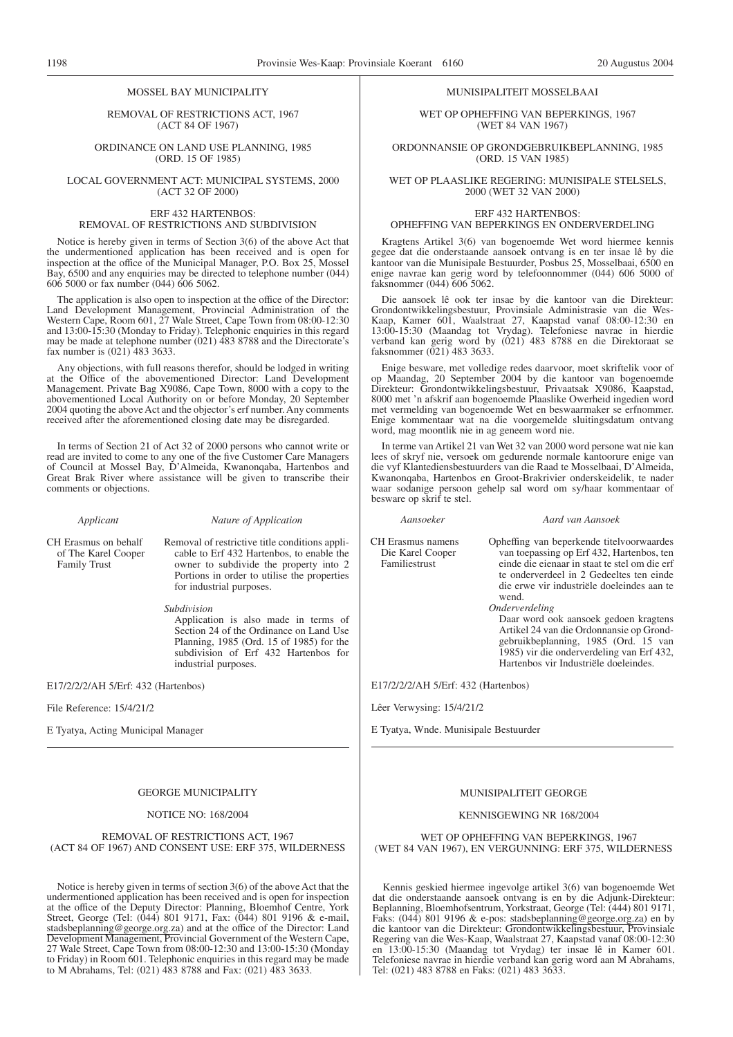#### MOSSEL BAY MUNICIPALITY

REMOVAL OF RESTRICTIONS ACT, 1967 (ACT 84 OF 1967)

ORDINANCE ON LAND USE PLANNING, 1985 (ORD. 15 OF 1985)

LOCAL GOVERNMENT ACT: MUNICIPAL SYSTEMS, 2000 (ACT 32 OF 2000)

#### ERF 432 HARTENBOS: REMOVAL OF RESTRICTIONS AND SUBDIVISION

Notice is hereby given in terms of Section 3(6) of the above Act that the undermentioned application has been received and is open for inspection at the office of the Municipal Manager, P.O. Box 25, Mossel Bay, 6500 and any enquiries may be directed to telephone number (044) 606 5000 or fax number (044) 606 5062.

The application is also open to inspection at the office of the Director: Land Development Management, Provincial Administration of the Western Cape, Room 601, 27 Wale Street, Cape Town from 08:00-12:30 and 13:00-15:30 (Monday to Friday). Telephonic enquiries in this regard may be made at telephone number (021) 483 8788 and the Directorate's fax number is (021) 483 3633.

Any objections, with full reasons therefor, should be lodged in writing at the Office of the abovementioned Director: Land Development Management. Private Bag X9086, Cape Town, 8000 with a copy to the abovementioned Local Authority on or before Monday, 20 September 2004 quoting the above Act and the objector's erf number. Any comments received after the aforementioned closing date may be disregarded.

In terms of Section 21 of Act 32 of 2000 persons who cannot write or read are invited to come to any one of the five Customer Care Managers of Council at Mossel Bay, D'Almeida, Kwanonqaba, Hartenbos and Great Brak River where assistance will be given to transcribe their comments or objections.

*Applicant Nature of Application*

CH Erasmus on behalf of The Karel Cooper Family Trust

Removal of restrictive title conditions applicable to Erf 432 Hartenbos, to enable the owner to subdivide the property into 2 Portions in order to utilise the properties for industrial purposes.

*Subdivision*

Application is also made in terms of Section 24 of the Ordinance on Land Use Planning, 1985 (Ord. 15 of 1985) for the subdivision of Erf 432 Hartenbos for industrial purposes.

E17/2/2/2/AH 5/Erf: 432 (Hartenbos)

File Reference: 15/4/21/2

E Tyatya, Acting Municipal Manager

#### GEORGE MUNICIPALITY

#### NOTICE NO: 168/2004

#### REMOVAL OF RESTRICTIONS ACT, 1967 (ACT 84 OF 1967) AND CONSENT USE: ERF 375, WILDERNESS

Notice is hereby given in terms of section 3(6) of the above Act that the undermentioned application has been received and is open for inspection at the office of the Deputy Director: Planning, Bloemhof Centre, York Street, George (Tel: (044) 801 9171, Fax: (044) 801 9196 & e-mail, stadsbeplanning@george.org.za) and at the office of the Director: Land Development Management, Provincial Government of the Western Cape, 27 Wale Street, Cape Town from 08:00-12:30 and 13:00-15:30 (Monday to Friday) in Room 601. Telephonic enquiries in this regard may be made to M Abrahams, Tel: (021) 483 8788 and Fax: (021) 483 3633.

#### MUNISIPALITEIT MOSSELBAAI

WET OP OPHEFFING VAN BEPERKINGS, 1967 (WET 84 VAN 1967)

ORDONNANSIE OP GRONDGEBRUIKBEPLANNING, 1985 (ORD. 15 VAN 1985)

WET OP PLAASLIKE REGERING: MUNISIPALE STELSELS, 2000 (WET 32 VAN 2000)

#### ERF 432 HARTENBOS: OPHEFFING VAN BEPERKINGS EN ONDERVERDELING

Kragtens Artikel 3(6) van bogenoemde Wet word hiermee kennis gegee dat die onderstaande aansoek ontvang is en ter insae lê by die kantoor van die Munisipale Bestuurder, Posbus 25, Mosselbaai, 6500 en enige navrae kan gerig word by telefoonnommer (044) 606 5000 of faksnommer (044) 606 5062.

Die aansoek lê ook ter insae by die kantoor van die Direkteur: Grondontwikkelingsbestuur, Provinsiale Administrasie van die Wes-Kaap, Kamer 601, Waalstraat 27, Kaapstad vanaf 08:00-12:30 en 13:00-15:30 (Maandag tot Vrydag). Telefoniese navrae in hierdie verband kan gerig word by (021) 483 8788 en die Direktoraat se faksnommer (021) 483 3633.

Enige besware, met volledige redes daarvoor, moet skriftelik voor of op Maandag, 20 September 2004 by die kantoor van bogenoemde Direkteur: Grondontwikkelingsbestuur, Privaatsak X9086, Kaapstad, 8000 met 'n afskrif aan bogenoemde Plaaslike Owerheid ingedien word met vermelding van bogenoemde Wet en beswaarmaker se erfnommer. Enige kommentaar wat na die voorgemelde sluitingsdatum ontvang word, mag moontlik nie in ag geneem word nie.

In terme van Artikel 21 van Wet 32 van 2000 word persone wat nie kan lees of skryf nie, versoek om gedurende normale kantoorure enige van die vyf Klantediensbestuurders van die Raad te Mosselbaai, D'Almeida, Kwanonqaba, Hartenbos en Groot-Brakrivier onderskeidelik, te nader waar sodanige persoon gehelp sal word om sy/haar kommentaar of besware op skrif te stel.

*Aansoeker Aard van Aansoek*

CH Erasmus namens Die Karel Cooper Familiestrust

Opheffing van beperkende titelvoorwaardes van toepassing op Erf 432, Hartenbos, ten einde die eienaar in staat te stel om die erf te onderverdeel in 2 Gedeeltes ten einde die erwe vir industriële doeleindes aan te wend.

*Onderverdeling*

Daar word ook aansoek gedoen kragtens Artikel 24 van die Ordonnansie op Grondgebruikbeplanning, 1985 (Ord. 15 van 1985) vir die onderverdeling van Erf 432, Hartenbos vir Industriële doeleindes.

E17/2/2/2/AH 5/Erf: 432 (Hartenbos)

Lêer Verwysing: 15/4/21/2

E Tyatya, Wnde. Munisipale Bestuurder

### MUNISIPALITEIT GEORGE

#### KENNISGEWING NR 168/2004

WET OP OPHEFFING VAN BEPERKINGS, 1967 (WET 84 VAN 1967), EN VERGUNNING: ERF 375, WILDERNESS

Kennis geskied hiermee ingevolge artikel 3(6) van bogenoemde Wet dat die onderstaande aansoek ontvang is en by die Adjunk-Direkteur: Beplanning, Bloemhofsentrum, Yorkstraat, George (Tel: (444) 801 9171, Faks: (044) 801 9196 & e-pos: stadsbeplanning@george.org.za) en by die kantoor van die Direkteur: Grondontwikkelingsbestuur, Provinsiale Regering van die Wes-Kaap, Waalstraat 27, Kaapstad vanaf 08:00-12:30 en 13:00-15:30 (Maandag tot Vrydag) ter insae lê in Kamer 601. Telefoniese navrae in hierdie verband kan gerig word aan M Abrahams, Tel: (021) 483 8788 en Faks: (021) 483 3633.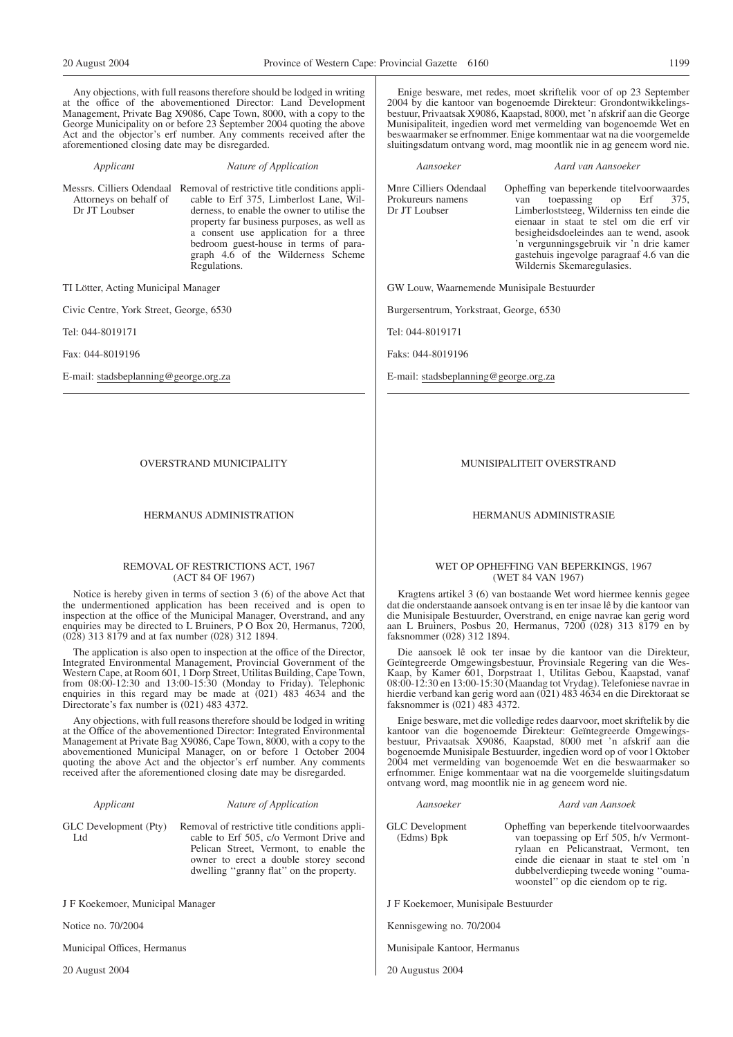Any objections, with full reasons therefore should be lodged in writing at the office of the abovementioned Director: Land Development Management, Private Bag X9086, Cape Town, 8000, with a copy to the George Municipality on or before 23 September 2004 quoting the above Act and the objector's erf number. Any comments received after the aforementioned closing date may be disregarded.

*Applicant Nature of Application*

Attorneys on behalf of Dr JT Loubser

Messrs. Cilliers Odendaal Removal of restrictive title conditions applicable to Erf 375, Limberlost Lane, Wilderness, to enable the owner to utilise the property far business purposes, as well as a consent use application for a three bedroom guest-house in terms of paragraph 4.6 of the Wilderness Scheme Regulations.

TI Lötter, Acting Municipal Manager

Civic Centre, York Street, George, 6530

Tel: 044-8019171

Fax: 044-8019196

E-mail: stadsbeplanning@george.org.za

OVERSTRAND MUNICIPALITY

#### HERMANUS ADMINISTRATION

#### REMOVAL OF RESTRICTIONS ACT, 1967 (ACT 84 OF 1967)

Notice is hereby given in terms of section 3 (6) of the above Act that the undermentioned application has been received and is open to inspection at the office of the Municipal Manager, Overstrand, and any enquiries may be directed to L Bruiners, P O Box 20, Hermanus, 7200, (028) 313 8179 and at fax number (028) 312 1894.

The application is also open to inspection at the office of the Director, Integrated Environmental Management, Provincial Government of the Western Cape, at Room 601, 1 Dorp Street, Utilitas Building, Cape Town, from 08:00-12:30 and 13:00-15:30 (Monday to Friday). Telephonic enquiries in this regard may be made at (021) 483 4634 and the Directorate's fax number is  $(021)$  483 4372.

Any objections, with full reasons therefore should be lodged in writing at the Office of the abovementioned Director: Integrated Environmental Management at Private Bag X9086, Cape Town, 8000, with a copy to the abovementioned Municipal Manager, on or before 1 October 2004 quoting the above Act and the objector's erf number. Any comments received after the aforementioned closing date may be disregarded.

|  | Applicant |
|--|-----------|

Ltd

#### *Applicant Nature of Application*

dwelling ''granny flat'' on the property.

GLC Development (Pty) Removal of restrictive title conditions applicable to Erf 505, c/o Vermont Drive and Pelican Street, Vermont, to enable the owner to erect a double storey second

J F Koekemoer, Municipal Manager

Notice no. 70/2004

Municipal Offices, Hermanus

20 August 2004

Enige besware, met redes, moet skriftelik voor of op 23 September 2004 by die kantoor van bogenoemde Direkteur: Grondontwikkelingsbestuur, Privaatsak X9086, Kaapstad, 8000, met 'n afskrif aan die George Munisipaliteit, ingedien word met vermelding van bogenoemde Wet en beswaarmaker se erfnommer. Enige kommentaar wat na die voorgemelde sluitingsdatum ontvang word, mag moontlik nie in ag geneem word nie.

*Aansoeker Aard van Aansoeker* Mnre Cilliers Odendaal Prokureurs namens Dr JT Loubser Opheffing van beperkende titelvoorwaardes van toepassing op Erf 375, Limberloststeeg, Wilderniss ten einde die eienaar in staat te stel om die erf vir besigheidsdoeleindes aan te wend, asook 'n vergunningsgebruik vir 'n drie kamer gastehuis ingevolge paragraaf 4.6 van die Wildernis Skemaregulasies.

GW Louw, Waarnemende Munisipale Bestuurder

Burgersentrum, Yorkstraat, George, 6530

Tel: 044-8019171

Faks: 044-8019196

E-mail: stadsbeplanning@george.org.za

MUNISIPALITEIT OVERSTRAND

#### HERMANUS ADMINISTRASIE

#### WET OP OPHEFFING VAN BEPERKINGS, 1967 (WET 84 VAN 1967)

Kragtens artikel 3 (6) van bostaande Wet word hiermee kennis gegee dat die onderstaande aansoek ontvang is en ter insae lê by die kantoor van die Munisipale Bestuurder, Overstrand, en enige navrae kan gerig word aan L Bruiners, Posbus 20, Hermanus, 7200 (028) 313 8179 en by faksnommer (028) 312 1894.

Die aansoek lê ook ter insae by die kantoor van die Direkteur, Geïntegreerde Omgewingsbestuur, Provinsiale Regering van die Wes-Kaap, by Kamer 601, Dorpstraat 1, Utilitas Gebou, Kaapstad, vanaf 08:00-12:30 en 13:00-15:30 (Maandag tot Vrydag). Telefoniese navrae in hierdie verband kan gerig word aan (021) 483 4634 en die Direktoraat se faksnommer is (021) 483 4372.

Enige besware, met die volledige redes daarvoor, moet skriftelik by die kantoor van die bogenoemde Direkteur: Geïntegreerde Omgewingsbestuur, Privaatsak X9086, Kaapstad, 8000 met 'n afskrif aan die bogenoemde Munisipale Bestuurder, ingedien word op of voor l Oktober 2004 met vermelding van bogenoemde Wet en die beswaarmaker so erfnommer. Enige kommentaar wat na die voorgemelde sluitingsdatum ontvang word, mag moontlik nie in ag geneem word nie.

GLC Development (Edms) Bpk

*Aansoeker Aard van Aansoek*

woonstel'' op die eiendom op te rig.

Opheffing van beperkende titelvoorwaardes van toepassing op Erf 505, h/v Vermontrylaan en Pelicanstraat, Vermont, ten einde die eienaar in staat te stel om 'n dubbelverdieping tweede woning ''ouma-

J F Koekemoer, Munisipale Bestuurder

Kennisgewing no. 70/2004

Munisipale Kantoor, Hermanus

20 Augustus 2004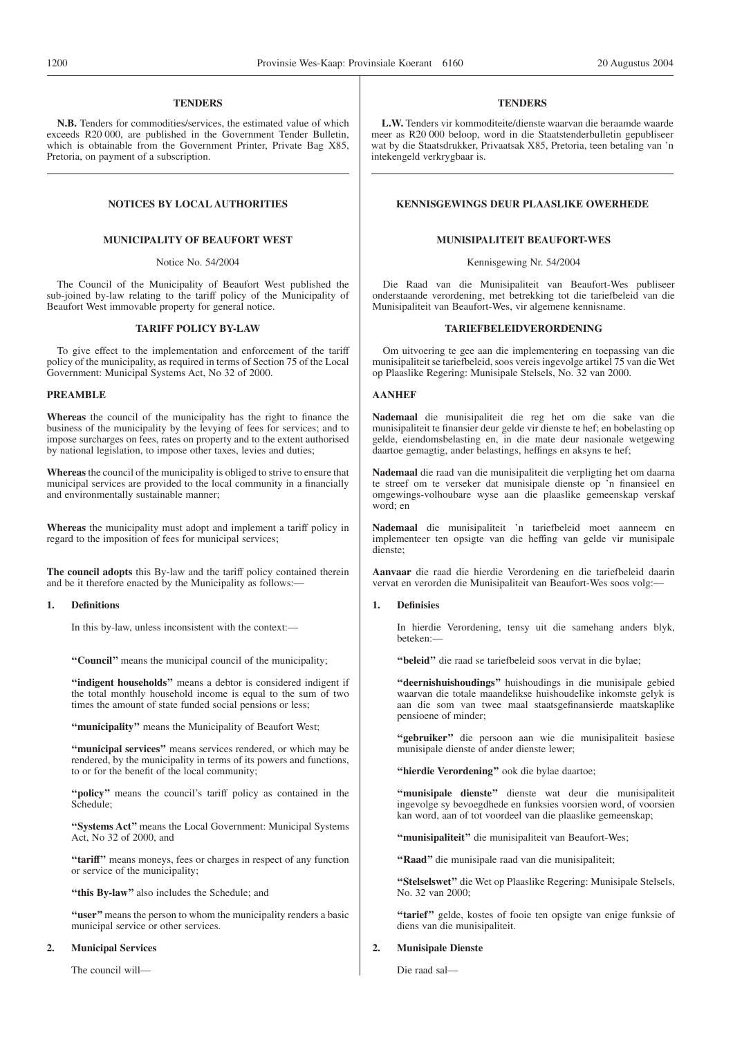#### **TENDERS**

**N.B.** Tenders for commodities/services, the estimated value of which exceeds R20 000, are published in the Government Tender Bulletin, which is obtainable from the Government Printer, Private Bag X85, Pretoria, on payment of a subscription.

#### **MUNICIPALITY OF BEAUFORT WEST**

#### Notice No. 54/2004

The Council of the Municipality of Beaufort West published the sub-joined by-law relating to the tariff policy of the Municipality of Beaufort West immovable property for general notice.

#### **TARIFF POLICY BY-LAW**

To give effect to the implementation and enforcement of the tariff policy of the municipality, as required in terms of Section 75 of the Local Government: Municipal Systems Act, No 32 of 2000.

#### **PREAMBLE**

**Whereas** the council of the municipality has the right to finance the business of the municipality by the levying of fees for services; and to impose surcharges on fees, rates on property and to the extent authorised by national legislation, to impose other taxes, levies and duties;

**Whereas** the council of the municipality is obliged to strive to ensure that municipal services are provided to the local community in a financially and environmentally sustainable manner;

**Whereas** the municipality must adopt and implement a tariff policy in regard to the imposition of fees for municipal services;

**The council adopts** this By-law and the tariff policy contained therein and be it therefore enacted by the Municipality as follows:—

#### **1. Definitions**

In this by-law, unless inconsistent with the context:—

**''Council''** means the municipal council of the municipality;

**''indigent households''** means a debtor is considered indigent if the total monthly household income is equal to the sum of two times the amount of state funded social pensions or less;

**''municipality''** means the Municipality of Beaufort West;

**''municipal services''** means services rendered, or which may be rendered, by the municipality in terms of its powers and functions, to or for the benefit of the local community;

"policy" means the council's tariff policy as contained in the Schedule;

**''Systems Act''** means the Local Government: Municipal Systems Act, No 32 of 2000, and

**''tariff''** means moneys, fees or charges in respect of any function or service of the municipality;

**''this By-law''** also includes the Schedule; and

**''user''**means the person to whom the municipality renders a basic municipal service or other services.

#### **2. Municipal Services**

The council will—

#### **TENDERS**

**L.W.** Tenders vir kommoditeite/dienste waarvan die beraamde waarde meer as R20 000 beloop, word in die Staatstenderbulletin gepubliseer wat by die Staatsdrukker, Privaatsak X85, Pretoria, teen betaling van 'n intekengeld verkrygbaar is.

## **NOTICES BY LOCAL AUTHORITIES EXERCISE ASSESSED ASSESSED AT A RENNISGEWINGS DEUR PLAASLIKE OWERHEDE**

#### **MUNISIPALITEIT BEAUFORT-WES**

Kennisgewing Nr. 54/2004

Die Raad van die Munisipaliteit van Beaufort-Wes publiseer onderstaande verordening, met betrekking tot die tariefbeleid van die Munisipaliteit van Beaufort-Wes, vir algemene kennisname.

#### **TARIEFBELEIDVERORDENING**

Om uitvoering te gee aan die implementering en toepassing van die munisipaliteit se tariefbeleid, soos vereis ingevolge artikel 75 van die Wet op Plaaslike Regering: Munisipale Stelsels, No. 32 van 2000.

#### **AANHEF**

**Nademaal** die munisipaliteit die reg het om die sake van die munisipaliteit te finansier deur gelde vir dienste te hef; en bobelasting op gelde, eiendomsbelasting en, in die mate deur nasionale wetgewing daartoe gemagtig, ander belastings, heffings en aksyns te hef;

**Nademaal** die raad van die munisipaliteit die verpligting het om daarna te streef om te verseker dat munisipale dienste op 'n finansieel en omgewings-volhoubare wyse aan die plaaslike gemeenskap verskaf word; en

**Nademaal** die munisipaliteit 'n tariefbeleid moet aanneem en implementeer ten opsigte van die heffing van gelde vir munisipale dienste;

**Aanvaar** die raad die hierdie Verordening en die tariefbeleid daarin vervat en verorden die Munisipaliteit van Beaufort-Wes soos volg:—

#### **1. Definisies**

In hierdie Verordening, tensy uit die samehang anders blyk, beteken:—

**''beleid''** die raad se tariefbeleid soos vervat in die bylae;

**''deernishuishoudings''** huishoudings in die munisipale gebied waarvan die totale maandelikse huishoudelike inkomste gelyk is aan die som van twee maal staatsgefinansierde maatskaplike pensioene of minder;

**''gebruiker''** die persoon aan wie die munisipaliteit basiese munisipale dienste of ander dienste lewer;

**''hierdie Verordening''** ook die bylae daartoe;

**''munisipale dienste''** dienste wat deur die munisipaliteit ingevolge sy bevoegdhede en funksies voorsien word, of voorsien kan word, aan of tot voordeel van die plaaslike gemeenskap;

**''munisipaliteit''** die munisipaliteit van Beaufort-Wes;

**''Raad''** die munisipale raad van die munisipaliteit;

**''Stelselswet''** die Wet op Plaaslike Regering: Munisipale Stelsels, No. 32 van 2000;

"tarief" gelde, kostes of fooie ten opsigte van enige funksie of diens van die munisipaliteit.

#### **2. Munisipale Dienste**

Die raad sal—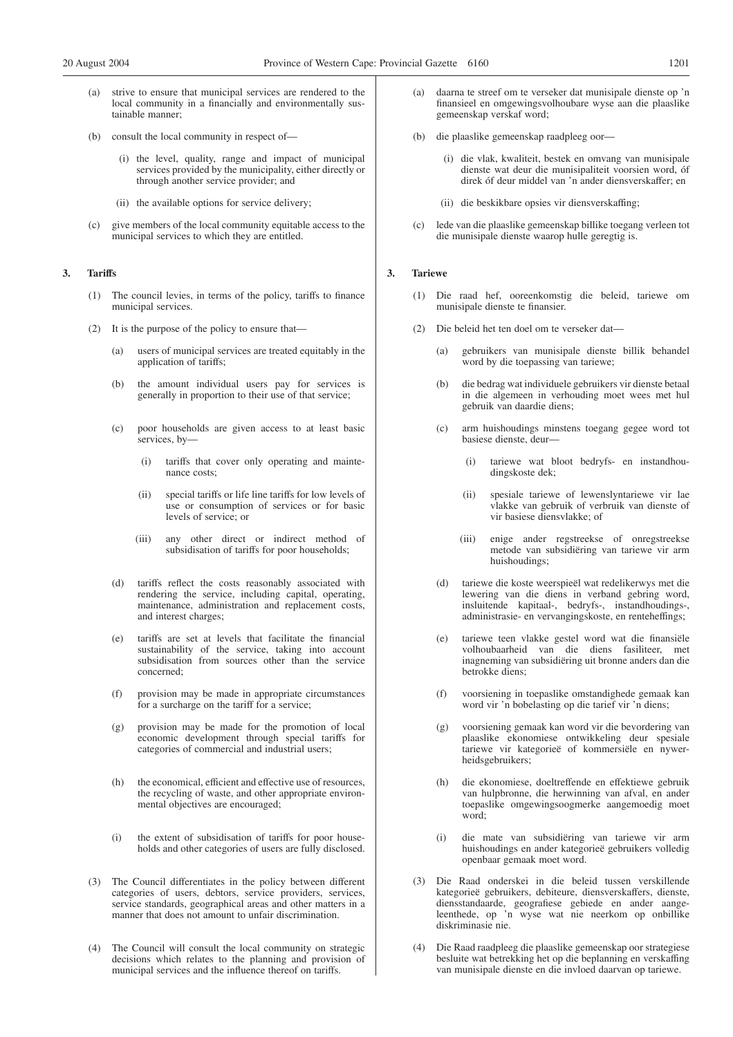- strive to ensure that municipal services are rendered to the local community in a financially and environmentally sustainable manner;
- (b) consult the local community in respect of—
	- (i) the level, quality, range and impact of municipal services provided by the municipality, either directly or through another service provider; and
	- (ii) the available options for service delivery;
- (c) give members of the local community equitable access to the municipal services to which they are entitled.

#### **3. Tariffs**

- (1) The council levies, in terms of the policy, tariffs to finance municipal services.
- (2) It is the purpose of the policy to ensure that—
	- (a) users of municipal services are treated equitably in the application of tariffs;
	- (b) the amount individual users pay for services is generally in proportion to their use of that service;
	- (c) poor households are given access to at least basic services, by—
		- (i) tariffs that cover only operating and maintenance costs;
		- (ii) special tariffs or life line tariffs for low levels of use or consumption of services or for basic levels of service; or
		- (iii) any other direct or indirect method of subsidisation of tariffs for poor households;
	- (d) tariffs reflect the costs reasonably associated with rendering the service, including capital, operating, maintenance, administration and replacement costs, and interest charges;
	- (e) tariffs are set at levels that facilitate the financial sustainability of the service, taking into account subsidisation from sources other than the service concerned;
	- (f) provision may be made in appropriate circumstances for a surcharge on the tariff for a service;
	- (g) provision may be made for the promotion of local economic development through special tariffs for categories of commercial and industrial users;
	- (h) the economical, efficient and effective use of resources, the recycling of waste, and other appropriate environmental objectives are encouraged;
	- (i) the extent of subsidisation of tariffs for poor households and other categories of users are fully disclosed.
- (3) The Council differentiates in the policy between different categories of users, debtors, service providers, services, service standards, geographical areas and other matters in a manner that does not amount to unfair discrimination.
- (4) The Council will consult the local community on strategic decisions which relates to the planning and provision of municipal services and the influence thereof on tariffs.
- daarna te streef om te verseker dat munisipale dienste op 'n finansieel en omgewingsvolhoubare wyse aan die plaaslike gemeenskap verskaf word;
- (b) die plaaslike gemeenskap raadpleeg oor—
	- (i) die vlak, kwaliteit, bestek en omvang van munisipale dienste wat deur die munisipaliteit voorsien word, óf direk óf deur middel van 'n ander diensverskaffer; en
	- (ii) die beskikbare opsies vir diensverskaffing;
- (c) lede van die plaaslike gemeenskap billike toegang verleen tot die munisipale dienste waarop hulle geregtig is.

#### **3. Tariewe**

- (1) Die raad hef, ooreenkomstig die beleid, tariewe om munisipale dienste te finansier.
- (2) Die beleid het ten doel om te verseker dat—
	- (a) gebruikers van munisipale dienste billik behandel word by die toepassing van tariewe;
	- (b) die bedrag wat individuele gebruikers vir dienste betaal in die algemeen in verhouding moet wees met hul gebruik van daardie diens;
	- (c) arm huishoudings minstens toegang gegee word tot basiese dienste, deur—
		- (i) tariewe wat bloot bedryfs- en instandhoudingskoste dek;
		- (ii) spesiale tariewe of lewenslyntariewe vir lae vlakke van gebruik of verbruik van dienste of vir basiese diensvlakke; of
		- (iii) enige ander regstreekse of onregstreekse metode van subsidiëring van tariewe vir arm huishoudings;
	- (d) tariewe die koste weerspieël wat redelikerwys met die lewering van die diens in verband gebring word, insluitende kapitaal-, bedryfs-, instandhoudings-, administrasie- en vervangingskoste, en renteheffings;
	- (e) tariewe teen vlakke gestel word wat die finansiële volhoubaarheid van die diens fasiliteer, met inagneming van subsidiëring uit bronne anders dan die betrokke diens;
	- (f) voorsiening in toepaslike omstandighede gemaak kan word vir 'n bobelasting op die tarief vir 'n diens;
	- (g) voorsiening gemaak kan word vir die bevordering van plaaslike ekonomiese ontwikkeling deur spesiale tariewe vir kategorieë of kommersiële en nywerheidsgebruikers;
	- (h) die ekonomiese, doeltreffende en effektiewe gebruik van hulpbronne, die herwinning van afval, en ander toepaslike omgewingsoogmerke aangemoedig moet word;
	- (i) die mate van subsidiëring van tariewe vir arm huishoudings en ander kategorieë gebruikers volledig openbaar gemaak moet word.
- (3) Die Raad onderskei in die beleid tussen verskillende kategorieë gebruikers, debiteure, diensverskaffers, dienste, diensstandaarde, geografiese gebiede en ander aangeleenthede, op 'n wyse wat nie neerkom op onbillike diskriminasie nie.
- (4) Die Raad raadpleeg die plaaslike gemeenskap oor strategiese besluite wat betrekking het op die beplanning en verskaffing van munisipale dienste en die invloed daarvan op tariewe.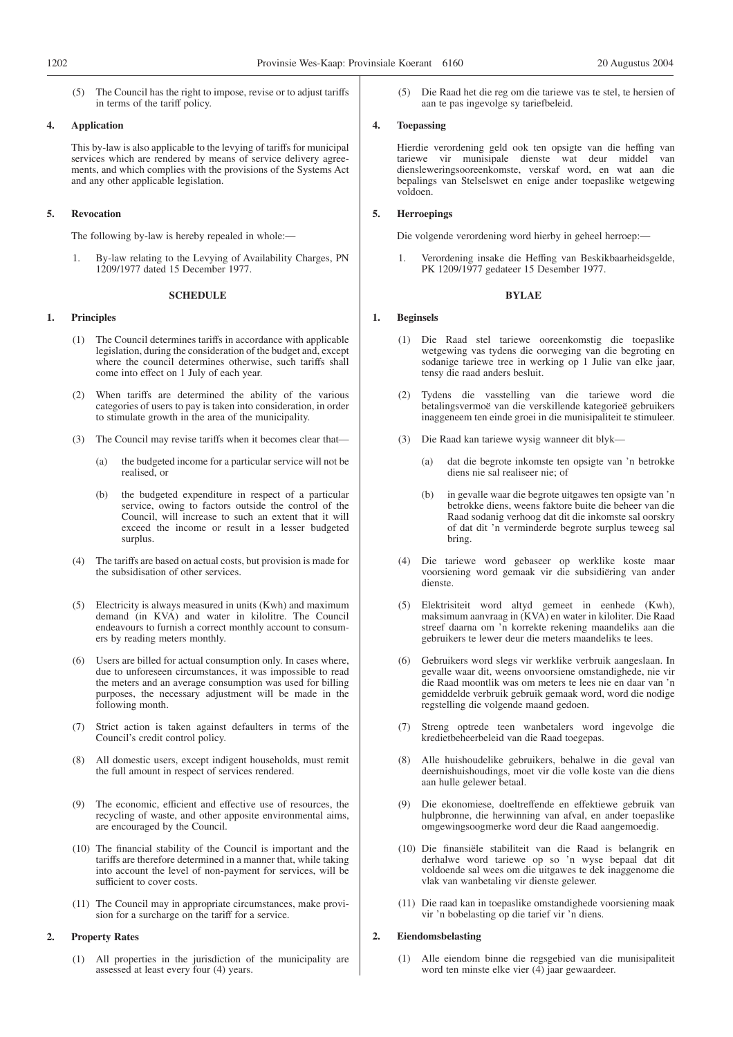(5) The Council has the right to impose, revise or to adjust tariffs in terms of the tariff policy.

#### **4. Application**

This by-law is also applicable to the levying of tariffs for municipal services which are rendered by means of service delivery agreements, and which complies with the provisions of the Systems Act and any other applicable legislation.

#### **5. Revocation**

The following by-law is hereby repealed in whole:—

1. By-law relating to the Levying of Availability Charges, PN 1209/1977 dated 15 December 1977.

#### **SCHEDULE**

#### **1. Principles**

- (1) The Council determines tariffs in accordance with applicable legislation, during the consideration of the budget and, except where the council determines otherwise, such tariffs shall come into effect on 1 July of each year.
- (2) When tariffs are determined the ability of the various categories of users to pay is taken into consideration, in order to stimulate growth in the area of the municipality.
- (3) The Council may revise tariffs when it becomes clear that—
	- (a) the budgeted income for a particular service will not be realised, or
	- (b) the budgeted expenditure in respect of a particular service, owing to factors outside the control of the Council, will increase to such an extent that it will exceed the income or result in a lesser budgeted surplus.
- (4) The tariffs are based on actual costs, but provision is made for the subsidisation of other services.
- (5) Electricity is always measured in units (Kwh) and maximum demand (in KVA) and water in kilolitre. The Council endeavours to furnish a correct monthly account to consumers by reading meters monthly.
- Users are billed for actual consumption only. In cases where, due to unforeseen circumstances, it was impossible to read the meters and an average consumption was used for billing purposes, the necessary adjustment will be made in the following month.
- (7) Strict action is taken against defaulters in terms of the Council's credit control policy.
- (8) All domestic users, except indigent households, must remit the full amount in respect of services rendered.
- (9) The economic, efficient and effective use of resources, the recycling of waste, and other apposite environmental aims, are encouraged by the Council.
- (10) The financial stability of the Council is important and the tariffs are therefore determined in a manner that, while taking into account the level of non-payment for services, will be sufficient to cover costs.
- (11) The Council may in appropriate circumstances, make provision for a surcharge on the tariff for a service.

#### **2. Property Rates**

(1) All properties in the jurisdiction of the municipality are assessed at least every four (4) years.

(5) Die Raad het die reg om die tariewe vas te stel, te hersien of aan te pas ingevolge sy tariefbeleid.

#### **4. Toepassing**

Hierdie verordening geld ook ten opsigte van die heffing van tariewe vir munisipale dienste wat deur middel van diensleweringsooreenkomste, verskaf word, en wat aan die bepalings van Stelselswet en enige ander toepaslike wetgewing voldoen.

#### **5. Herroepings**

Die volgende verordening word hierby in geheel herroep:—

Verordening insake die Heffing van Beskikbaarheidsgelde, PK 1209/1977 gedateer 15 Desember 1977.

#### **BYLAE**

#### **1. Beginsels**

- (1) Die Raad stel tariewe ooreenkomstig die toepaslike wetgewing vas tydens die oorweging van die begroting en sodanige tariewe tree in werking op 1 Julie van elke jaar, tensy die raad anders besluit.
- (2) Tydens die vasstelling van die tariewe word die betalingsvermoë van die verskillende kategorieë gebruikers inaggeneem ten einde groei in die munisipaliteit te stimuleer.
- (3) Die Raad kan tariewe wysig wanneer dit blyk—
	- (a) dat die begrote inkomste ten opsigte van 'n betrokke diens nie sal realiseer nie; of
	- (b) in gevalle waar die begrote uitgawes ten opsigte van 'n betrokke diens, weens faktore buite die beheer van die Raad sodanig verhoog dat dit die inkomste sal oorskry of dat dit 'n verminderde begrote surplus teweeg sal bring.
- (4) Die tariewe word gebaseer op werklike koste maar voorsiening word gemaak vir die subsidiëring van ander dienste.
- (5) Elektrisiteit word altyd gemeet in eenhede (Kwh), maksimum aanvraag in (KVA) en water in kiloliter. Die Raad streef daarna om 'n korrekte rekening maandeliks aan die gebruikers te lewer deur die meters maandeliks te lees.
- (6) Gebruikers word slegs vir werklike verbruik aangeslaan. In gevalle waar dit, weens onvoorsiene omstandighede, nie vir die Raad moontlik was om meters te lees nie en daar van 'n gemiddelde verbruik gebruik gemaak word, word die nodige regstelling die volgende maand gedoen.
- (7) Streng optrede teen wanbetalers word ingevolge die kredietbeheerbeleid van die Raad toegepas.
- (8) Alle huishoudelike gebruikers, behalwe in die geval van deernishuishoudings, moet vir die volle koste van die diens aan hulle gelewer betaal.
- (9) Die ekonomiese, doeltreffende en effektiewe gebruik van hulpbronne, die herwinning van afval, en ander toepaslike omgewingsoogmerke word deur die Raad aangemoedig.
- (10) Die finansiële stabiliteit van die Raad is belangrik en derhalwe word tariewe op so 'n wyse bepaal dat dit voldoende sal wees om die uitgawes te dek inaggenome die vlak van wanbetaling vir dienste gelewer.
- (11) Die raad kan in toepaslike omstandighede voorsiening maak vir 'n bobelasting op die tarief vir 'n diens.

#### **2. Eiendomsbelasting**

(1) Alle eiendom binne die regsgebied van die munisipaliteit word ten minste elke vier (4) jaar gewaardeer.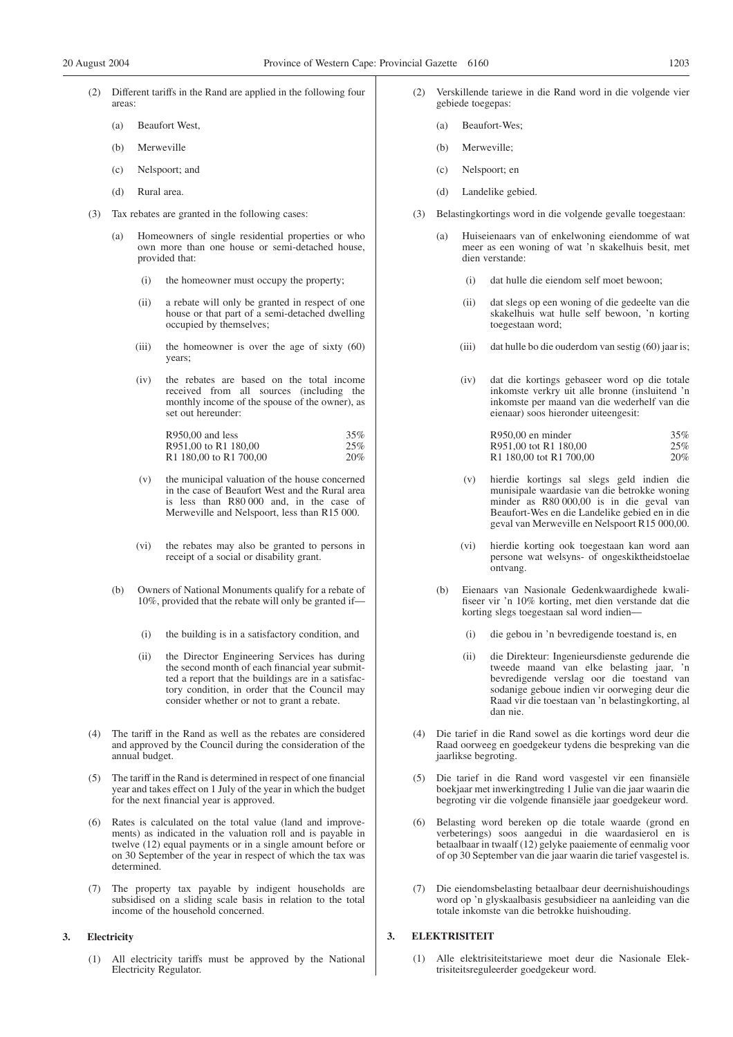- Different tariffs in the Rand are applied in the following four areas:
	- (a) Beaufort West,
	- (b) Merweville
	- (c) Nelspoort; and
	- (d) Rural area.
- (3) Tax rebates are granted in the following cases:
	- (a) Homeowners of single residential properties or who own more than one house or semi-detached house, provided that:
		- (i) the homeowner must occupy the property;
		- (ii) a rebate will only be granted in respect of one house or that part of a semi-detached dwelling occupied by themselves;
		- (iii) the homeowner is over the age of sixty (60) years;
		- (iv) the rebates are based on the total income received from all sources (including the monthly income of the spouse of the owner), as set out hereunder:

| $R950,00$ and less                             | 35% |
|------------------------------------------------|-----|
| R951,00 to R1 180,00                           | 25% |
| R <sub>1</sub> 180,00 to R <sub>1</sub> 700,00 | 20% |

- (v) the municipal valuation of the house concerned in the case of Beaufort West and the Rural area is less than R80 000 and, in the case of Merweville and Nelspoort, less than R15 000.
- (vi) the rebates may also be granted to persons in receipt of a social or disability grant.
- (b) Owners of National Monuments qualify for a rebate of 10%, provided that the rebate will only be granted if—
	- (i) the building is in a satisfactory condition, and
	- (ii) the Director Engineering Services has during the second month of each financial year submitted a report that the buildings are in a satisfactory condition, in order that the Council may consider whether or not to grant a rebate.
- (4) The tariff in the Rand as well as the rebates are considered and approved by the Council during the consideration of the annual budget.
- (5) The tariff in the Rand is determined in respect of one financial year and takes effect on 1 July of the year in which the budget for the next financial year is approved.
- (6) Rates is calculated on the total value (land and improvements) as indicated in the valuation roll and is payable in twelve (12) equal payments or in a single amount before or on 30 September of the year in respect of which the tax was determined.
- (7) The property tax payable by indigent households are subsidised on a sliding scale basis in relation to the total income of the household concerned.

#### **3. Electricity**

(1) All electricity tariffs must be approved by the National Electricity Regulator.

- (2) Verskillende tariewe in die Rand word in die volgende vier gebiede toegepas:
	- (a) Beaufort-Wes;
	- (b) Merweville;
	- (c) Nelspoort; en
	- (d) Landelike gebied.
- (3) Belastingkortings word in die volgende gevalle toegestaan:
	- (a) Huiseienaars van of enkelwoning eiendomme of wat meer as een woning of wat 'n skakelhuis besit, met dien verstande:
		- (i) dat hulle die eiendom self moet bewoon;
		- (ii) dat slegs op een woning of die gedeelte van die skakelhuis wat hulle self bewoon, 'n korting toegestaan word;
		- (iii) dat hulle bo die ouderdom van sestig (60) jaar is;
		- (iv) dat die kortings gebaseer word op die totale inkomste verkry uit alle bronne (insluitend 'n inkomste per maand van die wederhelf van die eienaar) soos hieronder uiteengesit:

| R950,00 en minder       | 35% |
|-------------------------|-----|
| R951.00 tot R1 180.00   | 25% |
| R1 180.00 tot R1 700.00 | 20% |

- hierdie kortings sal slegs geld indien die munisipale waardasie van die betrokke woning minder as R80 000,00 is in die geval van Beaufort-Wes en die Landelike gebied en in die geval van Merweville en Nelspoort R15 000,00.
- (vi) hierdie korting ook toegestaan kan word aan persone wat welsyns- of ongeskiktheidstoelae ontvang.
- (b) Eienaars van Nasionale Gedenkwaardighede kwalifiseer vir 'n 10% korting, met dien verstande dat die korting slegs toegestaan sal word indien—
	- (i) die gebou in 'n bevredigende toestand is, en
	- (ii) die Direkteur: Ingenieursdienste gedurende die tweede maand van elke belasting jaar, 'n bevredigende verslag oor die toestand van sodanige geboue indien vir oorweging deur die Raad vir die toestaan van 'n belastingkorting, al dan nie.
- (4) Die tarief in die Rand sowel as die kortings word deur die Raad oorweeg en goedgekeur tydens die bespreking van die jaarlikse begroting.
- (5) Die tarief in die Rand word vasgestel vir een finansiële boekjaar met inwerkingtreding 1 Julie van die jaar waarin die begroting vir die volgende finansiële jaar goedgekeur word.
- (6) Belasting word bereken op die totale waarde (grond en verbeterings) soos aangedui in die waardasierol en is betaalbaar in twaalf (12) gelyke paaiemente of eenmalig voor of op 30 September van die jaar waarin die tarief vasgestel is.
- (7) Die eiendomsbelasting betaalbaar deur deernishuishoudings word op 'n glyskaalbasis gesubsidieer na aanleiding van die totale inkomste van die betrokke huishouding.

#### **3. ELEKTRISITEIT**

(1) Alle elektrisiteitstariewe moet deur die Nasionale Elektrisiteitsreguleerder goedgekeur word.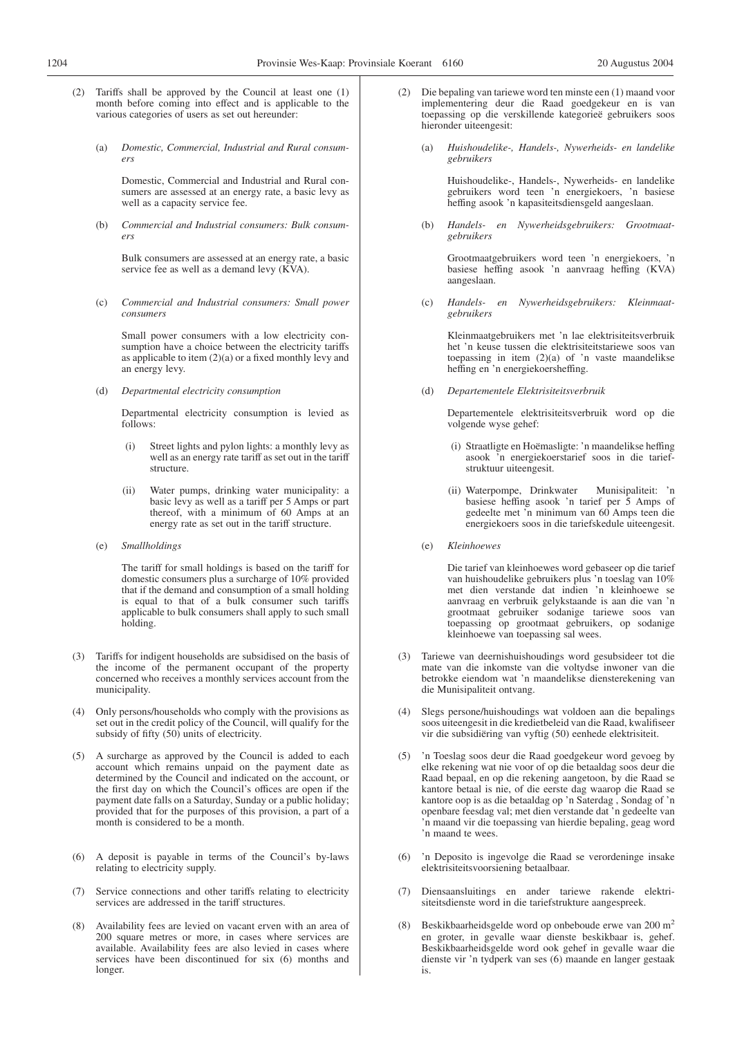- 
- (2) Tariffs shall be approved by the Council at least one (1) month before coming into effect and is applicable to the various categories of users as set out hereunder:
	- (a) *Domestic, Commercial, Industrial and Rural consumers*

Domestic, Commercial and Industrial and Rural consumers are assessed at an energy rate, a basic levy as well as a capacity service fee.

(b) *Commercial and Industrial consumers: Bulk consumers*

Bulk consumers are assessed at an energy rate, a basic service fee as well as a demand levy (KVA).

(c) *Commercial and Industrial consumers: Small power consumers*

Small power consumers with a low electricity consumption have a choice between the electricity tariffs as applicable to item  $(2)(a)$  or a fixed monthly levy and an energy levy.

(d) *Departmental electricity consumption*

Departmental electricity consumption is levied as follows:

- (i) Street lights and pylon lights: a monthly levy as well as an energy rate tariff as set out in the tariff structure.
- (ii) Water pumps, drinking water municipality: a basic levy as well as a tariff per 5 Amps or part thereof, with a minimum of 60 Amps at an energy rate as set out in the tariff structure.
- (e) *Smallholdings*

The tariff for small holdings is based on the tariff for domestic consumers plus a surcharge of 10% provided that if the demand and consumption of a small holding is equal to that of a bulk consumer such tariffs applicable to bulk consumers shall apply to such small holding.

- (3) Tariffs for indigent households are subsidised on the basis of the income of the permanent occupant of the property concerned who receives a monthly services account from the municipality.
- (4) Only persons/households who comply with the provisions as set out in the credit policy of the Council, will qualify for the subsidy of fifty (50) units of electricity.
- A surcharge as approved by the Council is added to each account which remains unpaid on the payment date as determined by the Council and indicated on the account, or the first day on which the Council's offices are open if the payment date falls on a Saturday, Sunday or a public holiday; provided that for the purposes of this provision, a part of a month is considered to be a month.
- (6) A deposit is payable in terms of the Council's by-laws relating to electricity supply.
- (7) Service connections and other tariffs relating to electricity services are addressed in the tariff structures.
- (8) Availability fees are levied on vacant erven with an area of 200 square metres or more, in cases where services are available. Availability fees are also levied in cases where services have been discontinued for six (6) months and longer.
- (2) Die bepaling van tariewe word ten minste een (1) maand voor implementering deur die Raad goedgekeur en is van toepassing op die verskillende kategorieë gebruikers soos hieronder uiteengesit:
	- (a) *Huishoudelike-, Handels-, Nywerheids- en landelike gebruikers*

Huishoudelike-, Handels-, Nywerheids- en landelike gebruikers word teen 'n energiekoers, 'n basiese heffing asook 'n kapasiteitsdiensgeld aangeslaan.

(b) *Handels- en Nywerheidsgebruikers: Grootmaatgebruikers*

> Grootmaatgebruikers word teen 'n energiekoers, 'n basiese heffing asook 'n aanvraag heffing (KVA) aangeslaan.

(c) *Handels- en Nywerheidsgebruikers: Kleinmaatgebruikers*

> Kleinmaatgebruikers met 'n lae elektrisiteitsverbruik het 'n keuse tussen die elektrisiteitstariewe soos van toepassing in item  $(2)(a)$  of 'n vaste maandelikse heffing en 'n energiekoersheffing.

(d) *Departementele Elektrisiteitsverbruik*

Departementele elektrisiteitsverbruik word op die volgende wyse gehef:

- (i) Straatligte en Hoëmasligte: 'n maandelikse heffing asook 'n energiekoerstarief soos in die tariefstruktuur uiteengesit.
- (ii) Waterpompe, Drinkwater Munisipaliteit: 'n basiese heffing asook 'n tarief per 5 Amps of gedeelte met 'n minimum van 60 Amps teen die energiekoers soos in die tariefskedule uiteengesit.
- (e) *Kleinhoewes*

Die tarief van kleinhoewes word gebaseer op die tarief van huishoudelike gebruikers plus 'n toeslag van 10% met dien verstande dat indien 'n kleinhoewe se aanvraag en verbruik gelykstaande is aan die van 'n grootmaat gebruiker sodanige tariewe soos van toepassing op grootmaat gebruikers, op sodanige kleinhoewe van toepassing sal wees.

- (3) Tariewe van deernishuishoudings word gesubsideer tot die mate van die inkomste van die voltydse inwoner van die betrokke eiendom wat 'n maandelikse diensterekening van die Munisipaliteit ontvang.
- (4) Slegs persone/huishoudings wat voldoen aan die bepalings soos uiteengesit in die kredietbeleid van die Raad, kwalifiseer vir die subsidiëring van vyftig (50) eenhede elektrisiteit.
- 'n Toeslag soos deur die Raad goedgekeur word gevoeg by elke rekening wat nie voor of op die betaaldag soos deur die Raad bepaal, en op die rekening aangetoon, by die Raad se kantore betaal is nie, of die eerste dag waarop die Raad se kantore oop is as die betaaldag op 'n Saterdag , Sondag of 'n openbare feesdag val; met dien verstande dat 'n gedeelte van 'n maand vir die toepassing van hierdie bepaling, geag word 'n maand te wees.
- (6) 'n Deposito is ingevolge die Raad se verordeninge insake elektrisiteitsvoorsiening betaalbaar.
- (7) Diensaansluitings en ander tariewe rakende elektrisiteitsdienste word in die tariefstrukture aangespreek.
- Beskikbaarheidsgelde word op onbeboude erwe van 200 m<sup>2</sup> en groter, in gevalle waar dienste beskikbaar is, gehef. Beskikbaarheidsgelde word ook gehef in gevalle waar die dienste vir 'n tydperk van ses (6) maande en langer gestaak is.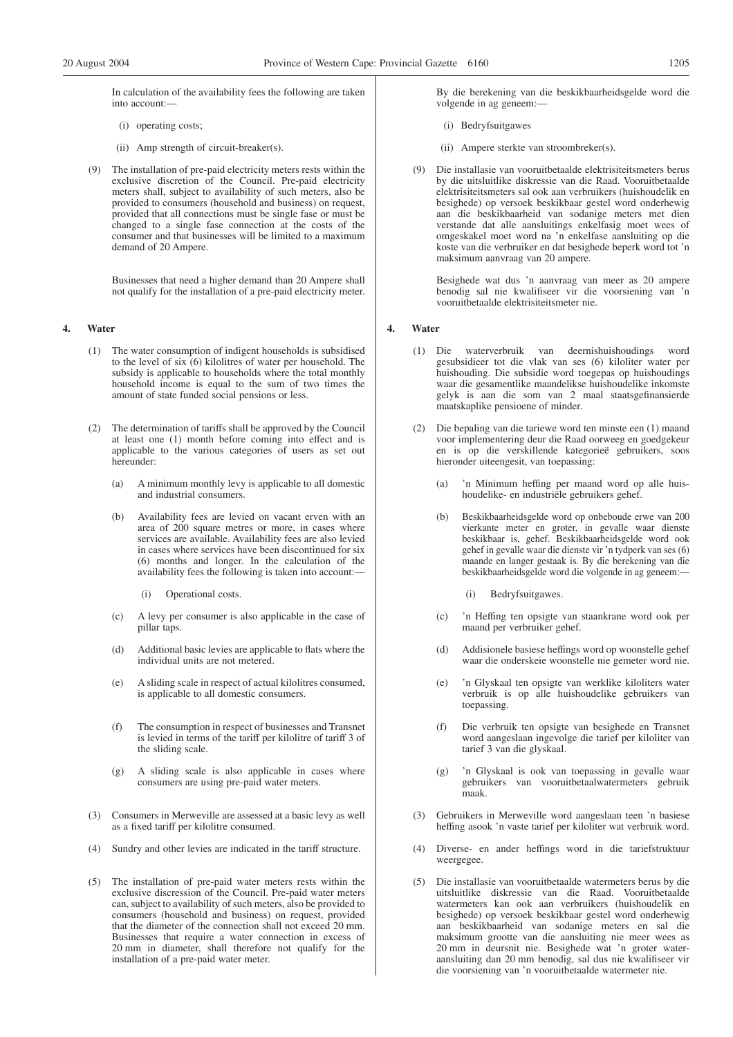In calculation of the availability fees the following are taken into account:—

- (i) operating costs;
- (ii) Amp strength of circuit-breaker(s).
- (9) The installation of pre-paid electricity meters rests within the exclusive discretion of the Council. Pre-paid electricity meters shall, subject to availability of such meters, also be provided to consumers (household and business) on request, provided that all connections must be single fase or must be changed to a single fase connection at the costs of the consumer and that businesses will be limited to a maximum demand of 20 Ampere.

Businesses that need a higher demand than 20 Ampere shall not qualify for the installation of a pre-paid electricity meter.

#### **4. Water**

- (1) The water consumption of indigent households is subsidised to the level of six (6) kilolitres of water per household. The subsidy is applicable to households where the total monthly household income is equal to the sum of two times the amount of state funded social pensions or less.
- (2) The determination of tariffs shall be approved by the Council at least one (1) month before coming into effect and is applicable to the various categories of users as set out hereunder:
	- (a) A minimum monthly levy is applicable to all domestic and industrial consumers.
	- (b) Availability fees are levied on vacant erven with an area of 200 square metres or more, in cases where services are available. Availability fees are also levied in cases where services have been discontinued for six (6) months and longer. In the calculation of the availability fees the following is taken into account:—
		- (i) Operational costs.
	- (c) A levy per consumer is also applicable in the case of pillar taps.
	- (d) Additional basic levies are applicable to flats where the individual units are not metered.
	- (e) A sliding scale in respect of actual kilolitres consumed, is applicable to all domestic consumers.
	- (f) The consumption in respect of businesses and Transnet is levied in terms of the tariff per kilolitre of tariff 3 of the sliding scale.
	- (g) A sliding scale is also applicable in cases where consumers are using pre-paid water meters.
- (3) Consumers in Merweville are assessed at a basic levy as well as a fixed tariff per kilolitre consumed.
- (4) Sundry and other levies are indicated in the tariff structure.
- (5) The installation of pre-paid water meters rests within the exclusive discression of the Council. Pre-paid water meters can, subject to availability of such meters, also be provided to consumers (household and business) on request, provided that the diameter of the connection shall not exceed 20 mm. Businesses that require a water connection in excess of 20 mm in diameter, shall therefore not qualify for the installation of a pre-paid water meter.

By die berekening van die beskikbaarheidsgelde word die volgende in ag geneem:—

- (i) Bedryfsuitgawes
- (ii) Ampere sterkte van stroombreker(s).
- (9) Die installasie van vooruitbetaalde elektrisiteitsmeters berus by die uitsluitlike diskressie van die Raad. Vooruitbetaalde elektrisiteitsmeters sal ook aan verbruikers (huishoudelik en besighede) op versoek beskikbaar gestel word onderhewig aan die beskikbaarheid van sodanige meters met dien verstande dat alle aansluitings enkelfasig moet wees of omgeskakel moet word na 'n enkelfase aansluiting op die koste van die verbruiker en dat besighede beperk word tot 'n maksimum aanvraag van 20 ampere.

Besighede wat dus 'n aanvraag van meer as 20 ampere benodig sal nie kwalifiseer vir die voorsiening van 'n vooruitbetaalde elektrisiteitsmeter nie.

#### **4. Water**

- (1) Die waterverbruik van deernishuishoudings word gesubsidieer tot die vlak van ses (6) kiloliter water per huishouding. Die subsidie word toegepas op huishoudings waar die gesamentlike maandelikse huishoudelike inkomste gelyk is aan die som van 2 maal staatsgefinansierde maatskaplike pensioene of minder.
- (2) Die bepaling van die tariewe word ten minste een (1) maand voor implementering deur die Raad oorweeg en goedgekeur en is op die verskillende kategorieë gebruikers, soos hieronder uiteengesit, van toepassing:
	- (a) 'n Minimum heffing per maand word op alle huishoudelike- en industriële gebruikers gehef.
	- (b) Beskikbaarheidsgelde word op onbeboude erwe van 200 vierkante meter en groter, in gevalle waar dienste beskikbaar is, gehef. Beskikbaarheidsgelde word ook gehef in gevalle waar die dienste vir 'n tydperk van ses (6) maande en langer gestaak is. By die berekening van die beskikbaarheidsgelde word die volgende in ag geneem:—
		- Bedryfsuitgawes.
	- (c) 'n Heffing ten opsigte van staankrane word ook per maand per verbruiker gehef.
	- (d) Addisionele basiese heffings word op woonstelle gehef waar die onderskeie woonstelle nie gemeter word nie.
	- (e) 'n Glyskaal ten opsigte van werklike kiloliters water verbruik is op alle huishoudelike gebruikers van toepassing.
	- (f) Die verbruik ten opsigte van besighede en Transnet word aangeslaan ingevolge die tarief per kiloliter van tarief 3 van die glyskaal.
	- (g) 'n Glyskaal is ook van toepassing in gevalle waar gebruikers van vooruitbetaalwatermeters gebruik maak.
- (3) Gebruikers in Merweville word aangeslaan teen 'n basiese heffing asook 'n vaste tarief per kiloliter wat verbruik word.
- (4) Diverse- en ander heffings word in die tariefstruktuur weergegee.
- (5) Die installasie van vooruitbetaalde watermeters berus by die uitsluitlike diskressie van die Raad. Vooruitbetaalde watermeters kan ook aan verbruikers (huishoudelik en besighede) op versoek beskikbaar gestel word onderhewig aan beskikbaarheid van sodanige meters en sal die maksimum grootte van die aansluiting nie meer wees as 20 mm in deursnit nie. Besighede wat 'n groter wateraansluiting dan 20 mm benodig, sal dus nie kwalifiseer vir die voorsiening van 'n vooruitbetaalde watermeter nie.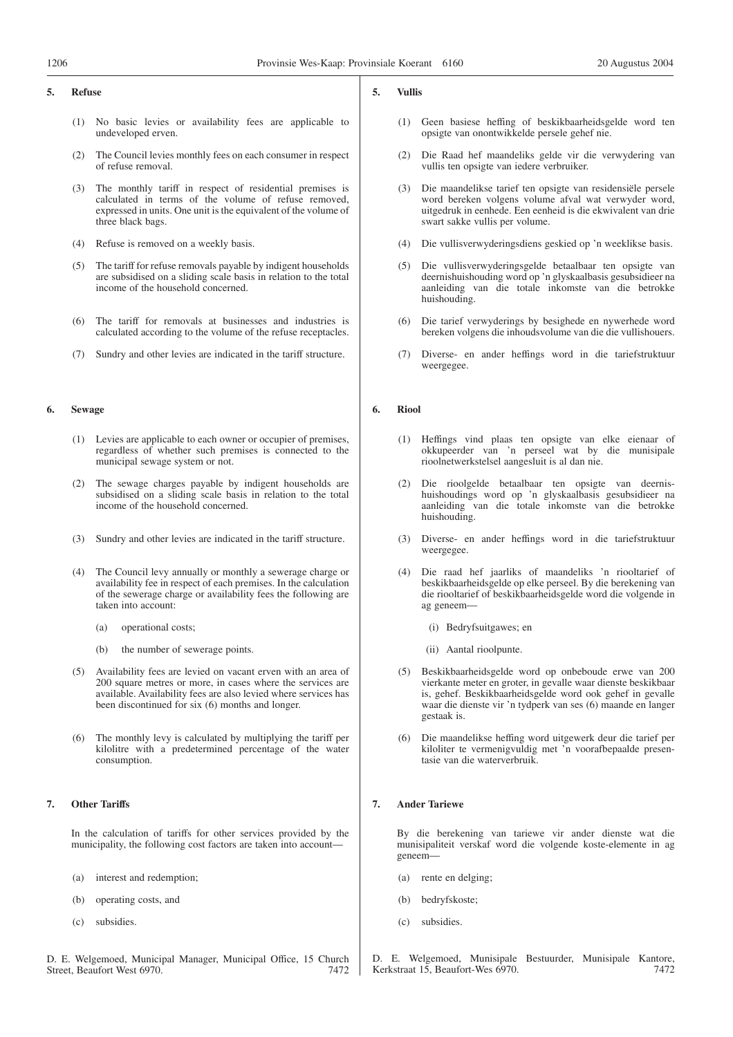#### **5. Refuse**

- (1) No basic levies or availability fees are applicable to undeveloped erven.
- (2) The Council levies monthly fees on each consumer in respect of refuse removal.
- (3) The monthly tariff in respect of residential premises is calculated in terms of the volume of refuse removed, expressed in units. One unit is the equivalent of the volume of three black bags.
- (4) Refuse is removed on a weekly basis.
- (5) The tariff for refuse removals payable by indigent households are subsidised on a sliding scale basis in relation to the total income of the household concerned.
- (6) The tariff for removals at businesses and industries is calculated according to the volume of the refuse receptacles.
- (7) Sundry and other levies are indicated in the tariff structure.

#### **6. Sewage**

- (1) Levies are applicable to each owner or occupier of premises, regardless of whether such premises is connected to the municipal sewage system or not.
- (2) The sewage charges payable by indigent households are subsidised on a sliding scale basis in relation to the total income of the household concerned.
- (3) Sundry and other levies are indicated in the tariff structure.
- (4) The Council levy annually or monthly a sewerage charge or availability fee in respect of each premises. In the calculation of the sewerage charge or availability fees the following are taken into account:
	- (a) operational costs;
	- (b) the number of sewerage points.
- (5) Availability fees are levied on vacant erven with an area of 200 square metres or more, in cases where the services are available. Availability fees are also levied where services has been discontinued for six (6) months and longer.
- (6) The monthly levy is calculated by multiplying the tariff per kilolitre with a predetermined percentage of the water consumption.

#### **7. Other Tariffs**

In the calculation of tariffs for other services provided by the municipality, the following cost factors are taken into account—

- (a) interest and redemption;
- (b) operating costs, and
- (c) subsidies.
- D. E. Welgemoed, Municipal Manager, Municipal Office, 15 Church Street, Beaufort West 6970. 7472

#### **5. Vullis**

- (1) Geen basiese heffing of beskikbaarheidsgelde word ten opsigte van onontwikkelde persele gehef nie.
- (2) Die Raad hef maandeliks gelde vir die verwydering van vullis ten opsigte van iedere verbruiker.
- (3) Die maandelikse tarief ten opsigte van residensiële persele word bereken volgens volume afval wat verwyder word, uitgedruk in eenhede. Een eenheid is die ekwivalent van drie swart sakke vullis per volume.
- (4) Die vullisverwyderingsdiens geskied op 'n weeklikse basis.
- (5) Die vullisverwyderingsgelde betaalbaar ten opsigte van deernishuishouding word op 'n glyskaalbasis gesubsidieer na aanleiding van die totale inkomste van die betrokke huishouding.
- (6) Die tarief verwyderings by besighede en nywerhede word bereken volgens die inhoudsvolume van die die vullishouers.
- (7) Diverse- en ander heffings word in die tariefstruktuur weergegee.

#### **6. Riool**

- (1) Heffings vind plaas ten opsigte van elke eienaar of okkupeerder van 'n perseel wat by die munisipale rioolnetwerkstelsel aangesluit is al dan nie.
- (2) Die rioolgelde betaalbaar ten opsigte van deernishuishoudings word op 'n glyskaalbasis gesubsidieer na aanleiding van die totale inkomste van die betrokke huishouding.
- (3) Diverse- en ander heffings word in die tariefstruktuur weergegee.
- (4) Die raad hef jaarliks of maandeliks 'n riooltarief of beskikbaarheidsgelde op elke perseel. By die berekening van die riooltarief of beskikbaarheidsgelde word die volgende in ag geneem—
	- (i) Bedryfsuitgawes; en
	- (ii) Aantal rioolpunte.
- (5) Beskikbaarheidsgelde word op onbeboude erwe van 200 vierkante meter en groter, in gevalle waar dienste beskikbaar is, gehef. Beskikbaarheidsgelde word ook gehef in gevalle waar die dienste vir 'n tydperk van ses (6) maande en langer gestaak is.
- (6) Die maandelikse heffing word uitgewerk deur die tarief per kiloliter te vermenigvuldig met 'n voorafbepaalde presentasie van die waterverbruik.

#### **7. Ander Tariewe**

By die berekening van tariewe vir ander dienste wat die munisipaliteit verskaf word die volgende koste-elemente in ag geneem—

- (a) rente en delging;
- (b) bedryfskoste;
- (c) subsidies.

D. E. Welgemoed, Munisipale Bestuurder, Munisipale Kantore, Kerkstraat 15, Beaufort-Wes 6970. 7472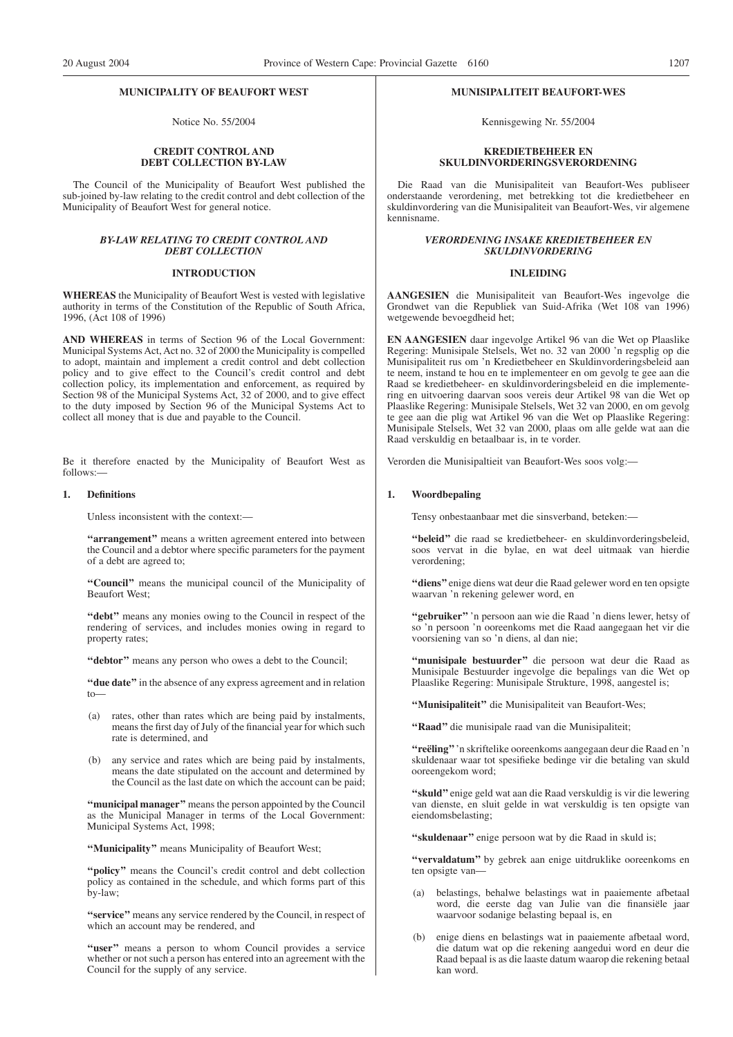#### **MUNICIPALITY OF BEAUFORT WEST**

Notice No. 55/2004

#### **CREDIT CONTROL AND DEBT COLLECTION BY-LAW**

The Council of the Municipality of Beaufort West published the sub-joined by-law relating to the credit control and debt collection of the Municipality of Beaufort West for general notice.

#### *BY-LAW RELATING TO CREDIT CONTROL AND DEBT COLLECTION*

#### **INTRODUCTION**

**WHEREAS** the Municipality of Beaufort West is vested with legislative authority in terms of the Constitution of the Republic of South Africa, 1996, (Act 108 of 1996)

**AND WHEREAS** in terms of Section 96 of the Local Government: Municipal Systems Act, Act no. 32 of 2000 the Municipality is compelled to adopt, maintain and implement a credit control and debt collection policy and to give effect to the Council's credit control and debt collection policy, its implementation and enforcement, as required by Section 98 of the Municipal Systems Act, 32 of 2000, and to give effect to the duty imposed by Section 96 of the Municipal Systems Act to collect all money that is due and payable to the Council.

Be it therefore enacted by the Municipality of Beaufort West as follows:—

#### **1. Definitions**

Unless inconsistent with the context:—

"arrangement" means a written agreement entered into between the Council and a debtor where specific parameters for the payment of a debt are agreed to;

**''Council''** means the municipal council of the Municipality of Beaufort West;

**''debt''** means any monies owing to the Council in respect of the rendering of services, and includes monies owing in regard to property rates;

**''debtor''** means any person who owes a debt to the Council;

**''due date''** in the absence of any express agreement and in relation to—

- (a) rates, other than rates which are being paid by instalments, means the first day of July of the financial year for which such rate is determined, and
- (b) any service and rates which are being paid by instalments, means the date stipulated on the account and determined by the Council as the last date on which the account can be paid;

**''municipal manager''** means the person appointed by the Council as the Municipal Manager in terms of the Local Government: Municipal Systems Act, 1998;

**''Municipality''** means Municipality of Beaufort West;

**''policy''** means the Council's credit control and debt collection policy as contained in the schedule, and which forms part of this by-law;

**''service''** means any service rendered by the Council, in respect of which an account may be rendered, and

"user" means a person to whom Council provides a service whether or not such a person has entered into an agreement with the Council for the supply of any service.

#### **MUNISIPALITEIT BEAUFORT-WES**

Kennisgewing Nr. 55/2004

#### **KREDIETBEHEER EN SKULDINVORDERINGSVERORDENING**

Die Raad van die Munisipaliteit van Beaufort-Wes publiseer onderstaande verordening, met betrekking tot die kredietbeheer en skuldinvordering van die Munisipaliteit van Beaufort-Wes, vir algemene kennisname.

#### *VERORDENING INSAKE KREDIETBEHEER EN SKULDINVORDERING*

#### **INLEIDING**

**AANGESIEN** die Munisipaliteit van Beaufort-Wes ingevolge die Grondwet van die Republiek van Suid-Afrika (Wet 108 van 1996) wetgewende bevoegdheid het;

**EN AANGESIEN** daar ingevolge Artikel 96 van die Wet op Plaaslike Regering: Munisipale Stelsels, Wet no. 32 van 2000 'n regsplig op die Munisipaliteit rus om 'n Kredietbeheer en Skuldinvorderingsbeleid aan te neem, instand te hou en te implementeer en om gevolg te gee aan die Raad se kredietbeheer- en skuldinvorderingsbeleid en die implementering en uitvoering daarvan soos vereis deur Artikel 98 van die Wet op Plaaslike Regering: Munisipale Stelsels, Wet 32 van 2000, en om gevolg te gee aan die plig wat Artikel 96 van die Wet op Plaaslike Regering: Munisipale Stelsels, Wet 32 van 2000, plaas om alle gelde wat aan die Raad verskuldig en betaalbaar is, in te vorder.

Verorden die Munisipaltieit van Beaufort-Wes soos volg:—

#### **1. Woordbepaling**

Tensy onbestaanbaar met die sinsverband, beteken:—

**''beleid''** die raad se kredietbeheer- en skuldinvorderingsbeleid, soos vervat in die bylae, en wat deel uitmaak van hierdie verordening;

**''diens''** enige diens wat deur die Raad gelewer word en ten opsigte waarvan 'n rekening gelewer word, en

**''gebruiker''** 'n persoon aan wie die Raad 'n diens lewer, hetsy of so 'n persoon 'n ooreenkoms met die Raad aangegaan het vir die voorsiening van so 'n diens, al dan nie;

**''munisipale bestuurder''** die persoon wat deur die Raad as Munisipale Bestuurder ingevolge die bepalings van die Wet op Plaaslike Regering: Munisipale Strukture, 1998, aangestel is;

**''Munisipaliteit''** die Munisipaliteit van Beaufort-Wes;

**''Raad''** die munisipale raad van die Munisipaliteit;

**''reëling''**'n skriftelike ooreenkoms aangegaan deur die Raad en 'n skuldenaar waar tot spesifieke bedinge vir die betaling van skuld ooreengekom word;

**''skuld''** enige geld wat aan die Raad verskuldig is vir die lewering van dienste, en sluit gelde in wat verskuldig is ten opsigte van eiendomsbelasting;

**''skuldenaar''** enige persoon wat by die Raad in skuld is;

**''vervaldatum''** by gebrek aan enige uitdruklike ooreenkoms en ten opsigte van—

- (a) belastings, behalwe belastings wat in paaiemente afbetaal word, die eerste dag van Julie van die finansiële jaar waarvoor sodanige belasting bepaal is, en
- enige diens en belastings wat in paaiemente afbetaal word, die datum wat op die rekening aangedui word en deur die Raad bepaal is as die laaste datum waarop die rekening betaal kan word.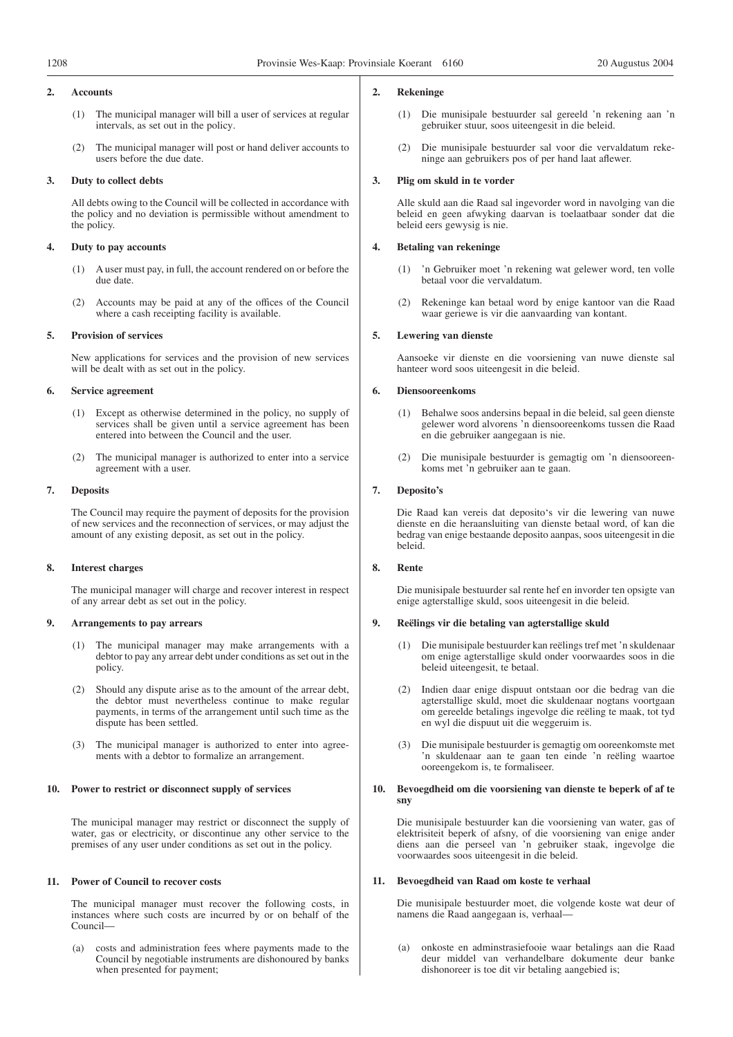#### **2. Accounts**

- (1) The municipal manager will bill a user of services at regular intervals, as set out in the policy.
- (2) The municipal manager will post or hand deliver accounts to users before the due date.

#### **3. Duty to collect debts**

All debts owing to the Council will be collected in accordance with the policy and no deviation is permissible without amendment to the policy.

#### **4. Duty to pay accounts**

- (1) A user must pay, in full, the account rendered on or before the due date.
- (2) Accounts may be paid at any of the offices of the Council where a cash receipting facility is available.

#### **5. Provision of services**

New applications for services and the provision of new services will be dealt with as set out in the policy.

#### **6. Service agreement**

- (1) Except as otherwise determined in the policy, no supply of services shall be given until a service agreement has been entered into between the Council and the user.
- (2) The municipal manager is authorized to enter into a service agreement with a user.

#### **7. Deposits**

The Council may require the payment of deposits for the provision of new services and the reconnection of services, or may adjust the amount of any existing deposit, as set out in the policy.

#### **8. Interest charges**

The municipal manager will charge and recover interest in respect of any arrear debt as set out in the policy.

#### **9. Arrangements to pay arrears**

- The municipal manager may make arrangements with a debtor to pay any arrear debt under conditions as set out in the policy.
- (2) Should any dispute arise as to the amount of the arrear debt, the debtor must nevertheless continue to make regular payments, in terms of the arrangement until such time as the dispute has been settled.
- (3) The municipal manager is authorized to enter into agreements with a debtor to formalize an arrangement.

#### **10. Power to restrict or disconnect supply of services**

The municipal manager may restrict or disconnect the supply of water, gas or electricity, or discontinue any other service to the premises of any user under conditions as set out in the policy.

#### **11. Power of Council to recover costs**

The municipal manager must recover the following costs, in instances where such costs are incurred by or on behalf of the Council—

(a) costs and administration fees where payments made to the Council by negotiable instruments are dishonoured by banks when presented for payment;

#### **2. Rekeninge**

- (1) Die munisipale bestuurder sal gereeld 'n rekening aan 'n gebruiker stuur, soos uiteengesit in die beleid.
- Die munisipale bestuurder sal voor die vervaldatum rekeninge aan gebruikers pos of per hand laat aflewer.

#### **3. Plig om skuld in te vorder**

Alle skuld aan die Raad sal ingevorder word in navolging van die beleid en geen afwyking daarvan is toelaatbaar sonder dat die beleid eers gewysig is nie.

#### **4. Betaling van rekeninge**

- (1) 'n Gebruiker moet 'n rekening wat gelewer word, ten volle betaal voor die vervaldatum.
- (2) Rekeninge kan betaal word by enige kantoor van die Raad waar geriewe is vir die aanvaarding van kontant.

#### **5. Lewering van dienste**

Aansoeke vir dienste en die voorsiening van nuwe dienste sal hanteer word soos uiteengesit in die beleid.

#### **6. Diensooreenkoms**

- (1) Behalwe soos andersins bepaal in die beleid, sal geen dienste gelewer word alvorens 'n diensooreenkoms tussen die Raad en die gebruiker aangegaan is nie.
- (2) Die munisipale bestuurder is gemagtig om 'n diensooreenkoms met 'n gebruiker aan te gaan.

#### **7. Deposito's**

Die Raad kan vereis dat deposito's vir die lewering van nuwe dienste en die heraansluiting van dienste betaal word, of kan die bedrag van enige bestaande deposito aanpas, soos uiteengesit in die beleid.

#### **8. Rente**

Die munisipale bestuurder sal rente hef en invorder ten opsigte van enige agterstallige skuld, soos uiteengesit in die beleid.

#### **9. Reëlings vir die betaling van agterstallige skuld**

- (1) Die munisipale bestuurder kan reëlings tref met 'n skuldenaar om enige agterstallige skuld onder voorwaardes soos in die beleid uiteengesit, te betaal.
- Indien daar enige dispuut ontstaan oor die bedrag van die agterstallige skuld, moet die skuldenaar nogtans voortgaan om gereelde betalings ingevolge die reëling te maak, tot tyd en wyl die dispuut uit die weggeruim is.
- (3) Die munisipale bestuurder is gemagtig om ooreenkomste met 'n skuldenaar aan te gaan ten einde 'n reëling waartoe ooreengekom is, te formaliseer.

#### **10. Bevoegdheid om die voorsiening van dienste te beperk of af te sny**

Die munisipale bestuurder kan die voorsiening van water, gas of elektrisiteit beperk of afsny, of die voorsiening van enige ander diens aan die perseel van 'n gebruiker staak, ingevolge die voorwaardes soos uiteengesit in die beleid.

#### **11. Bevoegdheid van Raad om koste te verhaal**

Die munisipale bestuurder moet, die volgende koste wat deur of namens die Raad aangegaan is, verhaal—

(a) onkoste en adminstrasiefooie waar betalings aan die Raad deur middel van verhandelbare dokumente deur banke dishonoreer is toe dit vir betaling aangebied is;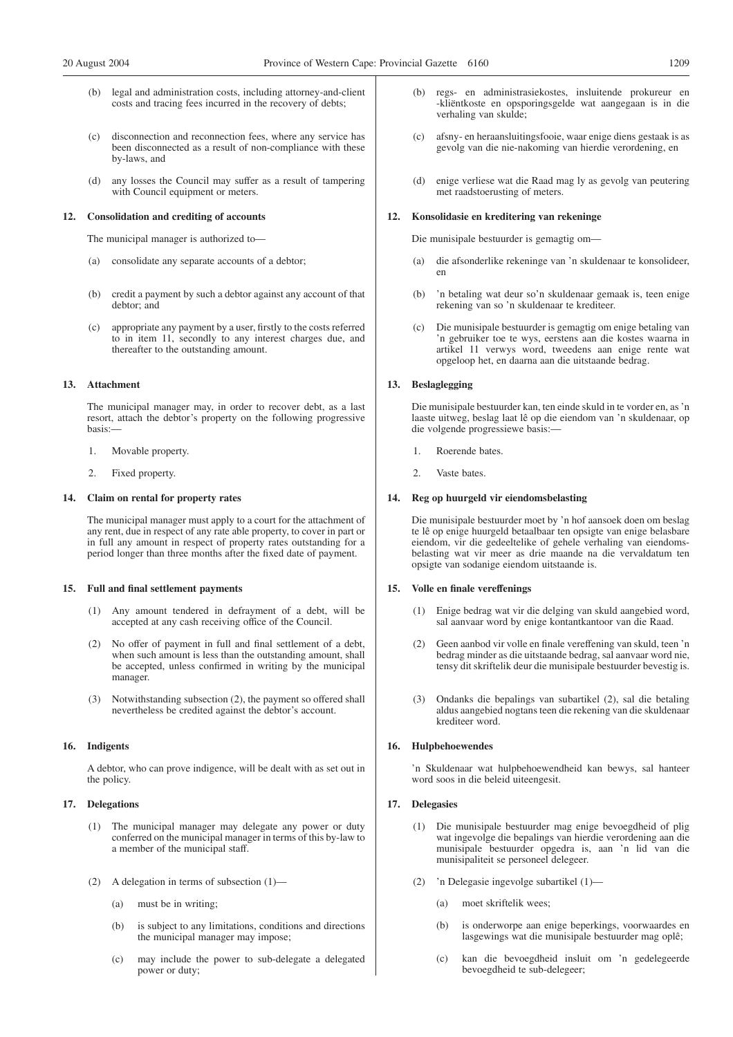- legal and administration costs, including attorney-and-client costs and tracing fees incurred in the recovery of debts;
- (c) disconnection and reconnection fees, where any service has been disconnected as a result of non-compliance with these by-laws, and
- (d) any losses the Council may suffer as a result of tampering with Council equipment or meters.

#### **12. Consolidation and crediting of accounts**

The municipal manager is authorized to—

- (a) consolidate any separate accounts of a debtor;
- (b) credit a payment by such a debtor against any account of that debtor; and
- (c) appropriate any payment by a user, firstly to the costs referred to in item 11, secondly to any interest charges due, and thereafter to the outstanding amount.

#### **13. Attachment**

The municipal manager may, in order to recover debt, as a last resort, attach the debtor's property on the following progressive basis:—

- 1. Movable property.
- 2. Fixed property.

#### **14. Claim on rental for property rates**

The municipal manager must apply to a court for the attachment of any rent, due in respect of any rate able property, to cover in part or in full any amount in respect of property rates outstanding for a period longer than three months after the fixed date of payment.

#### **15. Full and final settlement payments**

- (1) Any amount tendered in defrayment of a debt, will be accepted at any cash receiving office of the Council.
- (2) No offer of payment in full and final settlement of a debt, when such amount is less than the outstanding amount, shall be accepted, unless confirmed in writing by the municipal manager.
- (3) Notwithstanding subsection (2), the payment so offered shall nevertheless be credited against the debtor's account.

#### **16. Indigents**

A debtor, who can prove indigence, will be dealt with as set out in the policy.

#### **17. Delegations**

- (1) The municipal manager may delegate any power or duty conferred on the municipal manager in terms of this by-law to a member of the municipal staff.
- (2) A delegation in terms of subsection (1)—
	- (a) must be in writing;
	- (b) is subject to any limitations, conditions and directions the municipal manager may impose;
	- (c) may include the power to sub-delegate a delegated power or duty;
- (b) regs- en administrasiekostes, insluitende prokureur en -kliëntkoste en opsporingsgelde wat aangegaan is in die verhaling van skulde;
- (c) afsny- en heraansluitingsfooie, waar enige diens gestaak is as gevolg van die nie-nakoming van hierdie verordening, en
- (d) enige verliese wat die Raad mag ly as gevolg van peutering met raadstoerusting of meters.

#### **12. Konsolidasie en kreditering van rekeninge**

Die munisipale bestuurder is gemagtig om—

- (a) die afsonderlike rekeninge van 'n skuldenaar te konsolideer, en
- (b) 'n betaling wat deur so'n skuldenaar gemaak is, teen enige rekening van so 'n skuldenaar te krediteer.
- (c) Die munisipale bestuurder is gemagtig om enige betaling van 'n gebruiker toe te wys, eerstens aan die kostes waarna in artikel 11 verwys word, tweedens aan enige rente wat opgeloop het, en daarna aan die uitstaande bedrag.

#### **13. Beslaglegging**

Die munisipale bestuurder kan, ten einde skuld in te vorder en, as 'n laaste uitweg, beslag laat lê op die eiendom van 'n skuldenaar, op die volgende progressiewe basis:—

- 1. Roerende bates.
- 2. Vaste bates.

#### **14. Reg op huurgeld vir eiendomsbelasting**

Die munisipale bestuurder moet by 'n hof aansoek doen om beslag te lê op enige huurgeld betaalbaar ten opsigte van enige belasbare eiendom, vir die gedeeltelike of gehele verhaling van eiendomsbelasting wat vir meer as drie maande na die vervaldatum ten opsigte van sodanige eiendom uitstaande is.

#### **15. Volle en finale vereffenings**

- (1) Enige bedrag wat vir die delging van skuld aangebied word, sal aanvaar word by enige kontantkantoor van die Raad.
- (2) Geen aanbod vir volle en finale vereffening van skuld, teen 'n bedrag minder as die uitstaande bedrag, sal aanvaar word nie, tensy dit skriftelik deur die munisipale bestuurder bevestig is.
- (3) Ondanks die bepalings van subartikel (2), sal die betaling aldus aangebied nogtans teen die rekening van die skuldenaar krediteer word.

#### **16. Hulpbehoewendes**

'n Skuldenaar wat hulpbehoewendheid kan bewys, sal hanteer word soos in die beleid uiteengesit.

#### **17. Delegasies**

- (1) Die munisipale bestuurder mag enige bevoegdheid of plig wat ingevolge die bepalings van hierdie verordening aan die munisipale bestuurder opgedra is, aan 'n lid van die munisipaliteit se personeel delegeer.
- (2) 'n Delegasie ingevolge subartikel (1)—
	- (a) moet skriftelik wees;
	- (b) is onderworpe aan enige beperkings, voorwaardes en lasgewings wat die munisipale bestuurder mag oplê;
	- (c) kan die bevoegdheid insluit om 'n gedelegeerde bevoegdheid te sub-delegeer;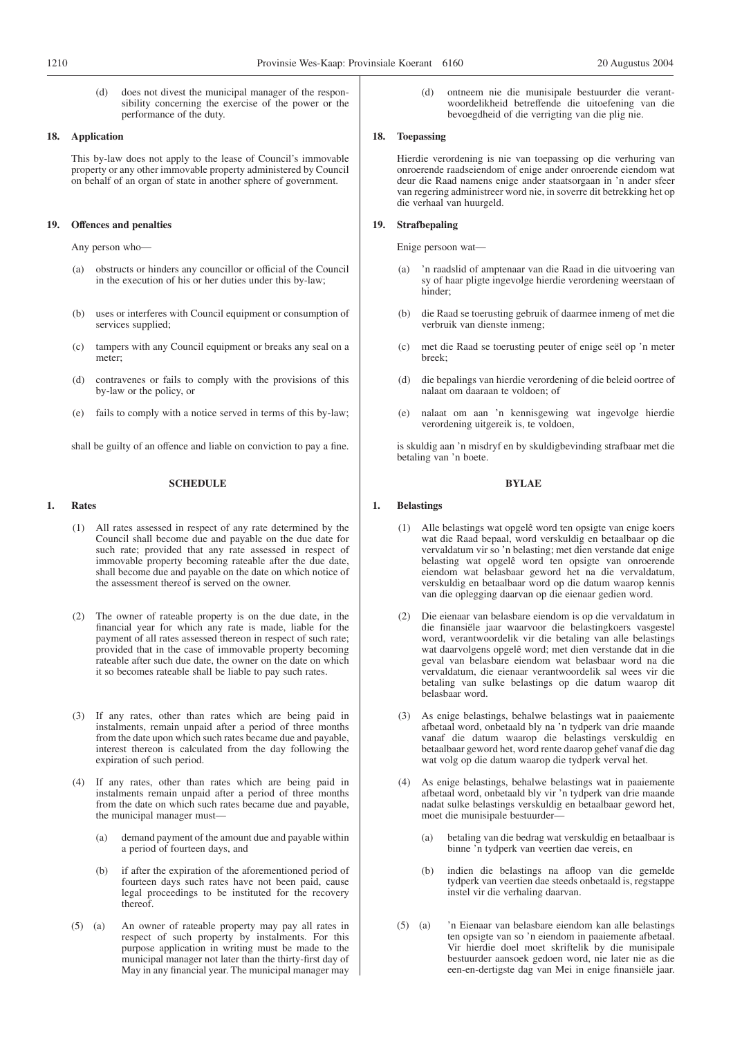(d) does not divest the municipal manager of the responsibility concerning the exercise of the power or the performance of the duty.

#### **18. Application**

This by-law does not apply to the lease of Council's immovable property or any other immovable property administered by Council on behalf of an organ of state in another sphere of government.

#### **19. Offences and penalties**

Any person who—

- (a) obstructs or hinders any councillor or official of the Council in the execution of his or her duties under this by-law;
- (b) uses or interferes with Council equipment or consumption of services supplied;
- (c) tampers with any Council equipment or breaks any seal on a meter;
- (d) contravenes or fails to comply with the provisions of this by-law or the policy, or
- (e) fails to comply with a notice served in terms of this by-law;

shall be guilty of an offence and liable on conviction to pay a fine.

#### **SCHEDULE**

#### **1. Rates**

- (1) All rates assessed in respect of any rate determined by the Council shall become due and payable on the due date for such rate; provided that any rate assessed in respect of immovable property becoming rateable after the due date, shall become due and payable on the date on which notice of the assessment thereof is served on the owner.
- (2) The owner of rateable property is on the due date, in the financial year for which any rate is made, liable for the payment of all rates assessed thereon in respect of such rate; provided that in the case of immovable property becoming rateable after such due date, the owner on the date on which it so becomes rateable shall be liable to pay such rates.
- (3) If any rates, other than rates which are being paid in instalments, remain unpaid after a period of three months from the date upon which such rates became due and payable, interest thereon is calculated from the day following the expiration of such period.
- (4) If any rates, other than rates which are being paid in instalments remain unpaid after a period of three months from the date on which such rates became due and payable, the municipal manager must—
	- (a) demand payment of the amount due and payable within a period of fourteen days, and
	- (b) if after the expiration of the aforementioned period of fourteen days such rates have not been paid, cause legal proceedings to be instituted for the recovery thereof
- (5) (a) An owner of rateable property may pay all rates in respect of such property by instalments. For this purpose application in writing must be made to the municipal manager not later than the thirty-first day of May in any financial year. The municipal manager may

(d) ontneem nie die munisipale bestuurder die verantwoordelikheid betreffende die uitoefening van die bevoegdheid of die verrigting van die plig nie.

#### **18. Toepassing**

Hierdie verordening is nie van toepassing op die verhuring van onroerende raadseiendom of enige ander onroerende eiendom wat deur die Raad namens enige ander staatsorgaan in 'n ander sfeer van regering administreer word nie, in soverre dit betrekking het op die verhaal van huurgeld.

#### **19. Strafbepaling**

Enige persoon wat—

- (a) 'n raadslid of amptenaar van die Raad in die uitvoering van sy of haar pligte ingevolge hierdie verordening weerstaan of hinder;
- (b) die Raad se toerusting gebruik of daarmee inmeng of met die verbruik van dienste inmeng;
- (c) met die Raad se toerusting peuter of enige seël op 'n meter breek;
- (d) die bepalings van hierdie verordening of die beleid oortree of nalaat om daaraan te voldoen; of
- (e) nalaat om aan 'n kennisgewing wat ingevolge hierdie verordening uitgereik is, te voldoen,

is skuldig aan 'n misdryf en by skuldigbevinding strafbaar met die betaling van 'n boete.

#### **BYLAE**

#### **1. Belastings**

- (1) Alle belastings wat opgelê word ten opsigte van enige koers wat die Raad bepaal, word verskuldig en betaalbaar op die vervaldatum vir so 'n belasting; met dien verstande dat enige belasting wat opgelê word ten opsigte van onroerende eiendom wat belasbaar geword het na die vervaldatum, verskuldig en betaalbaar word op die datum waarop kennis van die oplegging daarvan op die eienaar gedien word.
- (2) Die eienaar van belasbare eiendom is op die vervaldatum in die finansiële jaar waarvoor die belastingkoers vasgestel word, verantwoordelik vir die betaling van alle belastings wat daarvolgens opgelê word; met dien verstande dat in die geval van belasbare eiendom wat belasbaar word na die vervaldatum, die eienaar verantwoordelik sal wees vir die betaling van sulke belastings op die datum waarop dit belasbaar word.
- (3) As enige belastings, behalwe belastings wat in paaiemente afbetaal word, onbetaald bly na 'n tydperk van drie maande vanaf die datum waarop die belastings verskuldig en betaalbaar geword het, word rente daarop gehef vanaf die dag wat volg op die datum waarop die tydperk verval het.
- (4) As enige belastings, behalwe belastings wat in paaiemente afbetaal word, onbetaald bly vir 'n tydperk van drie maande nadat sulke belastings verskuldig en betaalbaar geword het, moet die munisipale bestuurder—
	- (a) betaling van die bedrag wat verskuldig en betaalbaar is binne 'n tydperk van veertien dae vereis, en
	- (b) indien die belastings na afloop van die gemelde tydperk van veertien dae steeds onbetaald is, regstappe instel vir die verhaling daarvan.
- (5) (a) 'n Eienaar van belasbare eiendom kan alle belastings ten opsigte van so 'n eiendom in paaiemente afbetaal. Vir hierdie doel moet skriftelik by die munisipale bestuurder aansoek gedoen word, nie later nie as die een-en-dertigste dag van Mei in enige finansiële jaar.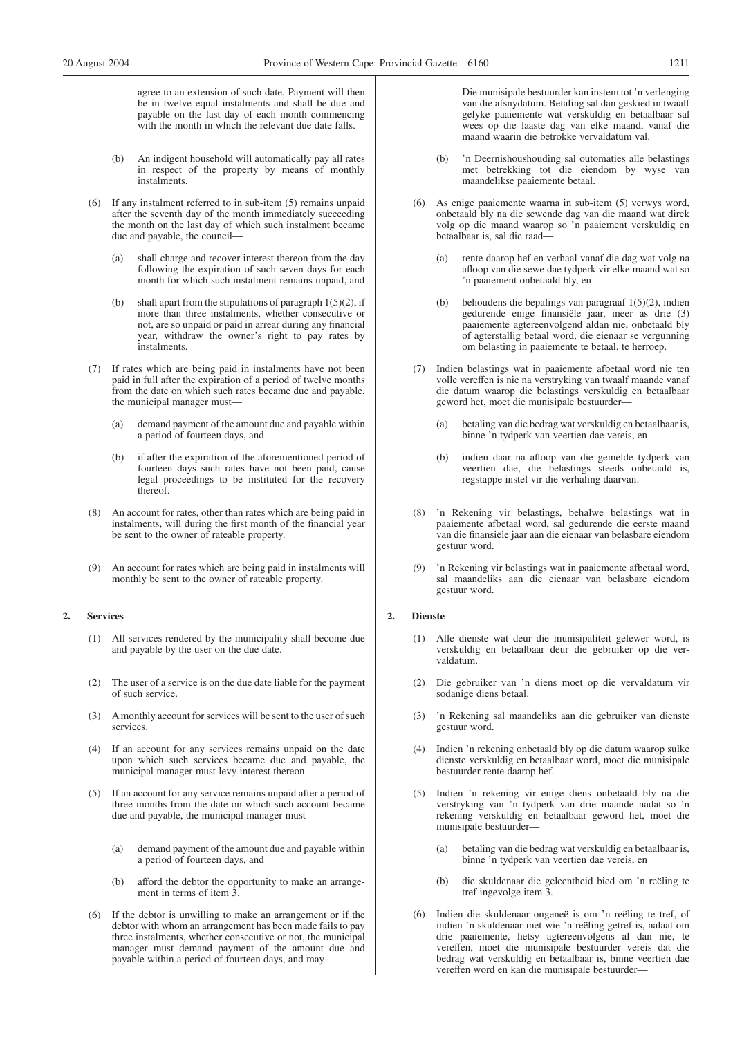agree to an extension of such date. Payment will then be in twelve equal instalments and shall be due and payable on the last day of each month commencing with the month in which the relevant due date falls.

- (b) An indigent household will automatically pay all rates in respect of the property by means of monthly instalments.
- (6) If any instalment referred to in sub-item (5) remains unpaid after the seventh day of the month immediately succeeding the month on the last day of which such instalment became due and payable, the council—
	- (a) shall charge and recover interest thereon from the day following the expiration of such seven days for each month for which such instalment remains unpaid, and
	- (b) shall apart from the stipulations of paragraph  $1(5)(2)$ , if more than three instalments, whether consecutive or not, are so unpaid or paid in arrear during any financial year, withdraw the owner's right to pay rates by instalments.
- (7) If rates which are being paid in instalments have not been paid in full after the expiration of a period of twelve months from the date on which such rates became due and payable, the municipal manager must—
	- (a) demand payment of the amount due and payable within a period of fourteen days, and
	- (b) if after the expiration of the aforementioned period of fourteen days such rates have not been paid, cause legal proceedings to be instituted for the recovery thereof.
- (8) An account for rates, other than rates which are being paid in instalments, will during the first month of the financial year be sent to the owner of rateable property.
- (9) An account for rates which are being paid in instalments will monthly be sent to the owner of rateable property.

#### **2. Services**

- (1) All services rendered by the municipality shall become due and payable by the user on the due date.
- (2) The user of a service is on the due date liable for the payment of such service.
- (3) A monthly account for services will be sent to the user of such services.
- (4) If an account for any services remains unpaid on the date upon which such services became due and payable, the municipal manager must levy interest thereon.
- (5) If an account for any service remains unpaid after a period of three months from the date on which such account became due and payable, the municipal manager must—
	- (a) demand payment of the amount due and payable within a period of fourteen days, and
	- (b) afford the debtor the opportunity to make an arrangement in terms of item 3.
- (6) If the debtor is unwilling to make an arrangement or if the debtor with whom an arrangement has been made fails to pay three instalments, whether consecutive or not, the municipal manager must demand payment of the amount due and payable within a period of fourteen days, and may—

Die munisipale bestuurder kan instem tot 'n verlenging van die afsnydatum. Betaling sal dan geskied in twaalf gelyke paaiemente wat verskuldig en betaalbaar sal wees op die laaste dag van elke maand, vanaf die maand waarin die betrokke vervaldatum val.

- (b) 'n Deernishoushouding sal outomaties alle belastings met betrekking tot die eiendom by wyse van maandelikse paaiemente betaal.
- (6) As enige paaiemente waarna in sub-item (5) verwys word, onbetaald bly na die sewende dag van die maand wat direk volg op die maand waarop so 'n paaiement verskuldig en betaalbaar is, sal die raad—
	- (a) rente daarop hef en verhaal vanaf die dag wat volg na afloop van die sewe dae tydperk vir elke maand wat so 'n paaiement onbetaald bly, en
	- (b) behoudens die bepalings van paragraaf 1(5)(2), indien gedurende enige finansiële jaar, meer as drie (3) paaiemente agtereenvolgend aldan nie, onbetaald bly of agterstallig betaal word, die eienaar se vergunning om belasting in paaiemente te betaal, te herroep.
- (7) Indien belastings wat in paaiemente afbetaal word nie ten volle vereffen is nie na verstryking van twaalf maande vanaf die datum waarop die belastings verskuldig en betaalbaar geword het, moet die munisipale bestuurder
	- betaling van die bedrag wat verskuldig en betaalbaar is, binne 'n tydperk van veertien dae vereis, en
	- (b) indien daar na afloop van die gemelde tydperk van veertien dae, die belastings steeds onbetaald is, regstappe instel vir die verhaling daarvan.
- (8) 'n Rekening vir belastings, behalwe belastings wat in paaiemente afbetaal word, sal gedurende die eerste maand van die finansiële jaar aan die eienaar van belasbare eiendom gestuur word.
- (9) 'n Rekening vir belastings wat in paaiemente afbetaal word, sal maandeliks aan die eienaar van belasbare eiendom gestuur word.

#### **2. Dienste**

- (1) Alle dienste wat deur die munisipaliteit gelewer word, is verskuldig en betaalbaar deur die gebruiker op die vervaldatum.
- (2) Die gebruiker van 'n diens moet op die vervaldatum vir sodanige diens betaal.
- (3) 'n Rekening sal maandeliks aan die gebruiker van dienste gestuur word.
- (4) Indien 'n rekening onbetaald bly op die datum waarop sulke dienste verskuldig en betaalbaar word, moet die munisipale bestuurder rente daarop hef.
- (5) Indien 'n rekening vir enige diens onbetaald bly na die verstryking van 'n tydperk van drie maande nadat so 'n rekening verskuldig en betaalbaar geword het, moet die munisipale bestuurder—
	- (a) betaling van die bedrag wat verskuldig en betaalbaar is, binne 'n tydperk van veertien dae vereis, en
	- (b) die skuldenaar die geleentheid bied om 'n reëling te tref ingevolge item 3.
- (6) Indien die skuldenaar ongeneë is om 'n reëling te tref, of indien 'n skuldenaar met wie 'n reëling getref is, nalaat om drie paaiemente, hetsy agtereenvolgens al dan nie, te vereffen, moet die munisipale bestuurder vereis dat die bedrag wat verskuldig en betaalbaar is, binne veertien dae vereffen word en kan die munisipale bestuurder—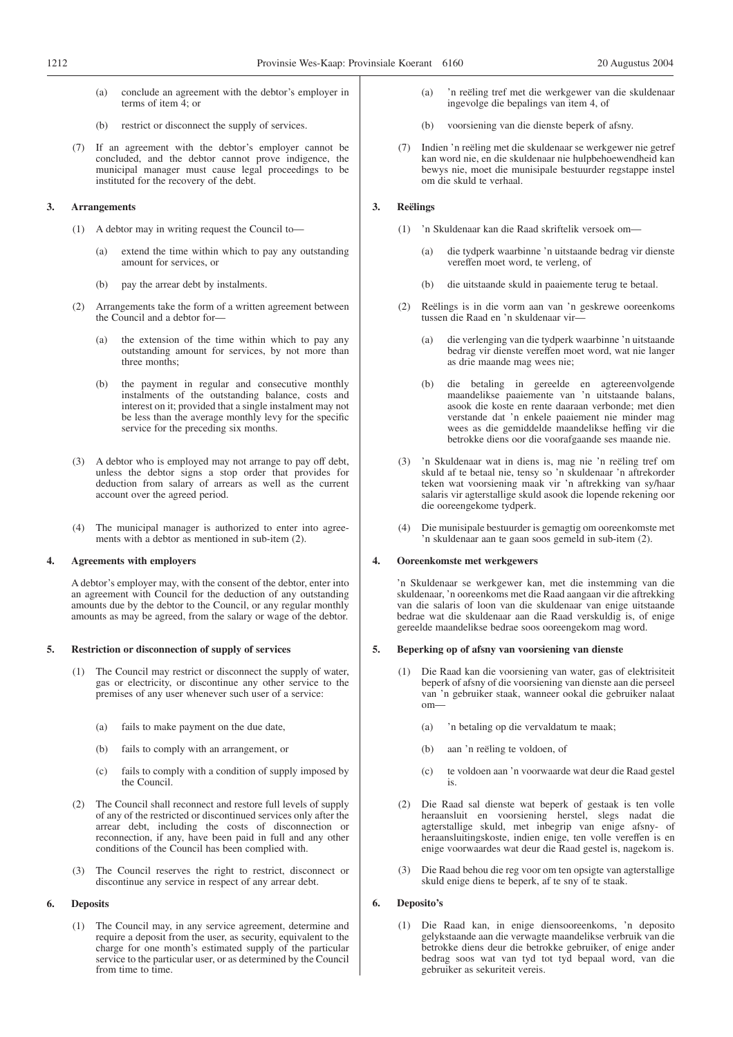- (a) conclude an agreement with the debtor's employer in terms of item 4; or
- (b) restrict or disconnect the supply of services.
- (7) If an agreement with the debtor's employer cannot be concluded, and the debtor cannot prove indigence, the municipal manager must cause legal proceedings to be instituted for the recovery of the debt.

#### **3. Arrangements**

- (1) A debtor may in writing request the Council to—
	- (a) extend the time within which to pay any outstanding amount for services, or
	- (b) pay the arrear debt by instalments.
- (2) Arrangements take the form of a written agreement between the Council and a debtor for—
	- (a) the extension of the time within which to pay any outstanding amount for services, by not more than three months;
	- (b) the payment in regular and consecutive monthly instalments of the outstanding balance, costs and interest on it; provided that a single instalment may not be less than the average monthly levy for the specific service for the preceding six months.
- (3) A debtor who is employed may not arrange to pay off debt, unless the debtor signs a stop order that provides for deduction from salary of arrears as well as the current account over the agreed period.
- (4) The municipal manager is authorized to enter into agreements with a debtor as mentioned in sub-item (2).

#### **4. Agreements with employers**

A debtor's employer may, with the consent of the debtor, enter into an agreement with Council for the deduction of any outstanding amounts due by the debtor to the Council, or any regular monthly amounts as may be agreed, from the salary or wage of the debtor.

#### **5. Restriction or disconnection of supply of services**

- (1) The Council may restrict or disconnect the supply of water, gas or electricity, or discontinue any other service to the premises of any user whenever such user of a service:
	- (a) fails to make payment on the due date,
	- (b) fails to comply with an arrangement, or
	- (c) fails to comply with a condition of supply imposed by the Council.
- (2) The Council shall reconnect and restore full levels of supply of any of the restricted or discontinued services only after the arrear debt, including the costs of disconnection or reconnection, if any, have been paid in full and any other conditions of the Council has been complied with.
- (3) The Council reserves the right to restrict, disconnect or discontinue any service in respect of any arrear debt.

#### **6. Deposits**

(1) The Council may, in any service agreement, determine and require a deposit from the user, as security, equivalent to the charge for one month's estimated supply of the particular service to the particular user, or as determined by the Council from time to time.

- (a) 'n reëling tref met die werkgewer van die skuldenaar ingevolge die bepalings van item 4, of
- (b) voorsiening van die dienste beperk of afsny.
- (7) Indien 'n reëling met die skuldenaar se werkgewer nie getref kan word nie, en die skuldenaar nie hulpbehoewendheid kan bewys nie, moet die munisipale bestuurder regstappe instel om die skuld te verhaal.

#### **3. Reëlings**

- (1) 'n Skuldenaar kan die Raad skriftelik versoek om—
	- (a) die tydperk waarbinne 'n uitstaande bedrag vir dienste vereffen moet word, te verleng, of
	- (b) die uitstaande skuld in paaiemente terug te betaal.
- (2) Reëlings is in die vorm aan van 'n geskrewe ooreenkoms tussen die Raad en 'n skuldenaar vir—
	- (a) die verlenging van die tydperk waarbinne 'n uitstaande bedrag vir dienste vereffen moet word, wat nie langer as drie maande mag wees nie;
	- (b) die betaling in gereelde en agtereenvolgende maandelikse paaiemente van 'n uitstaande balans, asook die koste en rente daaraan verbonde; met dien verstande dat 'n enkele paaiement nie minder mag wees as die gemiddelde maandelikse heffing vir die betrokke diens oor die voorafgaande ses maande nie.
- (3) 'n Skuldenaar wat in diens is, mag nie 'n reëling tref om skuld af te betaal nie, tensy so 'n skuldenaar 'n aftrekorder teken wat voorsiening maak vir 'n aftrekking van sy/haar salaris vir agterstallige skuld asook die lopende rekening oor die ooreengekome tydperk.
- (4) Die munisipale bestuurder is gemagtig om ooreenkomste met 'n skuldenaar aan te gaan soos gemeld in sub-item (2).

#### **4. Ooreenkomste met werkgewers**

'n Skuldenaar se werkgewer kan, met die instemming van die skuldenaar, 'n ooreenkoms met die Raad aangaan vir die aftrekking van die salaris of loon van die skuldenaar van enige uitstaande bedrae wat die skuldenaar aan die Raad verskuldig is, of enige gereelde maandelikse bedrae soos ooreengekom mag word.

#### **5. Beperking op of afsny van voorsiening van dienste**

- (1) Die Raad kan die voorsiening van water, gas of elektrisiteit beperk of afsny of die voorsiening van dienste aan die perseel van 'n gebruiker staak, wanneer ookal die gebruiker nalaat om—
	- (a) 'n betaling op die vervaldatum te maak;
	- (b) aan 'n reëling te voldoen, of
	- (c) te voldoen aan 'n voorwaarde wat deur die Raad gestel is.
- (2) Die Raad sal dienste wat beperk of gestaak is ten volle heraansluit en voorsiening herstel, slegs nadat die agterstallige skuld, met inbegrip van enige afsny- of heraansluitingskoste, indien enige, ten volle vereffen is en enige voorwaardes wat deur die Raad gestel is, nagekom is.
- (3) Die Raad behou die reg voor om ten opsigte van agterstallige skuld enige diens te beperk, af te sny of te staak.

#### **6. Deposito's**

(1) Die Raad kan, in enige diensooreenkoms, 'n deposito gelykstaande aan die verwagte maandelikse verbruik van die betrokke diens deur die betrokke gebruiker, of enige ander bedrag soos wat van tyd tot tyd bepaal word, van die gebruiker as sekuriteit vereis.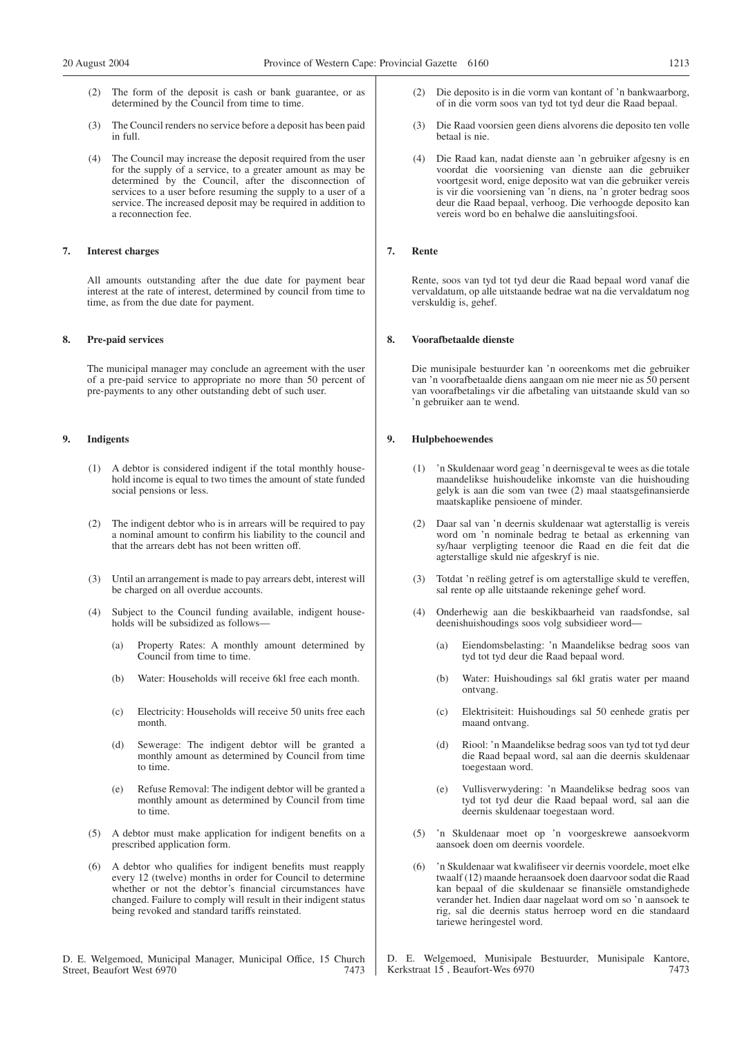- The form of the deposit is cash or bank guarantee, or as determined by the Council from time to time.
- (3) The Council renders no service before a deposit has been paid in full.
- (4) The Council may increase the deposit required from the user for the supply of a service, to a greater amount as may be determined by the Council, after the disconnection of services to a user before resuming the supply to a user of a service. The increased deposit may be required in addition to a reconnection fee.

#### **7. Interest charges**

All amounts outstanding after the due date for payment bear interest at the rate of interest, determined by council from time to time, as from the due date for payment.

#### **8. Pre-paid services**

The municipal manager may conclude an agreement with the user of a pre-paid service to appropriate no more than 50 percent of pre-payments to any other outstanding debt of such user.

#### **9. Indigents**

- (1) A debtor is considered indigent if the total monthly household income is equal to two times the amount of state funded social pensions or less.
- (2) The indigent debtor who is in arrears will be required to pay a nominal amount to confirm his liability to the council and that the arrears debt has not been written off.
- (3) Until an arrangement is made to pay arrears debt, interest will be charged on all overdue accounts.
- (4) Subject to the Council funding available, indigent households will be subsidized as follows—
	- Property Rates: A monthly amount determined by Council from time to time.
	- (b) Water: Households will receive 6kl free each month.
	- (c) Electricity: Households will receive 50 units free each month.
	- (d) Sewerage: The indigent debtor will be granted a monthly amount as determined by Council from time to time.
	- (e) Refuse Removal: The indigent debtor will be granted a monthly amount as determined by Council from time to time.
- (5) A debtor must make application for indigent benefits on a prescribed application form.
- A debtor who qualifies for indigent benefits must reapply every 12 (twelve) months in order for Council to determine whether or not the debtor's financial circumstances have changed. Failure to comply will result in their indigent status being revoked and standard tariffs reinstated.

D. E. Welgemoed, Municipal Manager, Municipal Office, 15 Church Street, Beaufort West 6970 7473

- (2) Die deposito is in die vorm van kontant of 'n bankwaarborg, of in die vorm soos van tyd tot tyd deur die Raad bepaal.
- (3) Die Raad voorsien geen diens alvorens die deposito ten volle betaal is nie.
- (4) Die Raad kan, nadat dienste aan 'n gebruiker afgesny is en voordat die voorsiening van dienste aan die gebruiker voortgesit word, enige deposito wat van die gebruiker vereis is vir die voorsiening van 'n diens, na 'n groter bedrag soos deur die Raad bepaal, verhoog. Die verhoogde deposito kan vereis word bo en behalwe die aansluitingsfooi.

#### **7. Rente**

Rente, soos van tyd tot tyd deur die Raad bepaal word vanaf die vervaldatum, op alle uitstaande bedrae wat na die vervaldatum nog verskuldig is, gehef.

#### **8. Voorafbetaalde dienste**

Die munisipale bestuurder kan 'n ooreenkoms met die gebruiker van 'n voorafbetaalde diens aangaan om nie meer nie as 50 persent van voorafbetalings vir die afbetaling van uitstaande skuld van so 'n gebruiker aan te wend.

#### **9. Hulpbehoewendes**

- (1) 'n Skuldenaar word geag 'n deernisgeval te wees as die totale maandelikse huishoudelike inkomste van die huishouding gelyk is aan die som van twee (2) maal staatsgefinansierde maatskaplike pensioene of minder.
- (2) Daar sal van 'n deernis skuldenaar wat agterstallig is vereis word om 'n nominale bedrag te betaal as erkenning van sy/haar verpligting teenoor die Raad en die feit dat die agterstallige skuld nie afgeskryf is nie.
- (3) Totdat 'n reëling getref is om agterstallige skuld te vereffen, sal rente op alle uitstaande rekeninge gehef word.
- (4) Onderhewig aan die beskikbaarheid van raadsfondse, sal deenishuishoudings soos volg subsidieer word—
	- (a) Eiendomsbelasting: 'n Maandelikse bedrag soos van tyd tot tyd deur die Raad bepaal word.
	- (b) Water: Huishoudings sal 6kl gratis water per maand ontvang.
	- (c) Elektrisiteit: Huishoudings sal 50 eenhede gratis per maand ontvang.
	- (d) Riool: 'n Maandelikse bedrag soos van tyd tot tyd deur die Raad bepaal word, sal aan die deernis skuldenaar toegestaan word.
	- (e) Vullisverwydering: 'n Maandelikse bedrag soos van tyd tot tyd deur die Raad bepaal word, sal aan die deernis skuldenaar toegestaan word.
- (5) 'n Skuldenaar moet op 'n voorgeskrewe aansoekvorm aansoek doen om deernis voordele.
- (6) 'n Skuldenaar wat kwalifiseer vir deernis voordele, moet elke twaalf (12) maande heraansoek doen daarvoor sodat die Raad kan bepaal of die skuldenaar se finansiële omstandighede verander het. Indien daar nagelaat word om so 'n aansoek te rig, sal die deernis status herroep word en die standaard tariewe heringestel word.

D. E. Welgemoed, Munisipale Bestuurder, Munisipale Kantore, Kerkstraat 15, Beaufort-Wes 6970 7473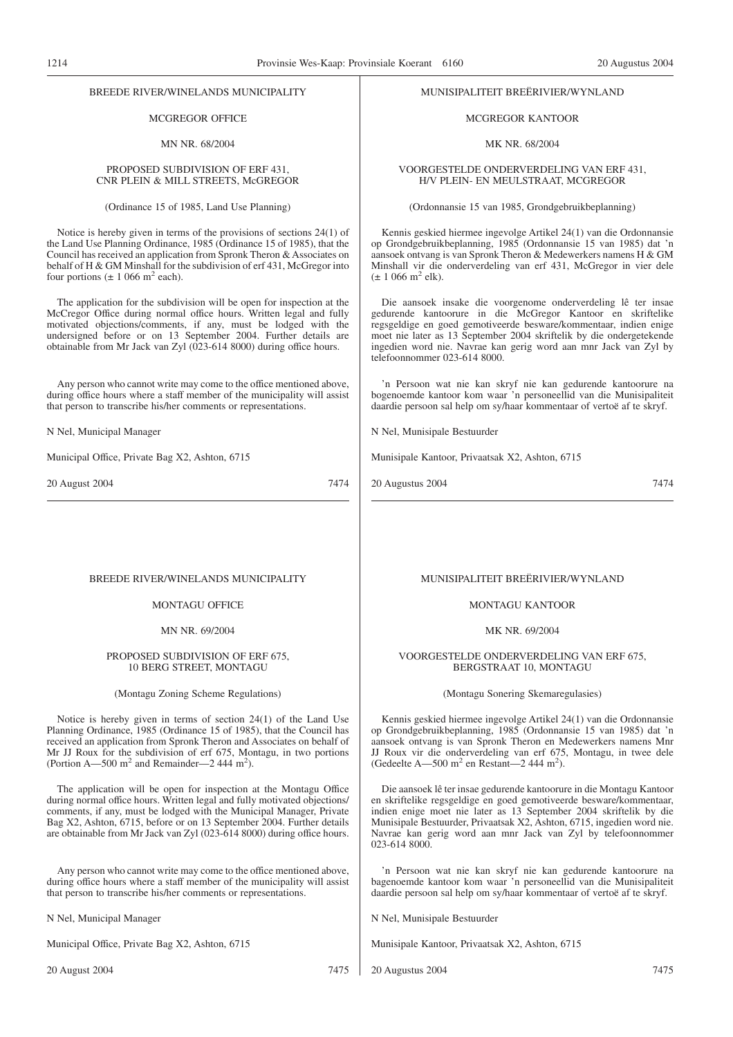#### BREEDE RIVER/WINELANDS MUNICIPALITY

#### MCGREGOR OFFICE

#### MN NR. 68/2004

#### PROPOSED SUBDIVISION OF ERF 431, CNR PLEIN & MILL STREETS, McGREGOR

(Ordinance 15 of 1985, Land Use Planning)

Notice is hereby given in terms of the provisions of sections 24(1) of the Land Use Planning Ordinance, 1985 (Ordinance 15 of 1985), that the Council has received an application from Spronk Theron & Associates on behalf of H & GM Minshall for the subdivision of erf 431, McGregor into four portions  $(\pm 1066 \text{ m}^2 \text{ each})$ .

The application for the subdivision will be open for inspection at the McCregor Office during normal office hours. Written legal and fully motivated objections/comments, if any, must be lodged with the undersigned before or on 13 September 2004. Further details are obtainable from Mr Jack van Zyl (023-614 8000) during office hours.

Any person who cannot write may come to the office mentioned above, during office hours where a staff member of the municipality will assist that person to transcribe his/her comments or representations.

N Nel, Municipal Manager

Municipal Office, Private Bag X2, Ashton, 6715

20 August 2004 7474

#### MUNISIPALITEIT BREËRIVIER/WYNLAND

#### MCGREGOR KANTOOR

#### MK NR. 68/2004

VOORGESTELDE ONDERVERDELING VAN ERF 431, H/V PLEIN- EN MEULSTRAAT, MCGREGOR

(Ordonnansie 15 van 1985, Grondgebruikbeplanning)

Kennis geskied hiermee ingevolge Artikel 24(1) van die Ordonnansie op Grondgebruikbeplanning, 1985 (Ordonnansie 15 van 1985) dat 'n aansoek ontvang is van Spronk Theron & Medewerkers namens H & GM Minshall vir die onderverdeling van erf 431, McGregor in vier dele  $(\pm 1066 \text{ m}^2 \text{ elk}).$ 

Die aansoek insake die voorgenome onderverdeling lê ter insae gedurende kantoorure in die McGregor Kantoor en skriftelike regsgeldige en goed gemotiveerde besware/kommentaar, indien enige moet nie later as 13 September 2004 skriftelik by die ondergetekende ingedien word nie. Navrae kan gerig word aan mnr Jack van Zyl by telefoonnommer 023-614 8000.

'n Persoon wat nie kan skryf nie kan gedurende kantoorure na bogenoemde kantoor kom waar 'n personeellid van die Munisipaliteit daardie persoon sal help om sy/haar kommentaar of vertoë af te skryf.

N Nel, Munisipale Bestuurder

Munisipale Kantoor, Privaatsak X2, Ashton, 6715

20 Augustus 2004 7474

#### BREEDE RIVER/WINELANDS MUNICIPALITY

# MONTAGU OFFICE

#### MN NR. 69/2004

#### PROPOSED SUBDIVISION OF ERF 675, 10 BERG STREET, MONTAGU

(Montagu Zoning Scheme Regulations)

Notice is hereby given in terms of section 24(1) of the Land Use Planning Ordinance, 1985 (Ordinance 15 of 1985), that the Council has received an application from Spronk Theron and Associates on behalf of Mr JJ Roux for the subdivision of erf 675, Montagu, in two portions (Portion A—500 m<sup>2</sup> and Remainder—2 444 m<sup>2</sup>).

The application will be open for inspection at the Montagu Office during normal office hours. Written legal and fully motivated objections/ comments, if any, must be lodged with the Municipal Manager, Private Bag X2, Ashton, 6715, before or on 13 September 2004. Further details are obtainable from Mr Jack van Zyl (023-614 8000) during office hours.

Any person who cannot write may come to the office mentioned above, during office hours where a staff member of the municipality will assist that person to transcribe his/her comments or representations.

N Nel, Municipal Manager

Municipal Office, Private Bag X2, Ashton, 6715

20 August 2004 7475

#### MUNISIPALITEIT BREËRIVIER/WYNLAND

#### MONTAGU KANTOOR

#### MK NR. 69/2004

#### VOORGESTELDE ONDERVERDELING VAN ERF 675, BERGSTRAAT 10, MONTAGU

(Montagu Sonering Skemaregulasies)

Kennis geskied hiermee ingevolge Artikel 24(1) van die Ordonnansie op Grondgebruikbeplanning, 1985 (Ordonnansie 15 van 1985) dat 'n aansoek ontvang is van Spronk Theron en Medewerkers namens Mnr JJ Roux vir die onderverdeling van erf 675, Montagu, in twee dele (Gedeelte A—500 m<sup>2</sup> en Restant—2 444 m<sup>2</sup>).

Die aansoek lê ter insae gedurende kantoorure in die Montagu Kantoor en skriftelike regsgeldige en goed gemotiveerde besware/kommentaar, indien enige moet nie later as 13 September 2004 skriftelik by die Munisipale Bestuurder, Privaatsak X2, Ashton, 6715, ingedien word nie. Navrae kan gerig word aan mnr Jack van Zyl by telefoonnommer 023-614 8000.

'n Persoon wat nie kan skryf nie kan gedurende kantoorure na bagenoemde kantoor kom waar 'n personeellid van die Munisipaliteit daardie persoon sal help om sy/haar kommentaar of vertoë af te skryf.

N Nel, Munisipale Bestuurder

Munisipale Kantoor, Privaatsak X2, Ashton, 6715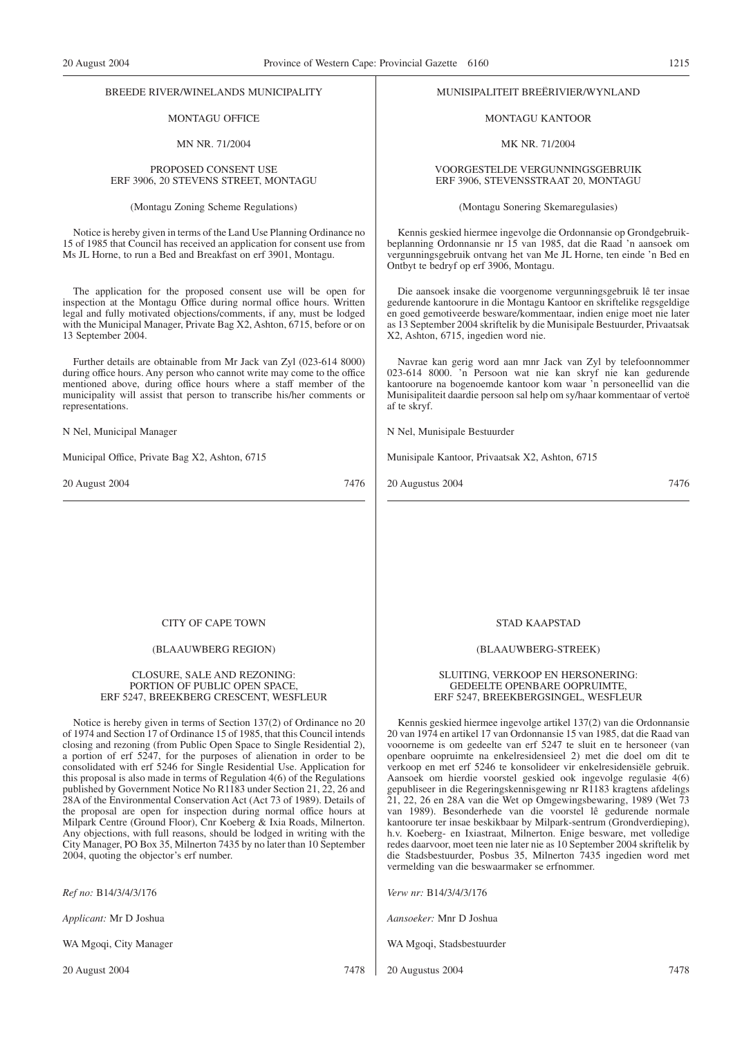#### BREEDE RIVER/WINELANDS MUNICIPALITY

#### MONTAGU OFFICE

#### MN NR. 71/2004

#### PROPOSED CONSENT USE ERF 3906, 20 STEVENS STREET, MONTAGU

#### (Montagu Zoning Scheme Regulations)

Notice is hereby given in terms of the Land Use Planning Ordinance no 15 of 1985 that Council has received an application for consent use from Ms JL Horne, to run a Bed and Breakfast on erf 3901, Montagu.

The application for the proposed consent use will be open for inspection at the Montagu Office during normal office hours. Written legal and fully motivated objections/comments, if any, must be lodged with the Municipal Manager, Private Bag X2, Ashton, 6715, before or on 13 September 2004.

Further details are obtainable from Mr Jack van Zyl (023-614 8000) during office hours. Any person who cannot write may come to the office mentioned above, during office hours where a staff member of the municipality will assist that person to transcribe his/her comments or representations.

N Nel, Municipal Manager

Municipal Office, Private Bag X2, Ashton, 6715

20 August 2004 7476

#### MUNISIPALITEIT BREËRIVIER/WYNLAND

MONTAGU KANTOOR

MK NR. 71/2004

VOORGESTELDE VERGUNNINGSGEBRUIK ERF 3906, STEVENSSTRAAT 20, MONTAGU

(Montagu Sonering Skemaregulasies)

Kennis geskied hiermee ingevolge die Ordonnansie op Grondgebruikbeplanning Ordonnansie nr 15 van 1985, dat die Raad 'n aansoek om vergunningsgebruik ontvang het van Me JL Horne, ten einde 'n Bed en Ontbyt te bedryf op erf 3906, Montagu.

Die aansoek insake die voorgenome vergunningsgebruik lê ter insae gedurende kantoorure in die Montagu Kantoor en skriftelike regsgeldige en goed gemotiveerde besware/kommentaar, indien enige moet nie later as 13 September 2004 skriftelik by die Munisipale Bestuurder, Privaatsak X2, Ashton, 6715, ingedien word nie.

Navrae kan gerig word aan mnr Jack van Zyl by telefoonnommer 023-614 8000. 'n Persoon wat nie kan skryf nie kan gedurende kantoorure na bogenoemde kantoor kom waar 'n personeellid van die Munisipaliteit daardie persoon sal help om sy/haar kommentaar of vertoë af te skryf.

N Nel, Munisipale Bestuurder

Munisipale Kantoor, Privaatsak X2, Ashton, 6715

20 Augustus 2004 7476

# CITY OF CAPE TOWN

#### (BLAAUWBERG REGION)

#### CLOSURE, SALE AND REZONING: PORTION OF PUBLIC OPEN SPACE, ERF 5247, BREEKBERG CRESCENT, WESFLEUR

Notice is hereby given in terms of Section 137(2) of Ordinance no 20 of 1974 and Section 17 of Ordinance 15 of 1985, that this Council intends closing and rezoning (from Public Open Space to Single Residential 2), a portion of erf 5247, for the purposes of alienation in order to be consolidated with erf 5246 for Single Residential Use. Application for this proposal is also made in terms of Regulation 4(6) of the Regulations published by Government Notice No R1183 under Section 21, 22, 26 and 28A of the Environmental Conservation Act (Act 73 of 1989). Details of the proposal are open for inspection during normal office hours at Milpark Centre (Ground Floor), Cnr Koeberg & Ixia Roads, Milnerton. Any objections, with full reasons, should be lodged in writing with the City Manager, PO Box 35, Milnerton 7435 by no later than 10 September 2004, quoting the objector's erf number.

*Ref no:* B14/3/4/3/176

*Applicant:* Mr D Joshua

WA Mgoqi, City Manager

20 August 2004 7478

#### STAD KAAPSTAD

#### (BLAAUWBERG-STREEK)

#### SLUITING, VERKOOP EN HERSONERING: GEDEELTE OPENBARE OOPRUIMTE, ERF 5247, BREEKBERGSINGEL, WESFLEUR

Kennis geskied hiermee ingevolge artikel 137(2) van die Ordonnansie 20 van 1974 en artikel 17 van Ordonnansie 15 van 1985, dat die Raad van vooorneme is om gedeelte van erf 5247 te sluit en te hersoneer (van openbare oopruimte na enkelresidensieel 2) met die doel om dit te verkoop en met erf 5246 te konsolideer vir enkelresidensiële gebruik. Aansoek om hierdie voorstel geskied ook ingevolge regulasie 4(6) gepubliseer in die Regeringskennisgewing nr R1183 kragtens afdelings 21, 22, 26 en 28A van die Wet op Omgewingsbewaring, 1989 (Wet 73 van 1989). Besonderhede van die voorstel lê gedurende normale kantoorure ter insae beskikbaar by Milpark-sentrum (Grondverdieping), h.v. Koeberg- en Ixiastraat, Milnerton. Enige besware, met volledige redes daarvoor, moet teen nie later nie as 10 September 2004 skriftelik by die Stadsbestuurder, Posbus 35, Milnerton 7435 ingedien word met vermelding van die beswaarmaker se erfnommer.

*Verw nr:* B14/3/4/3/176

*Aansoeker:* Mnr D Joshua

WA Mgoqi, Stadsbestuurder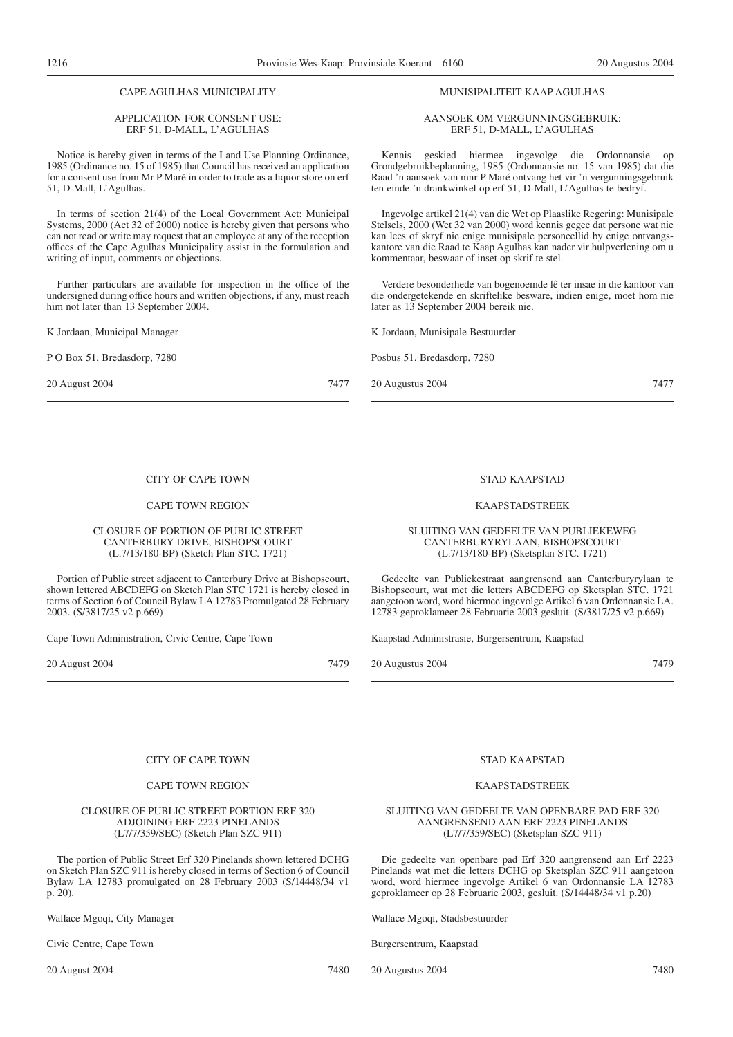#### CAPE AGULHAS MUNICIPALITY

#### APPLICATION FOR CONSENT USE: ERF 51, D-MALL, L'AGULHAS

Notice is hereby given in terms of the Land Use Planning Ordinance, 1985 (Ordinance no. 15 of 1985) that Council has received an application for a consent use from Mr P Maré in order to trade as a liquor store on erf 51, D-Mall, L'Agulhas.

In terms of section 21(4) of the Local Government Act: Municipal Systems, 2000 (Act 32 of 2000) notice is hereby given that persons who can not read or write may request that an employee at any of the reception offices of the Cape Agulhas Municipality assist in the formulation and writing of input, comments or objections.

Further particulars are available for inspection in the office of the undersigned during office hours and written objections, if any, must reach him not later than 13 September 2004.

K Jordaan, Municipal Manager

P O Box 51, Bredasdorp, 7280

20 August 2004 7477

#### CITY OF CAPE TOWN

#### CAPE TOWN REGION

#### CLOSURE OF PORTION OF PUBLIC STREET CANTERBURY DRIVE, BISHOPSCOURT (L.7/13/180-BP) (Sketch Plan STC. 1721)

Portion of Public street adjacent to Canterbury Drive at Bishopscourt, shown lettered ABCDEFG on Sketch Plan STC 1721 is hereby closed in terms of Section 6 of Council Bylaw LA 12783 Promulgated 28 February 2003. (S/3817/25 v2 p.669)

Cape Town Administration, Civic Centre, Cape Town

20 August 2004 7479

#### MUNISIPALITEIT KAAP AGULHAS

#### AANSOEK OM VERGUNNINGSGEBRUIK: ERF 51, D-MALL, L'AGULHAS

Kennis geskied hiermee ingevolge die Ordonnansie op Grondgebruikbeplanning, 1985 (Ordonnansie no. 15 van 1985) dat die Raad 'n aansoek van mnr P Maré ontvang het vir 'n vergunningsgebruik ten einde 'n drankwinkel op erf 51, D-Mall, L'Agulhas te bedryf.

Ingevolge artikel 21(4) van die Wet op Plaaslike Regering: Munisipale Stelsels, 2000 (Wet 32 van 2000) word kennis gegee dat persone wat nie kan lees of skryf nie enige munisipale personeellid by enige ontvangskantore van die Raad te Kaap Agulhas kan nader vir hulpverlening om u kommentaar, beswaar of inset op skrif te stel.

Verdere besonderhede van bogenoemde lê ter insae in die kantoor van die ondergetekende en skriftelike besware, indien enige, moet hom nie later as 13 September 2004 bereik nie.

K Jordaan, Munisipale Bestuurder

Posbus 51, Bredasdorp, 7280

20 Augustus 2004 7477

#### STAD KAAPSTAD

#### KAAPSTADSTREEK

#### SLUITlNG VAN GEDEELTE VAN PUBLIEKEWEG CANTERBURYRYLAAN, BISHOPSCOURT (L.7/13/180-BP) (Sketsplan STC. 1721)

Gedeelte van Publiekestraat aangrensend aan Canterburyrylaan te Bishopscourt, wat met die letters ABCDEFG op Sketsplan STC. 1721 aangetoon word, word hiermee ingevolge Artikel 6 van Ordonnansie LA. 12783 geproklameer 28 Februarie 2003 gesluit. (S/3817/25 v2 p.669)

Kaapstad Administrasie, Burgersentrum, Kaapstad

20 Augustus 2004 7479

#### CITY OF CAPE TOWN

#### CAPE TOWN REGION

#### CLOSURE OF PUBLIC STREET PORTION ERF 320 ADJOINING ERF 2223 PINELANDS (L7/7/359/SEC) (Sketch Plan SZC 911)

The portion of Public Street Erf 320 Pinelands shown lettered DCHG on Sketch Plan SZC 911 is hereby closed in terms of Section 6 of Council Bylaw LA 12783 promulgated on 28 February 2003 (S/14448/34 v1 p. 20).

Wallace Mgoqi, City Manager

Civic Centre, Cape Town

20 August 2004 7480

## STAD KAAPSTAD

#### KAAPSTADSTREEK

#### SLUITING VAN GEDEELTE VAN OPENBARE PAD ERF 320 AANGRENSEND AAN ERF 2223 PINELANDS (L7/7/359/SEC) (Sketsplan SZC 911)

Die gedeelte van openbare pad Erf 320 aangrensend aan Erf 2223 Pinelands wat met die letters DCHG op Sketsplan SZC 911 aangetoon word, word hiermee ingevolge Artikel 6 van Ordonnansie LA 12783 geproklameer op 28 Februarie 2003, gesluit. (S/14448/34 v1 p.20)

Wallace Mgoqi, Stadsbestuurder

Burgersentrum, Kaapstad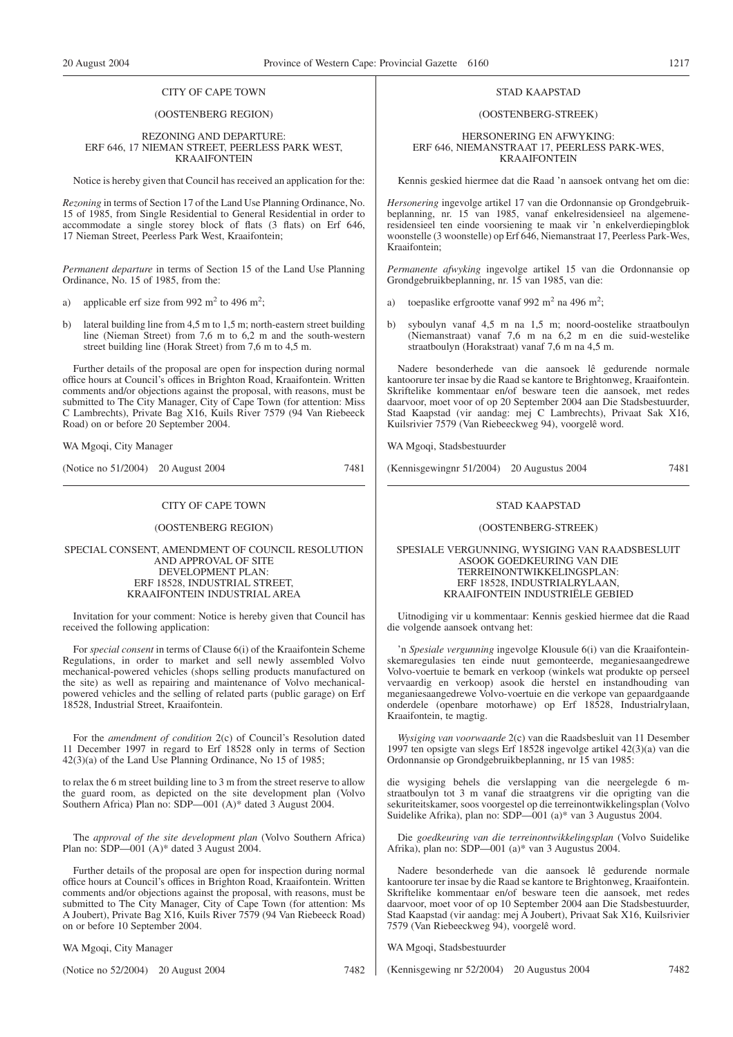#### CITY OF CAPE TOWN

#### (OOSTENBERG REGION)

#### REZONING AND DEPARTURE: ERF 646, 17 NIEMAN STREET, PEERLESS PARK WEST, KRAAIFONTEIN

Notice is hereby given that Council has received an application for the:

*Rezoning* in terms of Section 17 of the Land Use Planning Ordinance, No. 15 of 1985, from Single Residential to General Residential in order to accommodate a single storey block of flats (3 flats) on Erf 646, 17 Nieman Street, Peerless Park West, Kraaifontein;

*Permanent departure* in terms of Section 15 of the Land Use Planning Ordinance, No. 15 of 1985, from the:

a) applicable erf size from 992  $m^2$  to 496  $m^2$ ;

b) lateral building line from 4,5 m to 1,5 m; north-eastern street building line (Nieman Street) from 7,6 m to 6,2 m and the south-western street building line (Horak Street) from 7,6 m to 4,5 m.

Further details of the proposal are open for inspection during normal office hours at Council's offices in Brighton Road, Kraaifontein. Written comments and/or objections against the proposal, with reasons, must be submitted to The City Manager, City of Cape Town (for attention: Miss) C Lambrechts), Private Bag X16, Kuils River 7579 (94 Van Riebeeck Road) on or before 20 September 2004.

WA Mgoqi, City Manager

(Notice no 51/2004) 20 August 2004 7481

#### CITY OF CAPE TOWN

#### (OOSTENBERG REGION)

SPECIAL CONSENT, AMENDMENT OF COUNCIL RESOLUTION AND APPROVAL OF SITE DEVELOPMENT PLAN: ERF 18528, INDUSTRIAL STREET, KRAAIFONTEIN INDUSTRIAL AREA

Invitation for your comment: Notice is hereby given that Council has received the following application:

For *special consent* in terms of Clause 6(i) of the Kraaifontein Scheme Regulations, in order to market and sell newly assembled Volvo mechanical-powered vehicles (shops selling products manufactured on the site) as well as repairing and maintenance of Volvo mechanicalpowered vehicles and the selling of related parts (public garage) on Erf 18528, Industrial Street, Kraaifontein.

For the *amendment of condition* 2(c) of Council's Resolution dated 11 December 1997 in regard to Erf 18528 only in terms of Section 42(3)(a) of the Land Use Planning Ordinance, No 15 of 1985;

to relax the 6 m street building line to 3 m from the street reserve to allow the guard room, as depicted on the site development plan (Volvo Southern Africa) Plan no: SDP—001 (A)\* dated 3 August 2004.

The *approval of the site development plan* (Volvo Southern Africa) Plan no: SDP—001 (A)\* dated 3 August 2004.

Further details of the proposal are open for inspection during normal office hours at Council's offices in Brighton Road, Kraaifontein. Written comments and/or objections against the proposal, with reasons, must be submitted to The City Manager, City of Cape Town (for attention: Ms A Joubert), Private Bag X16, Kuils River 7579 (94 Van Riebeeck Road) on or before 10 September 2004.

WA Mgoqi, City Manager

(Notice no 52/2004) 20 August 2004 7482

#### STAD KAAPSTAD

#### (OOSTENBERG-STREEK)

HERSONERING EN AFWYKING: ERF 646, NIEMANSTRAAT 17, PEERLESS PARK-WES, KRAAIFONTEIN

Kennis geskied hiermee dat die Raad 'n aansoek ontvang het om die:

*Hersonering* ingevolge artikel 17 van die Ordonnansie op Grondgebruikbeplanning, nr. 15 van 1985, vanaf enkelresidensieel na algemeneresidensieel ten einde voorsiening te maak vir 'n enkelverdiepingblok woonstelle (3 woonstelle) op Erf 646, Niemanstraat 17, Peerless Park-Wes, Kraaifontein;

*Permanente afwyking* ingevolge artikel 15 van die Ordonnansie op Grondgebruikbeplanning, nr. 15 van 1985, van die:

- a) toepaslike erfgrootte vanaf 992 m<sup>2</sup> na 496 m<sup>2</sup>;
- b) syboulyn vanaf 4,5 m na 1,5 m; noord-oostelike straatboulyn (Niemanstraat) vanaf 7,6 m na 6,2 m en die suid-westelike straatboulyn (Horakstraat) vanaf 7,6 m na 4,5 m.

Nadere besonderhede van die aansoek lê gedurende normale kantoorure ter insae by die Raad se kantore te Brightonweg, Kraaifontein. Skriftelike kommentaar en/of besware teen die aansoek, met redes daarvoor, moet voor of op 20 September 2004 aan Die Stadsbestuurder, Stad Kaapstad (vir aandag: mej C Lambrechts), Privaat Sak X16, Kuilsrivier 7579 (Van Riebeeckweg 94), voorgelê word.

WA Mgoqi, Stadsbestuurder

(Kennisgewingnr 51/2004) 20 Augustus 2004 7481

#### STAD KAAPSTAD

#### (OOSTENBERG-STREEK)

#### SPESIALE VERGUNNING, WYSIGING VAN RAADSBESLUIT ASOOK GOEDKEURING VAN DIE TERREINONTWIKKELINGSPLAN: ERF 18528, INDUSTRIALRYLAAN, KRAAIFONTEIN INDUSTRIËLE GEBIED

Uitnodiging vir u kommentaar: Kennis geskied hiermee dat die Raad die volgende aansoek ontvang het:

'n *Spesiale vergunning* ingevolge Klousule 6(i) van die Kraaifonteinskemaregulasies ten einde nuut gemonteerde, meganiesaangedrewe Volvo-voertuie te bemark en verkoop (winkels wat produkte op perseel vervaardig en verkoop) asook die herstel en instandhouding van meganiesaangedrewe Volvo-voertuie en die verkope van gepaardgaande onderdele (openbare motorhawe) op Erf 18528, Industrialrylaan, Kraaifontein, te magtig.

*Wysiging van voorwaarde* 2(c) van die Raadsbesluit van 11 Desember 1997 ten opsigte van slegs Erf 18528 ingevolge artikel 42(3)(a) van die Ordonnansie op Grondgebruikbeplanning, nr 15 van 1985:

die wysiging behels die verslapping van die neergelegde 6 mstraatboulyn tot 3 m vanaf die straatgrens vir die oprigting van die sekuriteitskamer, soos voorgestel op die terreinontwikkelingsplan (Volvo Suidelike Afrika), plan no: SDP—001 (a)\* van 3 Augustus 2004.

Die *goedkeuring van die terreinontwikkelingsplan* (Volvo Suidelike Afrika), plan no: SDP—001 (a)\* van 3 Augustus 2004.

Nadere besonderhede van die aansoek lê gedurende normale kantoorure ter insae by die Raad se kantore te Brightonweg, Kraaifontein. Skriftelike kommentaar en/of besware teen die aansoek, met redes daarvoor, moet voor of op 10 September 2004 aan Die Stadsbestuurder, Stad Kaapstad (vir aandag: mej A Joubert), Privaat Sak X16, Kuilsrivier 7579 (Van Riebeeckweg 94), voorgelê word.

WA Mgoqi, Stadsbestuurder

(Kennisgewing nr 52/2004) 20 Augustus 2004 7482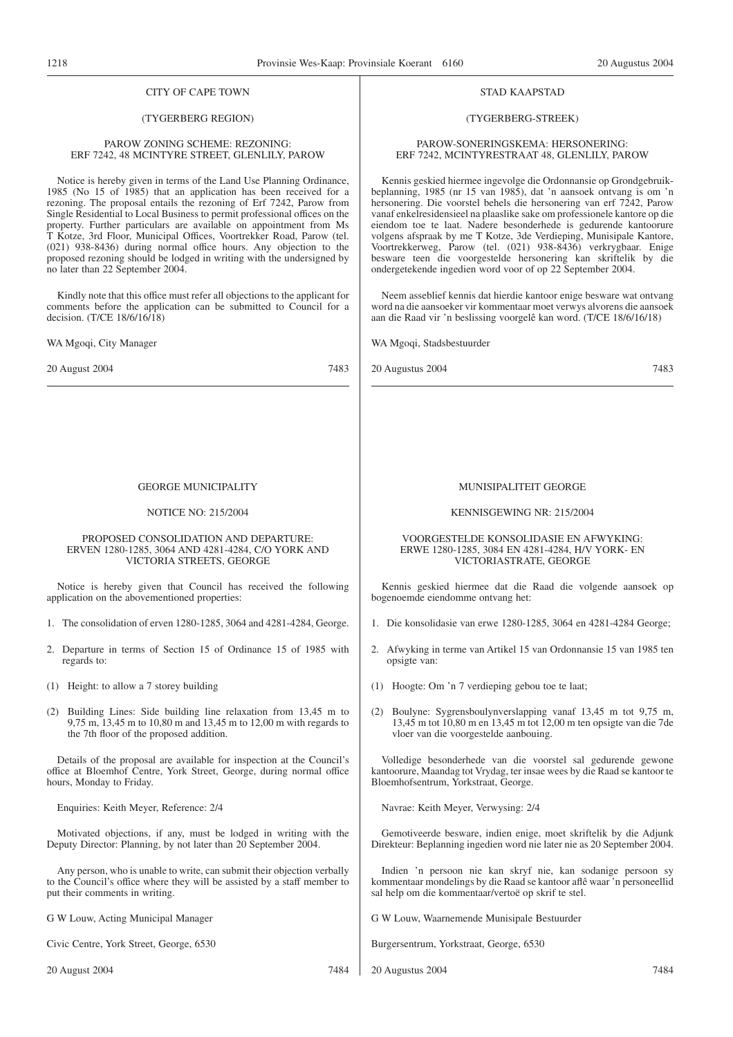#### CITY OF CAPE TOWN

#### (TYGERBERG REGION)

#### PAROW ZONING SCHEME: REZONING: ERF 7242, 48 MCINTYRE STREET, GLENLILY, PAROW

Notice is hereby given in terms of the Land Use Planning Ordinance, 1985 (No 15 of 1985) that an application has been received for a rezoning. The proposal entails the rezoning of Erf 7242, Parow from Single Residential to Local Business to permit professional offices on the property. Further particulars are available on appointment from Ms T Kotze, 3rd Floor, Municipal Offices, Voortrekker Road, Parow (tel. (021) 938-8436) during normal office hours. Any objection to the proposed rezoning should be lodged in writing with the undersigned by no later than 22 September 2004.

Kindly note that this office must refer all objections to the applicant for comments before the application can be submitted to Council for a decision. (T/CE 18/6/16/18)

WA Mgoqi, City Manager

20 August 2004 7483

#### GEORGE MUNICIPALITY

#### NOTICE NO: 215/2004

#### PROPOSED CONSOLIDATION AND DEPARTURE: ERVEN 1280-1285, 3064 AND 4281-4284, C/O YORK AND VICTORIA STREETS, GEORGE

Notice is hereby given that Council has received the following application on the abovementioned properties:

- 1. The consolidation of erven 1280-1285, 3064 and 4281-4284, George.
- 2. Departure in terms of Section 15 of Ordinance 15 of 1985 with regards to:
- (1) Height: to allow a 7 storey building
- (2) Building Lines: Side building line relaxation from 13,45 m to 9,75 m, 13,45 m to 10,80 m and 13,45 m to 12,00 m with regards to the 7th floor of the proposed addition.

Details of the proposal are available for inspection at the Council's office at Bloemhof Centre, York Street, George, during normal office hours, Monday to Friday.

Enquiries: Keith Meyer, Reference: 2/4

Motivated objections, if any, must be lodged in writing with the Deputy Director: Planning, by not later than 20 September 2004.

Any person, who is unable to write, can submit their objection verbally to the Council's office where they will be assisted by a staff member to put their comments in writing.

G W Louw, Acting Municipal Manager

Civic Centre, York Street, George, 6530

20 August 2004 7484

#### STAD KAAPSTAD

#### (TYGERBERG-STREEK)

#### PAROW-SONERINGSKEMA: HERSONERING: ERF 7242, MCINTYRESTRAAT 48, GLENLILY, PAROW

Kennis geskied hiermee ingevolge die Ordonnansie op Grondgebruikbeplanning, 1985 (nr 15 van 1985), dat 'n aansoek ontvang is om 'n hersonering. Die voorstel behels die hersonering van erf 7242, Parow vanaf enkelresidensieel na plaaslike sake om professionele kantore op die eiendom toe te laat. Nadere besonderhede is gedurende kantoorure volgens afspraak by me T Kotze, 3de Verdieping, Munisipale Kantore, Voortrekkerweg, Parow (tel. (021) 938-8436) verkrygbaar. Enige besware teen die voorgestelde hersonering kan skriftelik by die ondergetekende ingedien word voor of op 22 September 2004.

Neem asseblief kennis dat hierdie kantoor enige besware wat ontvang word na die aansoeker vir kommentaar moet verwys alvorens die aansoek aan die Raad vir 'n beslissing voorgelê kan word. (T/CE 18/6/16/18)

WA Mgoqi, Stadsbestuurder

20 Augustus 2004 7483

#### MUNISIPALITEIT GEORGE

#### KENNISGEWING NR: 215/2004

#### VOORGESTELDE KONSOLIDASIE EN AFWYKING: ERWE 1280-1285, 3084 EN 4281-4284, H/V YORK- EN VICTORIASTRATE, GEORGE

Kennis geskied hiermee dat die Raad die volgende aansoek op bogenoemde eiendomme ontvang het:

- 1. Die konsolidasie van erwe 1280-1285, 3064 en 4281-4284 George;
- 2. Afwyking in terme van Artikel 15 van Ordonnansie 15 van 1985 ten opsigte van:
- (1) Hoogte: Om 'n 7 verdieping gebou toe te laat;
- (2) Boulyne: Sygrensboulynverslapping vanaf 13,45 m tot 9,75 m, 13,45 m tot 10,80 m en 13,45 m tot 12,00 m ten opsigte van die 7de vloer van die voorgestelde aanbouing.

Volledige besonderhede van die voorstel sal gedurende gewone kantoorure, Maandag tot Vrydag, ter insae wees by die Raad se kantoor te Bloemhofsentrum, Yorkstraat, George.

Navrae: Keith Meyer, Verwysing: 2/4

Gemotiveerde besware, indien enige, moet skriftelik by die Adjunk Direkteur: Beplanning ingedien word nie later nie as 20 September 2004.

Indien 'n persoon nie kan skryf nie, kan sodanige persoon sy kommentaar mondelings by die Raad se kantoor aflê waar 'n personeellid sal help om die kommentaar/vertoë op skrif te stel.

G W Louw, Waarnemende Munisipale Bestuurder

Burgersentrum, Yorkstraat, George, 6530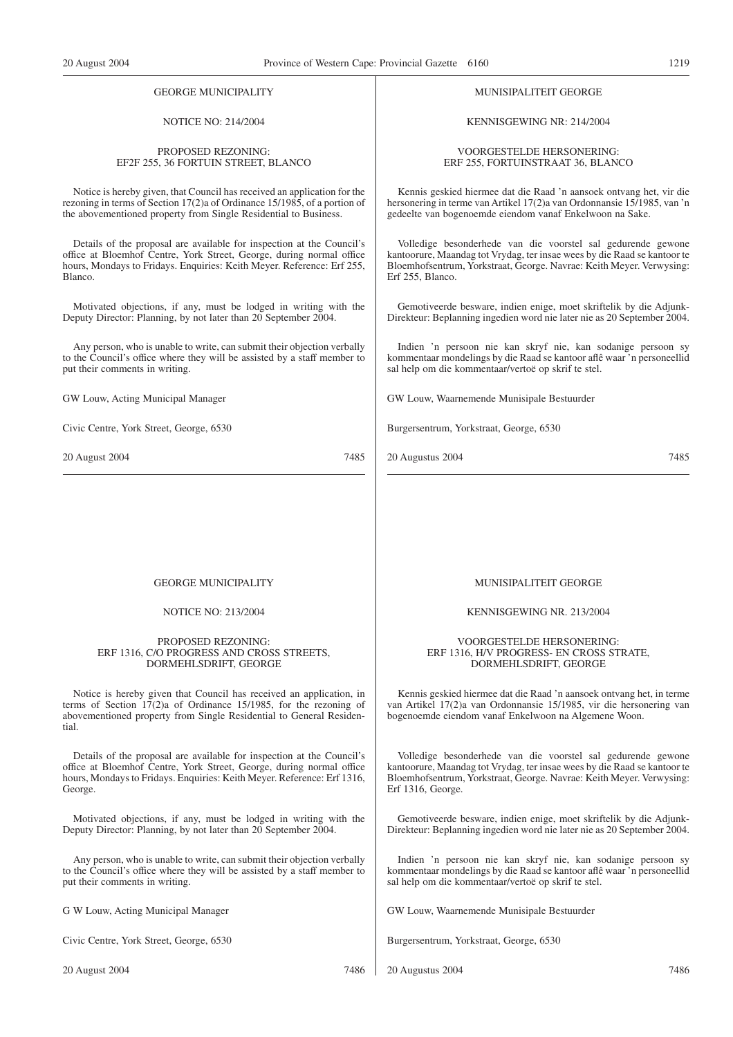#### GEORGE MUNICIPALITY

#### NOTICE NO: 214/2004

#### PROPOSED REZONING: EF2F 255, 36 FORTUIN STREET, BLANCO

Notice is hereby given, that Council has received an application for the rezoning in terms of Section 17(2)a of Ordinance 15/1985, of a portion of the abovementioned property from Single Residential to Business.

Details of the proposal are available for inspection at the Council's office at Bloemhof Centre, York Street, George, during normal office hours, Mondays to Fridays. Enquiries: Keith Meyer. Reference: Erf 255, Blanco.

Motivated objections, if any, must be lodged in writing with the Deputy Director: Planning, by not later than 20 September 2004.

Any person, who is unable to write, can submit their objection verbally to the Council's office where they will be assisted by a staff member to put their comments in writing.

GW Louw, Acting Municipal Manager

Civic Centre, York Street, George, 6530

20 August 2004 7485

#### MUNISIPALITEIT GEORGE

KENNISGEWING NR: 214/2004

VOORGESTELDE HERSONERING: ERF 255, FORTUINSTRAAT 36, BLANCO

Kennis geskied hiermee dat die Raad 'n aansoek ontvang het, vir die hersonering in terme van Artikel 17(2)a van Ordonnansie 15/1985, van 'n gedeelte van bogenoemde eiendom vanaf Enkelwoon na Sake.

Volledige besonderhede van die voorstel sal gedurende gewone kantoorure, Maandag tot Vrydag, ter insae wees by die Raad se kantoor te Bloemhofsentrum, Yorkstraat, George. Navrae: Keith Meyer. Verwysing: Erf 255, Blanco.

Gemotiveerde besware, indien enige, moet skriftelik by die Adjunk-Direkteur: Beplanning ingedien word nie later nie as 20 September 2004.

Indien 'n persoon nie kan skryf nie, kan sodanige persoon sy kommentaar mondelings by die Raad se kantoor aflê waar 'n personeellid sal help om die kommentaar/vertoë op skrif te stel.

GW Louw, Waarnemende Munisipale Bestuurder

Burgersentrum, Yorkstraat, George, 6530

20 Augustus 2004 7485

#### GEORGE MUNICIPALITY

#### NOTICE NO: 213/2004

#### PROPOSED REZONING: ERF 1316, C/O PROGRESS AND CROSS STREETS, DORMEHLSDRIFT, GEORGE

Notice is hereby given that Council has received an application, in terms of Section 17(2)a of Ordinance 15/1985, for the rezoning of abovementioned property from Single Residential to General Residential.

Details of the proposal are available for inspection at the Council's office at Bloemhof Centre, York Street, George, during normal office hours, Mondays to Fridays. Enquiries: Keith Meyer. Reference: Erf 1316, George.

Motivated objections, if any, must be lodged in writing with the Deputy Director: Planning, by not later than 20 September 2004.

Any person, who is unable to write, can submit their objection verbally to the Council's office where they will be assisted by a staff member to put their comments in writing.

G W Louw, Acting Municipal Manager

Civic Centre, York Street, George, 6530

MUNISIPALITEIT GEORGE

KENNISGEWING NR. 213/2004

VOORGESTELDE HERSONERING: ERF 1316, H/V PROGRESS- EN CROSS STRATE, DORMEHLSDRIFT, GEORGE

Kennis geskied hiermee dat die Raad 'n aansoek ontvang het, in terme van Artikel 17(2)a van Ordonnansie 15/1985, vir die hersonering van bogenoemde eiendom vanaf Enkelwoon na Algemene Woon.

Volledige besonderhede van die voorstel sal gedurende gewone kantoorure, Maandag tot Vrydag, ter insae wees by die Raad se kantoor te Bloemhofsentrum, Yorkstraat, George. Navrae: Keith Meyer. Verwysing: Erf 1316, George.

Gemotiveerde besware, indien enige, moet skriftelik by die Adjunk-Direkteur: Beplanning ingedien word nie later nie as 20 September 2004.

Indien 'n persoon nie kan skryf nie, kan sodanige persoon sy kommentaar mondelings by die Raad se kantoor aflê waar 'n personeellid sal help om die kommentaar/vertoë op skrif te stel.

GW Louw, Waarnemende Munisipale Bestuurder

Burgersentrum, Yorkstraat, George, 6530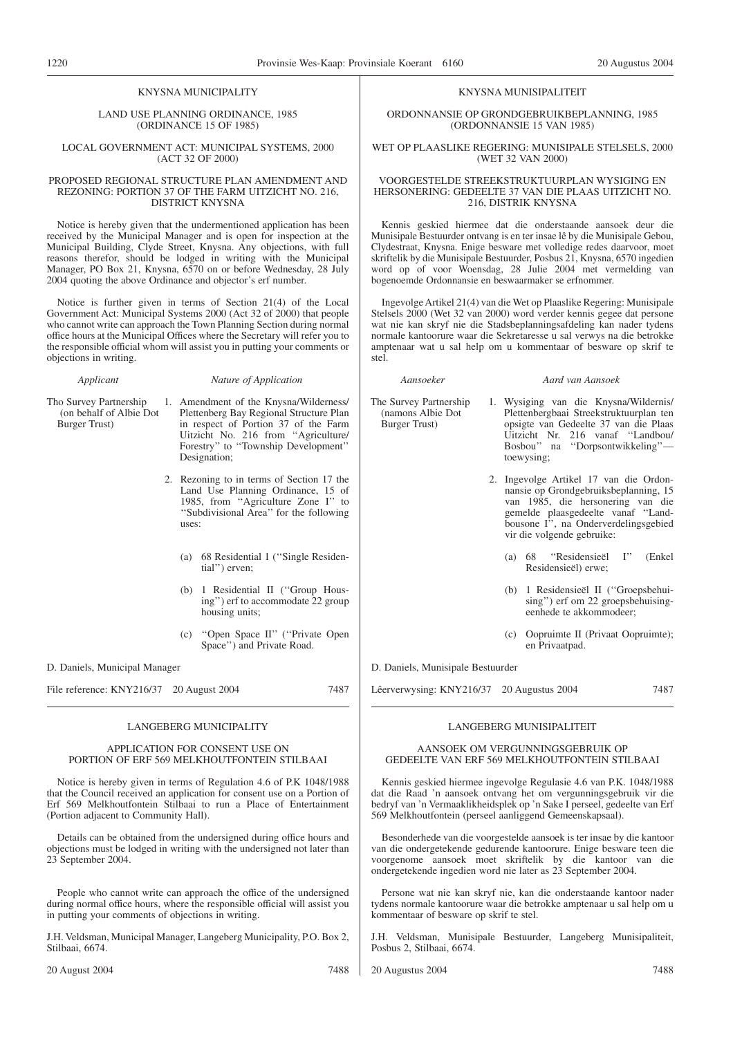#### KNYSNA MUNICIPALITY

LAND USE PLANNING ORDINANCE, 1985 (ORDINANCE 15 OF 1985)

#### LOCAL GOVERNMENT ACT: MUNICIPAL SYSTEMS, 2000 (ACT 32 OF 2000)

#### PROPOSED REGIONAL STRUCTURE PLAN AMENDMENT AND REZONING: PORTION 37 OF THE FARM UITZICHT NO. 216, DISTRICT KNYSNA

Notice is hereby given that the undermentioned application has been received by the Municipal Manager and is open for inspection at the Municipal Building, Clyde Street, Knysna. Any objections, with full reasons therefor, should be lodged in writing with the Municipal Manager, PO Box 21, Knysna, 6570 on or before Wednesday, 28 July 2004 quoting the above Ordinance and objector's erf number.

Notice is further given in terms of Section 21(4) of the Local Government Act: Municipal Systems 2000 (Act 32 of 2000) that people who cannot write can approach the Town Planning Section during normal office hours at the Municipal Offices where the Secretary will refer you to the responsible official whom will assist you in putting your comments or objections in writing.

#### *Applicant Nature of Application*

Tho Survey Partnership (on behalf of Albie Dot Burger Trust)

1. Amendment of the Knysna/Wilderness/ Plettenberg Bay Regional Structure Plan in respect of Portion 37 of the Farm Uitzicht No. 216 from ''Agriculture/ Forestry'' to ''Township Development'' Designation;

- 2. Rezoning to in terms of Section 17 the Land Use Planning Ordinance, 15 of 1985, from ''Agriculture Zone I'' to ''Subdivisional Area'' for the following uses:
	- (a) 68 Residential 1 (''Single Residential'') erven;
	- (b) 1 Residential II (''Group Housing'') erf to accommodate 22 group housing units;
	- (c) ''Open Space II'' (''Private Open Space'') and Private Road.

D. Daniels, Municipal Manager

File reference: KNY216/37 20 August 2004 7487

#### LANGEBERG MUNICIPALITY

#### APPLICATION FOR CONSENT USE ON PORTION OF ERF 569 MELKHOUTFONTEIN STILBAAI

Notice is hereby given in terms of Regulation 4.6 of P.K 1048/1988 that the Council received an application for consent use on a Portion of Erf 569 Melkhoutfontein Stilbaai to run a Place of Entertainment (Portion adjacent to Community Hall).

Details can be obtained from the undersigned during office hours and objections must be lodged in writing with the undersigned not later than 23 September 2004.

People who cannot write can approach the office of the undersigned during normal office hours, where the responsible official will assist you in putting your comments of objections in writing.

J.H. Veldsman, Municipal Manager, Langeberg Municipality, P.O. Box 2, Stilbaai, 6674.

#### KNYSNA MUNISIPALITEIT

ORDONNANSIE OP GRONDGEBRUIKBEPLANNING, 1985 (ORDONNANSIE 15 VAN 1985)

#### WET OP PLAASLIKE REGERING: MUNISIPALE STELSELS, 2000 (WET 32 VAN 2000)

#### VOORGESTELDE STREEKSTRUKTUURPLAN WYSIGING EN HERSONERING: GEDEELTE 37 VAN DIE PLAAS UITZICHT NO. 216, DISTRIK KNYSNA

Kennis geskied hiermee dat die onderstaande aansoek deur die Munisipale Bestuurder ontvang is en ter insae lê by die Munisipale Gebou, Clydestraat, Knysna. Enige besware met volledige redes daarvoor, moet skriftelik by die Munisipale Bestuurder, Posbus 21, Knysna, 6570 ingedien word op of voor Woensdag, 28 Julie 2004 met vermelding van bogenoemde Ordonnansie en beswaarmaker se erfnommer.

Ingevolge Artikel 21(4) van die Wet op Plaaslike Regering: Munisipale Stelsels 2000 (Wet 32 van 2000) word verder kennis gegee dat persone wat nie kan skryf nie die Stadsbeplanningsafdeling kan nader tydens normale kantoorure waar die Sekretaresse u sal verwys na die betrokke amptenaar wat u sal help om u kommentaar of besware op skrif te stel.

(namons Albie Dot Burger Trust)

#### *Aansoeker Aard van Aansoek*

The Survey Partnership 1. Wysiging van die Knysna/Wildernis/ Plettenbergbaai Streekstruktuurplan ten opsigte van Gedeelte 37 van die Plaas Uitzicht Nr. 216 vanaf ''Landbou/ Bosbou'' na ''Dorpsontwikkeling'' toewysing;

- 2. Ingevolge Artikel 17 van die Ordonnansie op Grondgebruiksbeplanning, 15 van 1985, die hersonering van die gemelde plaasgedeelte vanaf ''Landbousone I'', na Onderverdelingsgebied vir die volgende gebruike:
	- (a) 68 ''Residensieël I'' (Enkel Residensieël) erwe;
	- (b) 1 Residensieël II (''Groepsbehuising'') erf om 22 groepsbehuisingeenhede te akkommodeer;
	- (c) Oopruimte II (Privaat Oopruimte); en Privaatpad.

D. Daniels, Munisipale Bestuurder

Lêerverwysing: KNY216/37 20 Augustus 2004 7487

#### AANSOEK OM VERGUNNINGSGEBRUIK OP GEDEELTE VAN ERF 569 MELKHOUTFONTEIN STILBAAI

LANGEBERG MUNISIPALITEIT

Kennis geskied hiermee ingevolge Regulasie 4.6 van P.K. 1048/1988 dat die Raad 'n aansoek ontvang het om vergunningsgebruik vir die bedryf van 'n Vermaaklikheidsplek op 'n Sake I perseel, gedeelte van Erf 569 Melkhoutfontein (perseel aanliggend Gemeenskapsaal).

Besonderhede van die voorgestelde aansoek is ter insae by die kantoor van die ondergetekende gedurende kantoorure. Enige besware teen die voorgenome aansoek moet skriftelik by die kantoor van die ondergetekende ingedien word nie later as 23 September 2004.

Persone wat nie kan skryf nie, kan die onderstaande kantoor nader tydens normale kantoorure waar die betrokke amptenaar u sal help om u kommentaar of besware op skrif te stel.

J.H. Veldsman, Munisipale Bestuurder, Langeberg Munisipaliteit, Posbus 2, Stilbaai, 6674.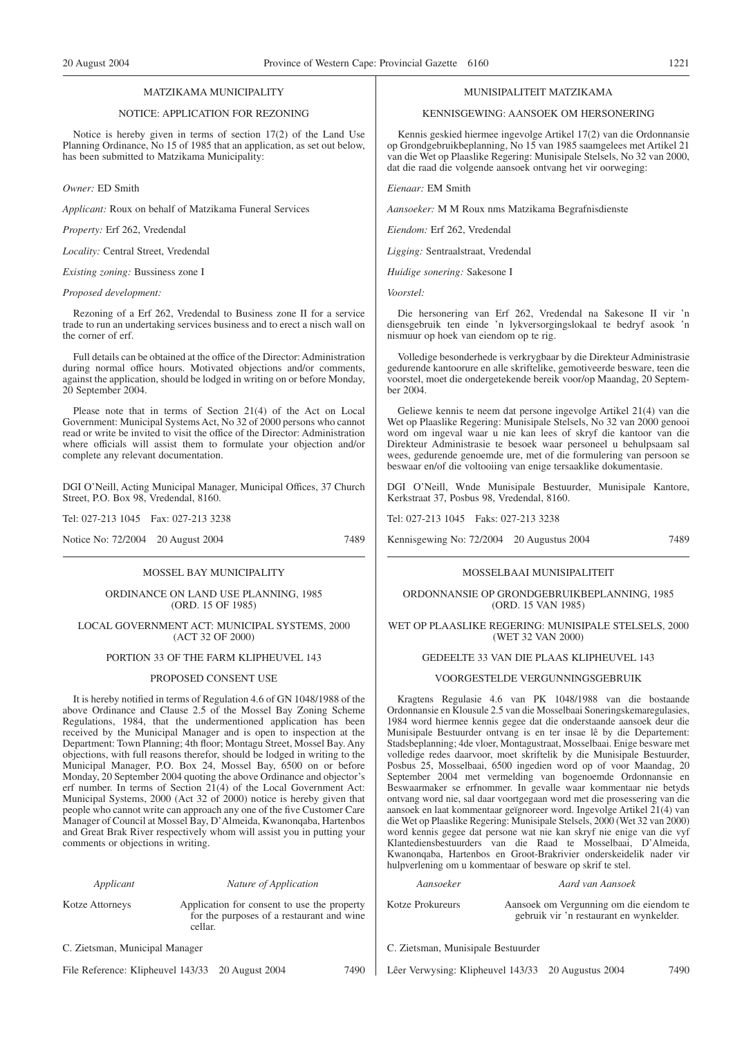#### MATZIKAMA MUNICIPALITY

#### NOTICE: APPLICATION FOR REZONING

Notice is hereby given in terms of section 17(2) of the Land Use Planning Ordinance, No 15 of 1985 that an application, as set out below, has been submitted to Matzikama Municipality:

*Owner:* ED Smith

*Applicant:* Roux on behalf of Matzikama Funeral Services

*Property:* Erf 262, Vredendal

*Locality:* Central Street, Vredendal

*Existing zoning:* Bussiness zone I

#### *Proposed development:*

Rezoning of a Erf 262, Vredendal to Business zone II for a service trade to run an undertaking services business and to erect a nisch wall on the corner of erf.

Full details can be obtained at the office of the Director: Administration during normal office hours. Motivated objections and/or comments, against the application, should be lodged in writing on or before Monday, 20 September 2004.

Please note that in terms of Section 21(4) of the Act on Local Government: Municipal Systems Act, No 32 of 2000 persons who cannot read or write be invited to visit the office of the Director: Administration where officials will assist them to formulate your objection and/or complete any relevant documentation.

DGI O'Neill, Acting Municipal Manager, Municipal Offices, 37 Church Street, P.O. Box 98, Vredendal, 8160.

Tel: 027-213 1045 Fax: 027-213 3238

Notice No: 72/2004 20 August 2004 7489

#### MOSSEL BAY MUNICIPALITY

ORDINANCE ON LAND USE PLANNING, 1985 (ORD. 15 OF 1985)

#### LOCAL GOVERNMENT ACT: MUNICIPAL SYSTEMS, 2000 (ACT 32 OF 2000)

#### PORTION 33 OF THE FARM KLIPHEUVEL 143

#### PROPOSED CONSENT USE

It is hereby notified in terms of Regulation 4.6 of GN 1048/1988 of the above Ordinance and Clause 2.5 of the Mossel Bay Zoning Scheme Regulations, 1984, that the undermentioned application has been received by the Municipal Manager and is open to inspection at the Department: Town Planning; 4th floor; Montagu Street, Mossel Bay. Any objections, with full reasons therefor, should be lodged in writing to the Municipal Manager, P.O. Box 24, Mossel Bay, 6500 on or before Monday, 20 September 2004 quoting the above Ordinance and objector's erf number. In terms of Section 21(4) of the Local Government Act: Municipal Systems, 2000 (Act 32 of 2000) notice is hereby given that people who cannot write can approach any one of the five Customer Care Manager of Council at Mossel Bay, D'Almeida, Kwanonqaba, Hartenbos and Great Brak River respectively whom will assist you in putting your comments or objections in writing.

*Applicant Nature of Application*

Kotze Attorneys Application for consent to use the property for the purposes of a restaurant and wine cellar.

C. Zietsman, Municipal Manager

File Reference: Klipheuvel 143/33 20 August 2004 7490

#### MUNISIPALITEIT MATZIKAMA

#### KENNISGEWING: AANSOEK OM HERSONERING

Kennis geskied hiermee ingevolge Artikel 17(2) van die Ordonnansie op Grondgebruikbeplanning, No 15 van 1985 saamgelees met Artikel 21 van die Wet op Plaaslike Regering: Munisipale Stelsels, No 32 van 2000, dat die raad die volgende aansoek ontvang het vir oorweging:

*Eienaar:* EM Smith

*Aansoeker:* M M Roux nms Matzikama Begrafnisdienste

*Eiendom:* Erf 262, Vredendal

*Ligging:* Sentraalstraat, Vredendal

*Huidige sonering:* Sakesone I

*Voorstel:*

Die hersonering van Erf 262, Vredendal na Sakesone II vir 'n diensgebruik ten einde 'n lykversorgingslokaal te bedryf asook 'n nismuur op hoek van eiendom op te rig.

Volledige besonderhede is verkrygbaar by die Direkteur Administrasie gedurende kantoorure en alle skriftelike, gemotiveerde besware, teen die voorstel, moet die ondergetekende bereik voor/op Maandag, 20 September 2004.

Geliewe kennis te neem dat persone ingevolge Artikel 21(4) van die Wet op Plaaslike Regering: Munisipale Stelsels, No 32 van 2000 genooi word om ingeval waar u nie kan lees of skryf die kantoor van die Direkteur Administrasie te besoek waar personeel u behulpsaam sal wees, gedurende genoemde ure, met of die formulering van persoon se beswaar en/of die voltooiing van enige tersaaklike dokumentasie.

DGI O'Neill, Wnde Munisipale Bestuurder, Munisipale Kantore, Kerkstraat 37, Posbus 98, Vredendal, 8160.

Tel: 027-213 1045 Faks: 027-213 3238

Kennisgewing No: 72/2004 20 Augustus 2004 7489

#### MOSSELBAAI MUNISIPALITEIT

#### ORDONNANSIE OP GRONDGEBRUIKBEPLANNING, 1985 (ORD. 15 VAN 1985)

#### WET OP PLAASLIKE REGERING: MUNISIPALE STELSELS, 2000 (WET 32 VAN 2000)

#### GEDEELTE 33 VAN DIE PLAAS KLIPHEUVEL 143

#### VOORGESTELDE VERGUNNINGSGEBRUIK

Kragtens Regulasie 4.6 van PK 1048/1988 van die bostaande Ordonnansie en Klousule 2.5 van die Mosselbaai Soneringskemaregulasies, 1984 word hiermee kennis gegee dat die onderstaande aansoek deur die Munisipale Bestuurder ontvang is en ter insae lê by die Departement: Stadsbeplanning; 4de vloer, Montagustraat, Mosselbaai. Enige besware met volledige redes daarvoor, moet skriftelik by die Munisipale Bestuurder, Posbus 25, Mosselbaai, 6500 ingedien word op of voor Maandag, 20 September 2004 met vermelding van bogenoemde Ordonnansie en Beswaarmaker se erfnommer. In gevalle waar kommentaar nie betyds ontvang word nie, sal daar voortgegaan word met die prosessering van die aansoek en laat kommentaar geïgnoreer word. Ingevolge Artikel 21(4) van die Wet op Plaaslike Regering: Munisipale Stelsels, 2000 (Wet 32 van 2000) word kennis gegee dat persone wat nie kan skryf nie enige van die vyf Klantediensbestuurders van die Raad te Mosselbaai, D'Almeida, Kwanonqaba, Hartenbos en Groot-Brakrivier onderskeidelik nader vir hulpverlening om u kommentaar of besware op skrif te stel.

# *Aansoeker Aard van Aansoek* Kotze Prokureurs Aansoek om Vergunning om die eiendom te gebruik vir 'n restaurant en wynkelder.

- C. Zietsman, Munisipale Bestuurder
- Lêer Verwysing: Klipheuvel 143/33 20 Augustus 2004 7490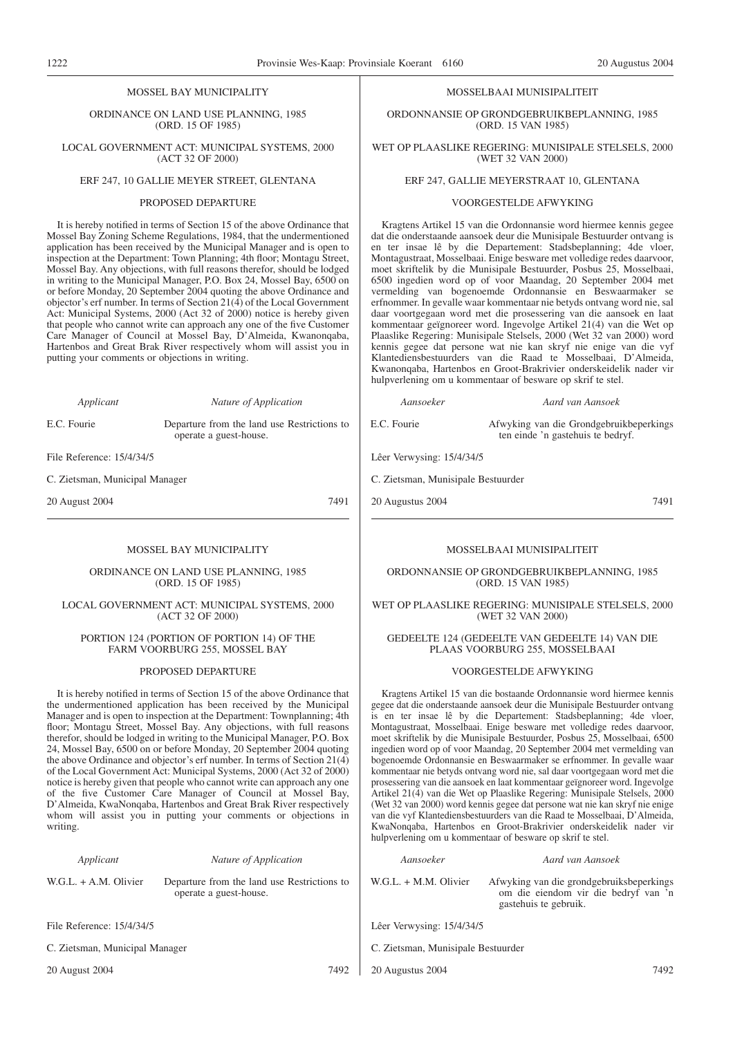#### MOSSEL BAY MUNICIPALITY

ORDINANCE ON LAND USE PLANNING, 1985 (ORD. 15 OF 1985)

LOCAL GOVERNMENT ACT: MUNICIPAL SYSTEMS, 2000 (ACT 32 OF 2000)

## ERF 247, 10 GALLIE MEYER STREET, GLENTANA

#### PROPOSED DEPARTURE

It is hereby notified in terms of Section 15 of the above Ordinance that Mossel Bay Zoning Scheme Regulations, 1984, that the undermentioned application has been received by the Municipal Manager and is open to inspection at the Department: Town Planning; 4th floor; Montagu Street, Mossel Bay. Any objections, with full reasons therefor, should be lodged in writing to the Municipal Manager, P.O. Box 24, Mossel Bay, 6500 on or before Monday, 20 September 2004 quoting the above Ordinance and objector's erf number. In terms of Section 21(4) of the Local Government Act: Municipal Systems, 2000 (Act 32 of 2000) notice is hereby given that people who cannot write can approach any one of the five Customer Care Manager of Council at Mossel Bay, D'Almeida, Kwanonqaba, Hartenbos and Great Brak River respectively whom will assist you in putting your comments or objections in writing.

*Applicant Nature of Application*

E.C. Fourie Departure from the land use Restrictions to operate a guest-house.

File Reference: 15/4/34/5

C. Zietsman, Municipal Manager

20 August 2004 7491

#### MOSSEL BAY MUNICIPALITY

ORDINANCE ON LAND USE PLANNING, 1985 (ORD. 15 OF 1985)

#### LOCAL GOVERNMENT ACT: MUNICIPAL SYSTEMS, 2000 (ACT 32 OF 2000)

PORTION 124 (PORTION OF PORTION 14) OF THE FARM VOORBURG 255, MOSSEL BAY

#### PROPOSED DEPARTURE

It is hereby notified in terms of Section 15 of the above Ordinance that the undermentioned application has been received by the Municipal Manager and is open to inspection at the Department: Townplanning; 4th floor; Montagu Street, Mossel Bay. Any objections, with full reasons therefor, should be lodged in writing to the Municipal Manager, P.O. Box 24, Mossel Bay, 6500 on or before Monday, 20 September 2004 quoting the above Ordinance and objector's erf number. In terms of Section 21(4) of the Local Government Act: Municipal Systems, 2000 (Act 32 of 2000) notice is hereby given that people who cannot write can approach any one of the five Customer Care Manager of Council at Mossel Bay, D'Almeida, KwaNonqaba, Hartenbos and Great Brak River respectively whom will assist you in putting your comments or objections in writing.

#### *Applicant Nature of Application*

operate a guest-house.

W.G.L. + A.M. Olivier Departure from the land use Restrictions to

File Reference: 15/4/34/5

C. Zietsman, Municipal Manager

20 August 2004 7492

## MOSSELBAAI MUNISIPALITEIT

ORDONNANSIE OP GRONDGEBRUIKBEPLANNING, 1985 (ORD. 15 VAN 1985)

#### WET OP PLAASLIKE REGERING: MUNISIPALE STELSELS, 2000 (WET 32 VAN 2000)

# ERF 247, GALLIE MEYERSTRAAT 10, GLENTANA

#### VOORGESTELDE AFWYKING

Kragtens Artikel 15 van die Ordonnansie word hiermee kennis gegee dat die onderstaande aansoek deur die Munisipale Bestuurder ontvang is en ter insae lê by die Departement: Stadsbeplanning; 4de vloer, Montagustraat, Mosselbaai. Enige besware met volledige redes daarvoor, moet skriftelik by die Munisipale Bestuurder, Posbus 25, Mosselbaai, 6500 ingedien word op of voor Maandag, 20 September 2004 met vermelding van bogenoemde Ordonnansie en Beswaarmaker se erfnommer. In gevalle waar kommentaar nie betyds ontvang word nie, sal daar voortgegaan word met die prosessering van die aansoek en laat kommentaar geïgnoreer word. Ingevolge Artikel 21(4) van die Wet op Plaaslike Regering: Munisipale Stelsels, 2000 (Wet 32 van 2000) word kennis gegee dat persone wat nie kan skryf nie enige van die vyf Klantediensbestuurders van die Raad te Mosselbaai, D'Almeida, Kwanonqaba, Hartenbos en Groot-Brakrivier onderskeidelik nader vir hulpverlening om u kommentaar of besware op skrif te stel.

*Aansoeker Aard van Aansoek*

E.C. Fourie Afwyking van die Grondgebruikbeperkings ten einde 'n gastehuis te bedryf.

Lêer Verwysing: 15/4/34/5

C. Zietsman, Munisipale Bestuurder

20 Augustus 2004 7491

#### MOSSELBAAI MUNISIPALITEIT

ORDONNANSIE OP GRONDGEBRUIKBEPLANNING, 1985 (ORD. 15 VAN 1985)

#### WET OP PLAASLIKE REGERING: MUNISIPALE STELSELS, 2000 (WET 32 VAN 2000)

#### GEDEELTE 124 (GEDEELTE VAN GEDEELTE 14) VAN DIE PLAAS VOORBURG 255, MOSSELBAAI

#### VOORGESTELDE AFWYKING

Kragtens Artikel 15 van die bostaande Ordonnansie word hiermee kennis gegee dat die onderstaande aansoek deur die Munisipale Bestuurder ontvang is en ter insae lê by die Departement: Stadsbeplanning; 4de vloer, Montagustraat, Mosselbaai. Enige besware met volledige redes daarvoor, moet skriftelik by die Munisipale Bestuurder, Posbus 25, Mosselbaai, 6500 ingedien word op of voor Maandag, 20 September 2004 met vermelding van bogenoemde Ordonnansie en Beswaarmaker se erfnommer. In gevalle waar kommentaar nie betyds ontvang word nie, sal daar voortgegaan word met die prosessering van die aansoek en laat kommentaar geïgnoreer word. Ingevolge Artikel 21(4) van die Wet op Plaaslike Regering: Munisipale Stelsels, 2000 (Wet 32 van 2000) word kennis gegee dat persone wat nie kan skryf nie enige van die vyf Klantediensbestuurders van die Raad te Mosselbaai, D'Almeida, KwaNonqaba, Hartenbos en Groot-Brakrivier onderskeidelik nader vir hulpverlening om u kommentaar of besware op skrif te stel.

*Aansoeker Aard van Aansoek* W.G.L. + M.M. Olivier Afwyking van die grondgebruiksbeperkings om die eiendom vir die bedryf van 'n gastehuis te gebruik.

Lêer Verwysing: 15/4/34/5

- C. Zietsman, Munisipale Bestuurder
- 20 Augustus 2004 7492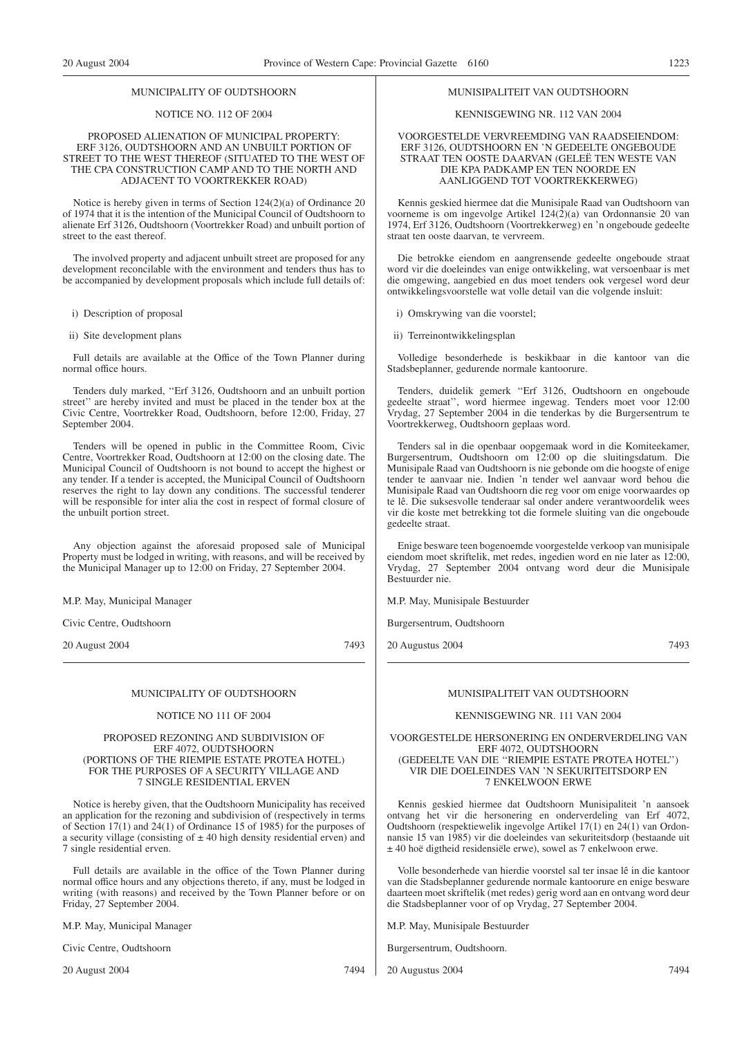#### MUNICIPALITY OF OUDTSHOORN

#### NOTICE NO. 112 OF 2004

#### PROPOSED ALIENATION OF MUNICIPAL PROPERTY: ERF 3126, OUDTSHOORN AND AN UNBUILT PORTION OF STREET TO THE WEST THEREOF (SITUATED TO THE WEST OF THE CPA CONSTRUCTION CAMP AND TO THE NORTH AND ADJACENT TO VOORTREKKER ROAD)

Notice is hereby given in terms of Section 124(2)(a) of Ordinance 20 of 1974 that it is the intention of the Municipal Council of Oudtshoorn to alienate Erf 3126, Oudtshoorn (Voortrekker Road) and unbuilt portion of street to the east thereof.

The involved property and adjacent unbuilt street are proposed for any development reconcilable with the environment and tenders thus has to be accompanied by development proposals which include full details of:

i) Description of proposal

ii) Site development plans

Full details are available at the Office of the Town Planner during normal office hours.

Tenders duly marked, ''Erf 3126, Oudtshoorn and an unbuilt portion street'' are hereby invited and must be placed in the tender box at the Civic Centre, Voortrekker Road, Oudtshoorn, before 12:00, Friday, 27 September 2004.

Tenders will be opened in public in the Committee Room, Civic Centre, Voortrekker Road, Oudtshoorn at 12:00 on the closing date. The Municipal Council of Oudtshoorn is not bound to accept the highest or any tender. If a tender is accepted, the Municipal Council of Oudtshoorn reserves the right to lay down any conditions. The successful tenderer will be responsible for inter alia the cost in respect of formal closure of the unbuilt portion street.

Any objection against the aforesaid proposed sale of Municipal Property must be lodged in writing, with reasons, and will be received by the Municipal Manager up to 12:00 on Friday, 27 September 2004.

M.P. May, Municipal Manager

Civic Centre, Oudtshoorn

20 August 2004 7493

#### MUNICIPALITY OF OUDTSHOORN

#### NOTICE NO 111 OF 2004

#### PROPOSED REZONING AND SUBDIVISION OF ERF 4072, OUDTSHOORN (PORTIONS OF THE RIEMPIE ESTATE PROTEA HOTEL) FOR THE PURPOSES OF A SECURITY VILLAGE AND 7 SINGLE RESIDENTIAL ERVEN

Notice is hereby given, that the Oudtshoorn Municipality has received an application for the rezoning and subdivision of (respectively in terms of Section 17(1) and 24(1) of Ordinance 15 of 1985) for the purposes of a security village (consisting of  $\pm$  40 high density residential erven) and 7 single residential erven.

Full details are available in the office of the Town Planner during normal office hours and any objections thereto, if any, must be lodged in writing (with reasons) and received by the Town Planner before or on Friday, 27 September 2004.

M.P. May, Municipal Manager

Civic Centre, Oudtshoorn

20 August 2004 7494

#### MUNISIPALITEIT VAN OUDTSHOORN

#### KENNISGEWING NR. 112 VAN 2004

#### VOORGESTELDE VERVREEMDING VAN RAADSEIENDOM: ERF 3126, OUDTSHOORN EN 'N GEDEELTE ONGEBOUDE STRAAT TEN OOSTE DAARVAN (GELEË TEN WESTE VAN DIE KPA PADKAMP EN TEN NOORDE EN AANLIGGEND TOT VOORTREKKERWEG)

Kennis geskied hiermee dat die Munisipale Raad van Oudtshoorn van voorneme is om ingevolge Artikel 124(2)(a) van Ordonnansie 20 van 1974, Erf 3126, Oudtshoorn (Voortrekkerweg) en 'n ongeboude gedeelte straat ten ooste daarvan, te vervreem.

Die betrokke eiendom en aangrensende gedeelte ongeboude straat word vir die doeleindes van enige ontwikkeling, wat versoenbaar is met die omgewing, aangebied en dus moet tenders ook vergesel word deur ontwikkelingsvoorstelle wat volle detail van die volgende insluit:

i) Omskrywing van die voorstel;

ii) Terreinontwikkelingsplan

Volledige besonderhede is beskikbaar in die kantoor van die Stadsbeplanner, gedurende normale kantoorure.

Tenders, duidelik gemerk ''Erf 3126, Oudtshoorn en ongeboude gedeelte straat'', word hiermee ingewag. Tenders moet voor 12:00 Vrydag, 27 September 2004 in die tenderkas by die Burgersentrum te Voortrekkerweg, Oudtshoorn geplaas word.

Tenders sal in die openbaar oopgemaak word in die Komiteekamer, Burgersentrum, Oudtshoorn om 12:00 op die sluitingsdatum. Die Munisipale Raad van Oudtshoorn is nie gebonde om die hoogste of enige tender te aanvaar nie. Indien 'n tender wel aanvaar word behou die Munisipale Raad van Oudtshoorn die reg voor om enige voorwaardes op te lê. Die suksesvolle tenderaar sal onder andere verantwoordelik wees vir die koste met betrekking tot die formele sluiting van die ongeboude gedeelte straat.

Enige besware teen bogenoemde voorgestelde verkoop van munisipale eiendom moet skriftelik, met redes, ingedien word en nie later as 12:00, Vrydag, 27 September 2004 ontvang word deur die Munisipale Bestuurder nie.

M.P. May, Munisipale Bestuurder

Burgersentrum, Oudtshoorn

20 Augustus 2004 7493

#### MUNISIPALITEIT VAN OUDTSHOORN

#### KENNISGEWING NR. 111 VAN 2004

#### VOORGESTELDE HERSONERING EN ONDERVERDELING VAN ERF 4072, OUDTSHOORN (GEDEELTE VAN DIE ''RIEMPIE ESTATE PROTEA HOTEL'') VIR DIE DOELEINDES VAN 'N SEKURITEITSDORP EN 7 ENKELWOON ERWE

Kennis geskied hiermee dat Oudtshoorn Munisipaliteit 'n aansoek ontvang het vir die hersonering en onderverdeling van Erf 4072, Oudtshoorn (respektiewelik ingevolge Artikel 17(1) en 24(1) van Ordonnansie 15 van 1985) vir die doeleindes van sekuriteitsdorp (bestaande uit ± 40 hoë digtheid residensiële erwe), sowel as 7 enkelwoon erwe.

Volle besonderhede van hierdie voorstel sal ter insae lê in die kantoor van die Stadsbeplanner gedurende normale kantoorure en enige besware daarteen moet skriftelik (met redes) gerig word aan en ontvang word deur die Stadsbeplanner voor of op Vrydag, 27 September 2004.

M.P. May, Munisipale Bestuurder

Burgersentrum, Oudtshoorn.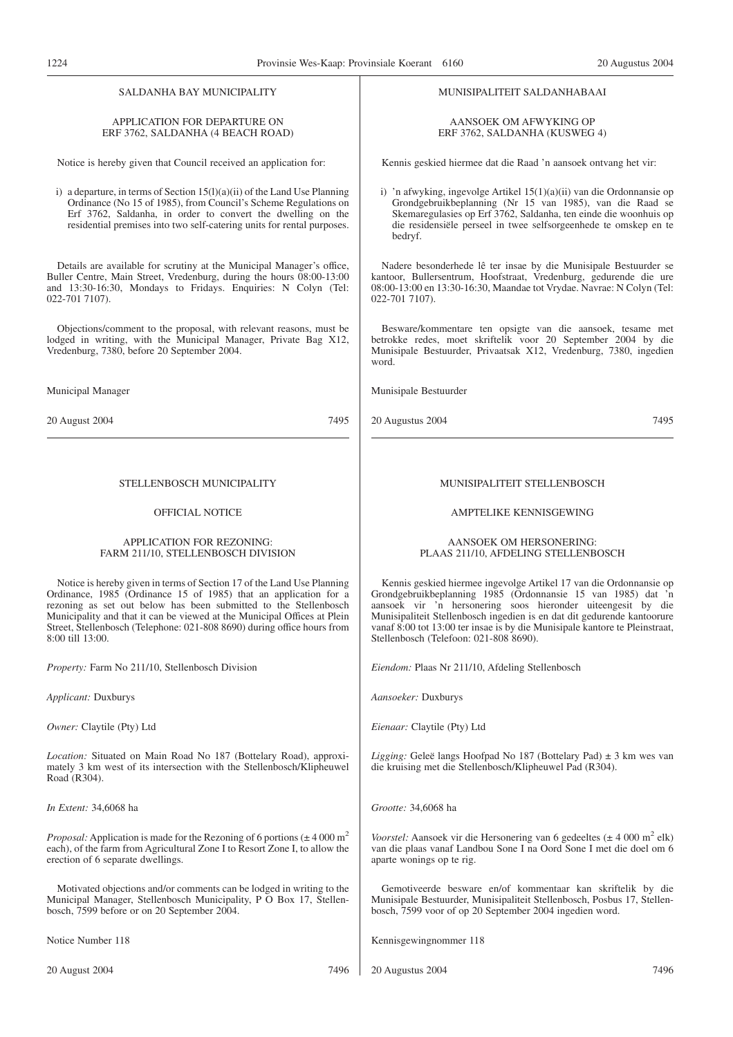#### SALDANHA BAY MUNICIPALITY

#### APPLICATION FOR DEPARTURE ON ERF 3762, SALDANHA (4 BEACH ROAD)

Notice is hereby given that Council received an application for:

i) a departure, in terms of Section  $15(1)(a)(ii)$  of the Land Use Planning Ordinance (No 15 of 1985), from Council's Scheme Regulations on Erf 3762, Saldanha, in order to convert the dwelling on the residential premises into two self-catering units for rental purposes.

Details are available for scrutiny at the Municipal Manager's office, Buller Centre, Main Street, Vredenburg, during the hours 08:00-13:00 and 13:30-16:30, Mondays to Fridays. Enquiries: N Colyn (Tel: 022-701 7107).

Objections/comment to the proposal, with relevant reasons, must be lodged in writing, with the Municipal Manager, Private Bag X12, Vredenburg, 7380, before 20 September 2004.

Municipal Manager

20 August 2004 7495

#### STELLENBOSCH MUNICIPALITY

#### OFFICIAL NOTICE

#### APPLICATION FOR REZONING: FARM 211/10, STELLENBOSCH DIVISION

Notice is hereby given in terms of Section 17 of the Land Use Planning Ordinance, 1985 (Ordinance 15 of 1985) that an application for a rezoning as set out below has been submitted to the Stellenbosch Municipality and that it can be viewed at the Municipal Offices at Plein Street, Stellenbosch (Telephone: 021-808 8690) during office hours from 8:00 till 13:00.

*Property:* Farm No 211/10, Stellenbosch Division

*Applicant:* Duxburys

*Owner:* Claytile (Pty) Ltd

*Location:* Situated on Main Road No 187 (Bottelary Road), approximately 3 km west of its intersection with the Stellenbosch/Klipheuwel Road (R304).

*In Extent:* 34,6068 ha

*Proposal:* Application is made for the Rezoning of 6 portions ( $\pm$  4 000 m<sup>2</sup>) each), of the farm from Agricultural Zone I to Resort Zone I, to allow the erection of 6 separate dwellings.

Motivated objections and/or comments can be lodged in writing to the Municipal Manager, Stellenbosch Municipality, P O Box 17, Stellenbosch, 7599 before or on 20 September 2004.

Notice Number 118

#### MUNISIPALITEIT SALDANHABAAI

#### AANSOEK OM AFWYKING OP ERF 3762, SALDANHA (KUSWEG 4)

Kennis geskied hiermee dat die Raad 'n aansoek ontvang het vir:

i) 'n afwyking, ingevolge Artikel 15(1)(a)(ii) van die Ordonnansie op Grondgebruikbeplanning (Nr 15 van 1985), van die Raad se Skemaregulasies op Erf 3762, Saldanha, ten einde die woonhuis op die residensiële perseel in twee selfsorgeenhede te omskep en te bedryf.

Nadere besonderhede lê ter insae by die Munisipale Bestuurder se kantoor, Bullersentrum, Hoofstraat, Vredenburg, gedurende die ure 08:00-13:00 en 13:30-16:30, Maandae tot Vrydae. Navrae: N Colyn (Tel: 022-701 7107).

Besware/kommentare ten opsigte van die aansoek, tesame met betrokke redes, moet skriftelik voor 20 September 2004 by die Munisipale Bestuurder, Privaatsak X12, Vredenburg, 7380, ingedien word.

Munisipale Bestuurder

20 Augustus 2004 7495

#### MUNISIPALITEIT STELLENBOSCH

#### AMPTELIKE KENNISGEWING

#### AANSOEK OM HERSONERING: PLAAS 211/10, AFDELING STELLENBOSCH

Kennis geskied hiermee ingevolge Artikel 17 van die Ordonnansie op Grondgebruikbeplanning 1985 (Ordonnansie 15 van 1985) dat 'n aansoek vir 'n hersonering soos hieronder uiteengesit by die Munisipaliteit Stellenbosch ingedien is en dat dit gedurende kantoorure vanaf 8:00 tot 13:00 ter insae is by die Munisipale kantore te Pleinstraat, Stellenbosch (Telefoon: 021-808 8690).

*Eiendom:* Plaas Nr 211/10, Afdeling Stellenbosch

*Aansoeker:* Duxburys

*Eienaar:* Claytile (Pty) Ltd

*Ligging:* Geleë langs Hoofpad No 187 (Bottelary Pad) ± 3 km wes van die kruising met die Stellenbosch/Klipheuwel Pad (R304).

*Grootte:* 34,6068 ha

*Voorstel:* Aansoek vir die Hersonering van 6 gedeeltes ( $\pm$  4 000 m<sup>2</sup> elk) van die plaas vanaf Landbou Sone I na Oord Sone I met die doel om 6 aparte wonings op te rig.

Gemotiveerde besware en/of kommentaar kan skriftelik by die Munisipale Bestuurder, Munisipaliteit Stellenbosch, Posbus 17, Stellenbosch, 7599 voor of op 20 September 2004 ingedien word.

Kennisgewingnommer 118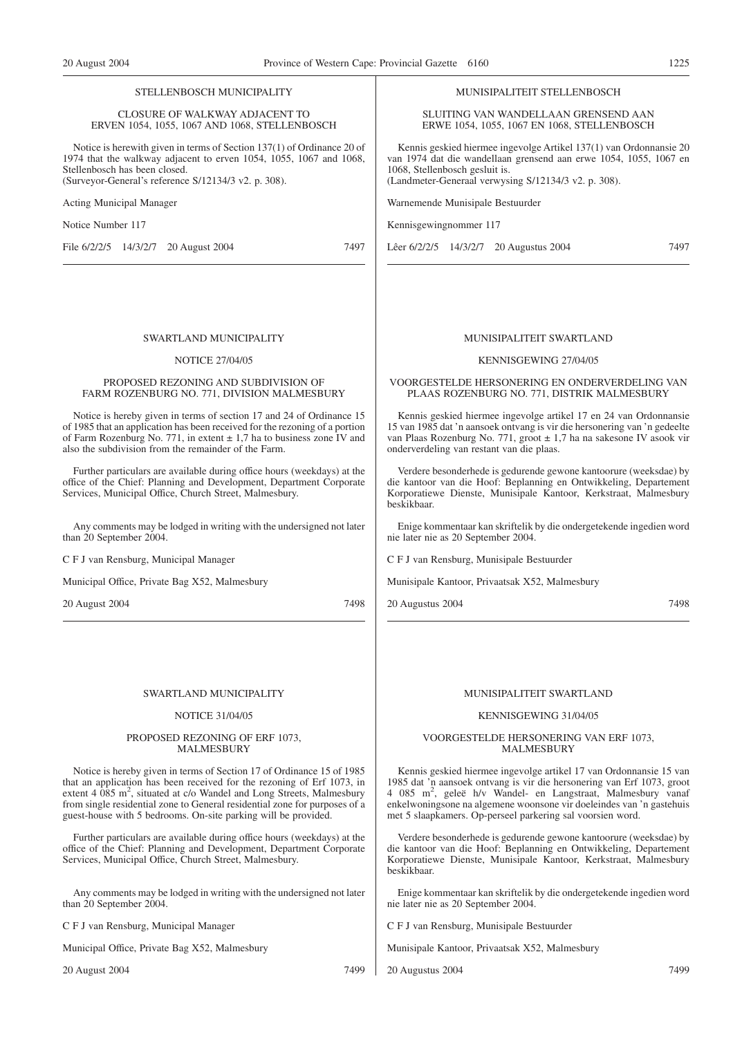#### STELLENBOSCH MUNICIPALITY

#### CLOSURE OF WALKWAY ADJACENT TO ERVEN 1054, 1055, 1067 AND 1068, STELLENBOSCH

Notice is herewith given in terms of Section 137(1) of Ordinance 20 of 1974 that the walkway adjacent to erven 1054, 1055, 1067 and 1068, Stellenbosch has been closed. (Surveyor-General's reference S/12134/3 v2. p. 308).

SWARTLAND MUNICIPALITY NOTICE 27/04/05 PROPOSED REZONING AND SUBDIVISION OF FARM ROZENBURG NO. 771, DIVISION MALMESBURY Notice is hereby given in terms of section 17 and 24 of Ordinance 15 of 1985 that an application has been received for the rezoning of a portion of Farm Rozenburg No. 771, in extent  $\pm$  1,7 ha to business zone IV and

Further particulars are available during office hours (weekdays) at the office of the Chief: Planning and Development, Department Corporate

Any comments may be lodged in writing with the undersigned not later

also the subdivision from the remainder of the Farm.

Services, Municipal Office, Church Street, Malmesbury.

Acting Municipal Manager

Notice Number 117

than 20 September 2004.

C F J van Rensburg, Municipal Manager

Municipal Office, Private Bag X52, Malmesbury

File 6/2/2/5 14/3/2/7 20 August 2004 7497

#### MUNISIPALITEIT STELLENBOSCH

SLUITING VAN WANDELLAAN GRENSEND AAN ERWE 1054, 1055, 1067 EN 1068, STELLENBOSCH

Kennis geskied hiermee ingevolge Artikel 137(1) van Ordonnansie 20 van 1974 dat die wandellaan grensend aan erwe 1054, 1055, 1067 en 1068, Stellenbosch gesluit is. (Landmeter-Generaal verwysing S/12134/3 v2. p. 308).

Warnemende Munisipale Bestuurder

Kennisgewingnommer 117

Lêer 6/2/2/5 14/3/2/7 20 Augustus 2004 7497

#### MUNISIPALITEIT SWARTLAND

#### KENNISGEWING 27/04/05

#### VOORGESTELDE HERSONERING EN ONDERVERDELING VAN PLAAS ROZENBURG NO. 771, DISTRIK MALMESBURY

Kennis geskied hiermee ingevolge artikel 17 en 24 van Ordonnansie 15 van 1985 dat 'n aansoek ontvang is vir die hersonering van 'n gedeelte van Plaas Rozenburg No. 771, groot ± 1,7 ha na sakesone IV asook vir onderverdeling van restant van die plaas.

Verdere besonderhede is gedurende gewone kantoorure (weeksdae) by die kantoor van die Hoof: Beplanning en Ontwikkeling, Departement Korporatiewe Dienste, Munisipale Kantoor, Kerkstraat, Malmesbury beskikbaar.

Enige kommentaar kan skriftelik by die ondergetekende ingedien word nie later nie as 20 September 2004.

C F J van Rensburg, Munisipale Bestuurder

Munisipale Kantoor, Privaatsak X52, Malmesbury

20 Augustus 2004 7498

#### MUNISIPALITEIT SWARTLAND

#### KENNISGEWING 31/04/05

#### VOORGESTELDE HERSONERING VAN ERF 1073, MALMESBURY

Kennis geskied hiermee ingevolge artikel 17 van Ordonnansie 15 van 1985 dat 'n aansoek ontvang is vir die hersonering van Erf 1073, groot 4 085 m<sup>2</sup>, geleë h/v Wandel- en Langstraat, Malmesbury vanaf enkelwoningsone na algemene woonsone vir doeleindes van 'n gastehuis met 5 slaapkamers. Op-perseel parkering sal voorsien word.

Verdere besonderhede is gedurende gewone kantoorure (weeksdae) by die kantoor van die Hoof: Beplanning en Ontwikkeling, Departement Korporatiewe Dienste, Munisipale Kantoor, Kerkstraat, Malmesbury beskikbaar.

Enige kommentaar kan skriftelik by die ondergetekende ingedien word nie later nie as 20 September 2004.

C F J van Rensburg, Munisipale Bestuurder

Munisipale Kantoor, Privaatsak X52, Malmesbury

20 Augustus 2004 7499

#### SWARTLAND MUNICIPALITY

20 August 2004 7498

#### NOTICE 31/04/05

#### PROPOSED REZONING OF ERF 1073, MALMESBURY

Notice is hereby given in terms of Section 17 of Ordinance 15 of 1985 that an application has been received for the rezoning of Erf 1073, in extent 4 085 m<sup>2</sup>, situated at c/o Wandel and Long Streets, Malmesbury from single residential zone to General residential zone for purposes of a guest-house with 5 bedrooms. On-site parking will be provided.

Further particulars are available during office hours (weekdays) at the office of the Chief: Planning and Development, Department Corporate Services, Municipal Office, Church Street, Malmesbury.

Any comments may be lodged in writing with the undersigned not later than 20 September 2004.

C F J van Rensburg, Municipal Manager

Municipal Office, Private Bag X52, Malmesbury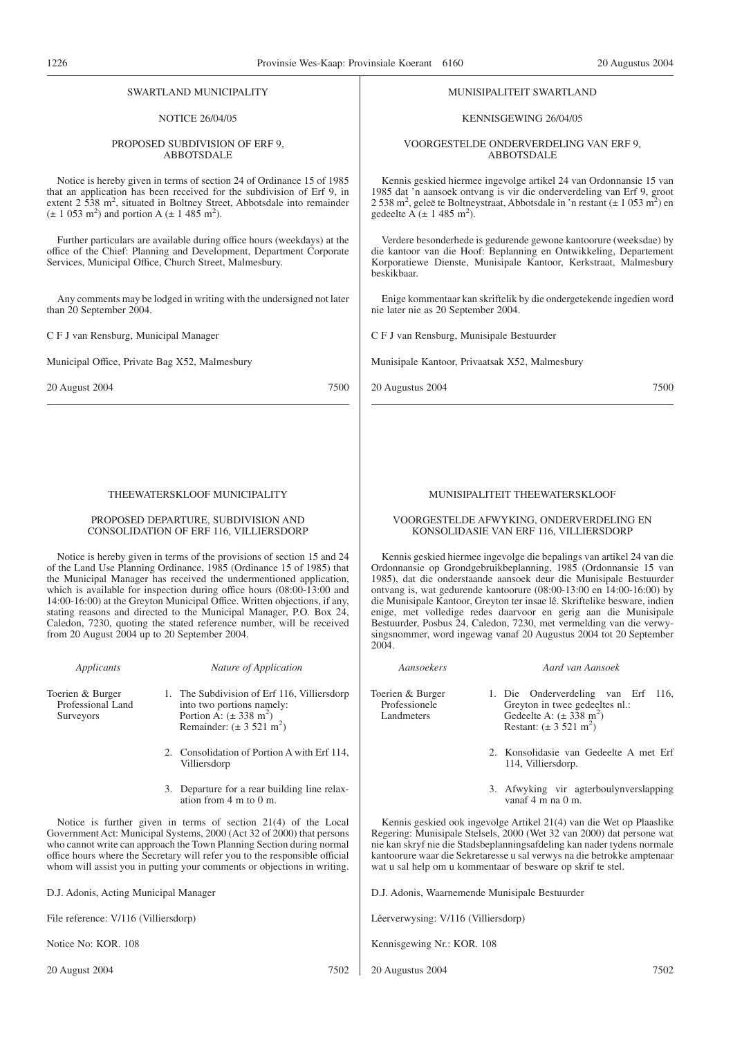SWARTLAND MUNICIPALITY

MUNISIPALITEIT SWARTLAND

| <b>NOTICE 26/04/05</b>                                                                                                                                                                                   | KENNISGEWING 26/04/05                                                                                                                                                                                                     |  |
|----------------------------------------------------------------------------------------------------------------------------------------------------------------------------------------------------------|---------------------------------------------------------------------------------------------------------------------------------------------------------------------------------------------------------------------------|--|
| PROPOSED SUBDIVISION OF ERF 9,                                                                                                                                                                           | VOORGESTELDE ONDERVERDELING VAN ERF 9,                                                                                                                                                                                    |  |
| <b>ABBOTSDALE</b>                                                                                                                                                                                        | <b>ABBOTSDALE</b>                                                                                                                                                                                                         |  |
| Notice is hereby given in terms of section 24 of Ordinance 15 of 1985                                                                                                                                    | Kennis geskied hiermee ingevolge artikel 24 van Ordonnansie 15 van                                                                                                                                                        |  |
| that an application has been received for the subdivision of Erf 9, in                                                                                                                                   | 1985 dat 'n aansoek ontvang is vir die onderverdeling van Erf 9, groot                                                                                                                                                    |  |
| extent 2 538 m <sup>2</sup> , situated in Boltney Street, Abbotsdale into remainder                                                                                                                      | 2 538 m <sup>2</sup> , geleë te Boltneystraat, Abbotsdale in 'n restant ( $\pm$ 1 053 m <sup>2</sup> ) en                                                                                                                 |  |
| $(\pm 1.053 \text{ m}^2)$ and portion A $(\pm 1.485 \text{ m}^2)$ .                                                                                                                                      | gedeelte A $(\pm 1.485 \text{ m}^2)$ .                                                                                                                                                                                    |  |
| Further particulars are available during office hours (weekdays) at the<br>office of the Chief: Planning and Development, Department Corporate<br>Services, Municipal Office, Church Street, Malmesbury. | Verdere besonderhede is gedurende gewone kantoorure (weeksdae) by<br>die kantoor van die Hoof: Beplanning en Ontwikkeling, Departement<br>Korporatiewe Dienste, Munisipale Kantoor, Kerkstraat, Malmesbury<br>beskikbaar. |  |
| Any comments may be lodged in writing with the undersigned not later                                                                                                                                     | Enige kommentaar kan skriftelik by die ondergetekende ingedien word                                                                                                                                                       |  |
| than 20 September 2004.                                                                                                                                                                                  | nie later nie as 20 September 2004.                                                                                                                                                                                       |  |
| C F J van Rensburg, Municipal Manager                                                                                                                                                                    | C F J van Rensburg, Munisipale Bestuurder                                                                                                                                                                                 |  |
| Municipal Office, Private Bag X52, Malmesbury                                                                                                                                                            | Munisipale Kantoor, Privaatsak X52, Malmesbury                                                                                                                                                                            |  |
| 20 August 2004                                                                                                                                                                                           | 20 Augustus 2004                                                                                                                                                                                                          |  |
| 7500                                                                                                                                                                                                     | 7500                                                                                                                                                                                                                      |  |
| THEEWATERSKLOOF MUNICIPALITY                                                                                                                                                                             | MUNISIPALITEIT THEEWATERSKLOOF                                                                                                                                                                                            |  |
| PROPOSED DEPARTURE, SUBDIVISION AND                                                                                                                                                                      | VOORGESTELDE AFWYKING, ONDERVERDELING EN                                                                                                                                                                                  |  |
| CONSOLIDATION OF ERF 116, VILLIERSDORP                                                                                                                                                                   | KONSOLIDASIE VAN ERF 116, VILLIERSDORP                                                                                                                                                                                    |  |
| Notice is hereby given in terms of the provisions of section 15 and 24                                                                                                                                   | Kennis geskied hiermee ingevolge die bepalings van artikel 24 van die                                                                                                                                                     |  |
| of the Land Use Planning Ordinance, 1985 (Ordinance 15 of 1985) that                                                                                                                                     | Ordonnansie op Grondgebruikbeplanning, 1985 (Ordonnansie 15 van                                                                                                                                                           |  |
| the Municipal Manager has received the undermentioned application,                                                                                                                                       | 1985), dat die onderstaande aansoek deur die Munisipale Bestuurder                                                                                                                                                        |  |
| which is available for inspection during office hours $(08:00-13:00$ and                                                                                                                                 | ontvang is, wat gedurende kantoorure (08:00-13:00 en 14:00-16:00) by                                                                                                                                                      |  |
| 14:00-16:00) at the Greyton Municipal Office. Written objections, if any,                                                                                                                                | die Munisipale Kantoor, Greyton ter insae lê. Skriftelike besware, indien                                                                                                                                                 |  |
| stating reasons and directed to the Municipal Manager, P.O. Box 24,                                                                                                                                      | enige, met volledige redes daarvoor en gerig aan die Munisipale                                                                                                                                                           |  |
| Caledon, 7230, quoting the stated reference number, will be received                                                                                                                                     | Bestuurder, Posbus 24, Caledon, 7230, met vermelding van die verwy-                                                                                                                                                       |  |
| from 20 August 2004 up to 20 September 2004.                                                                                                                                                             | singsnommer, word ingewag vanaf 20 Augustus 2004 tot 20 September<br>2004.                                                                                                                                                |  |
| Applicants                                                                                                                                                                                               | Aansoekers                                                                                                                                                                                                                |  |
| Nature of Application                                                                                                                                                                                    | Aard van Aansoek                                                                                                                                                                                                          |  |
| Toerien & Burger                                                                                                                                                                                         | Toerien & Burger                                                                                                                                                                                                          |  |
| 1. The Subdivision of Erf 116, Villiersdorp                                                                                                                                                              | 1. Die Onderverdeling van Erf 116,                                                                                                                                                                                        |  |
| Professional Land                                                                                                                                                                                        | Professionele                                                                                                                                                                                                             |  |
| into two portions namely:                                                                                                                                                                                | Greyton in twee gedeeltes nl.:                                                                                                                                                                                            |  |
| Portion A: $(\pm 338 \text{ m}^2)$                                                                                                                                                                       | Gedeelte A: $(\pm 338 \text{ m}^2)$                                                                                                                                                                                       |  |
| Surveyors                                                                                                                                                                                                | Landmeters                                                                                                                                                                                                                |  |
| Remainder: $(\pm 3.521 \text{ m}^2)$                                                                                                                                                                     | Restant: $(\pm 3.521 \text{ m}^2)$                                                                                                                                                                                        |  |
| 2. Consolidation of Portion A with Erf 114,                                                                                                                                                              | 2. Konsolidasie van Gedeelte A met Erf                                                                                                                                                                                    |  |
| Villiersdorp                                                                                                                                                                                             | 114, Villiersdorp.                                                                                                                                                                                                        |  |
| 3. Departure for a rear building line relax-                                                                                                                                                             | 3. Afwyking vir agterboulynverslapping                                                                                                                                                                                    |  |
| ation from $4 \text{ m}$ to $0 \text{ m}$ .                                                                                                                                                              | vanaf 4 m na 0 m.                                                                                                                                                                                                         |  |
| Notice is further given in terms of section $21(4)$ of the Local                                                                                                                                         | Kennis geskied ook ingevolge Artikel 21(4) van die Wet op Plaaslike                                                                                                                                                       |  |
| Government Act: Municipal Systems, 2000 (Act 32 of 2000) that persons                                                                                                                                    | Regering: Munisipale Stelsels, 2000 (Wet 32 van 2000) dat persone wat                                                                                                                                                     |  |
| who cannot write can approach the Town Planning Section during normal                                                                                                                                    | nie kan skryf nie die Stadsbeplanningsafdeling kan nader tydens normale                                                                                                                                                   |  |
| office hours where the Secretary will refer you to the responsible official                                                                                                                              | kantoorure waar die Sekretaresse u sal verwys na die betrokke amptenaar                                                                                                                                                   |  |
| whom will assist you in putting your comments or objections in writing.                                                                                                                                  | wat u sal help om u kommentaar of besware op skrif te stel.                                                                                                                                                               |  |
| D.J. Adonis, Acting Municipal Manager                                                                                                                                                                    | D.J. Adonis, Waarnemende Munisipale Bestuurder                                                                                                                                                                            |  |
| File reference: V/116 (Villiersdorp)                                                                                                                                                                     | Lêerverwysing: V/116 (Villiersdorp)                                                                                                                                                                                       |  |

Notice No: KOR. 108

ysing: V/116 (Villiersdorp)

Kennisgewing Nr.: KOR. 108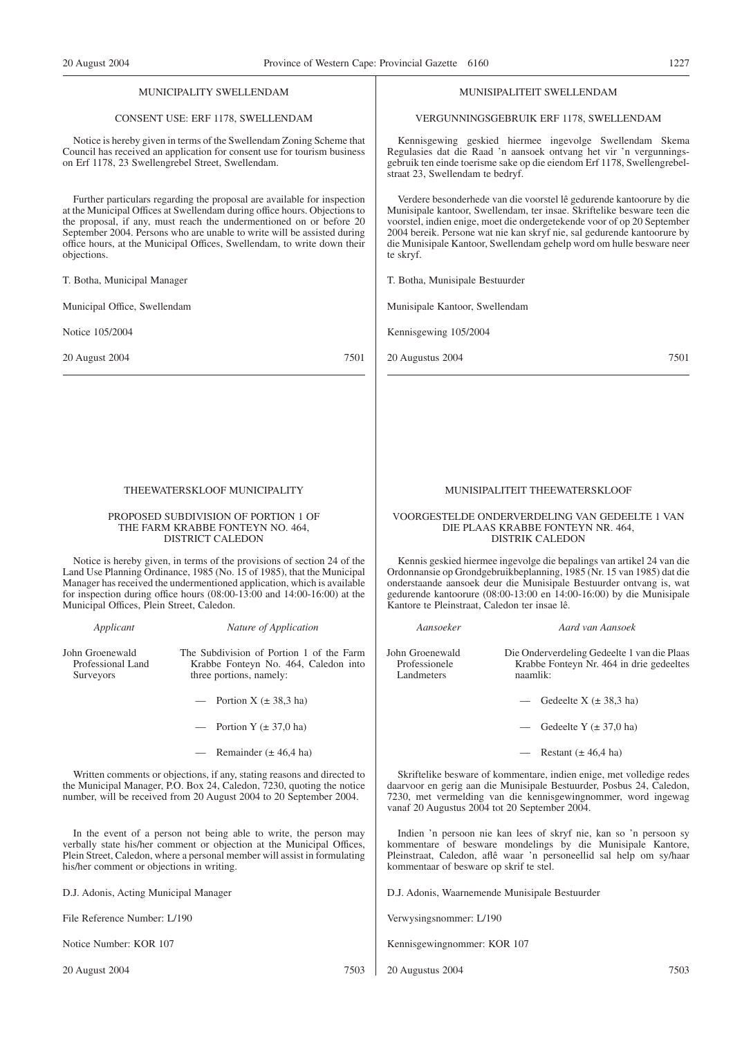#### MUNICIPALITY SWELLENDAM

#### CONSENT USE: ERF 1178, SWELLENDAM

Notice is hereby given in terms of the Swellendam Zoning Scheme that Council has received an application for consent use for tourism business on Erf 1178, 23 Swellengrebel Street, Swellendam.

Further particulars regarding the proposal are available for inspection at the Municipal Offices at Swellendam during office hours. Objections to the proposal, if any, must reach the undermentioned on or before 20 September 2004. Persons who are unable to write will be assisted during office hours, at the Municipal Offices, Swellendam, to write down their objections.

T. Botha, Municipal Manager

Municipal Office, Swellendam

Notice 105/2004

20 August 2004 7501

#### THEEWATERSKLOOF MUNICIPALITY

PROPOSED SUBDIVISION OF PORTION 1 OF THE FARM KRABBE FONTEYN NO. 464, DISTRICT CALEDON

Notice is hereby given, in terms of the provisions of section 24 of the Land Use Planning Ordinance, 1985 (No. 15 of 1985), that the Municipal Manager has received the undermentioned application, which is available for inspection during office hours (08:00-13:00 and 14:00-16:00) at the Municipal Offices, Plein Street, Caledon.

John Groenewald Professional Land Surveyors

*Applicant Nature of Application*

The Subdivision of Portion 1 of the Farm Krabbe Fonteyn No. 464, Caledon into three portions, namely:

- Portion  $X (\pm 38.3$  ha)
- Portion Y  $(\pm 37.0 \text{ ha})$
- Remainder  $(\pm 46, 4 \text{ ha})$

Written comments or objections, if any, stating reasons and directed to the Municipal Manager, P.O. Box 24, Caledon, 7230, quoting the notice number, will be received from 20 August 2004 to 20 September 2004.

In the event of a person not being able to write, the person may verbally state his/her comment or objection at the Municipal Offices, Plein Street, Caledon, where a personal member will assist in formulating his/her comment or objections in writing.

D.J. Adonis, Acting Municipal Manager

File Reference Number: L/190

Notice Number: KOR 107

20 August 2004 7503

#### MUNISIPALITEIT SWELLENDAM

#### VERGUNNINGSGEBRUIK ERF 1178, SWELLENDAM

Kennisgewing geskied hiermee ingevolge Swellendam Skema Regulasies dat die Raad 'n aansoek ontvang het vir 'n vergunningsgebruik ten einde toerisme sake op die eiendom Erf 1178, Swellengrebelstraat 23, Swellendam te bedryf.

Verdere besonderhede van die voorstel lê gedurende kantoorure by die Munisipale kantoor, Swellendam, ter insae. Skriftelike besware teen die voorstel, indien enige, moet die ondergetekende voor of op 20 September 2004 bereik. Persone wat nie kan skryf nie, sal gedurende kantoorure by die Munisipale Kantoor, Swellendam gehelp word om hulle besware neer te skryf.

T. Botha, Munisipale Bestuurder

Munisipale Kantoor, Swellendam

Kennisgewing 105/2004

20 Augustus 2004 7501

### MUNISIPALITEIT THEEWATERSKLOOF

#### VOORGESTELDE ONDERVERDELING VAN GEDEELTE 1 VAN DIE PLAAS KRABBE FONTEYN NR. 464, DISTRIK CALEDON

Kennis geskied hiermee ingevolge die bepalings van artikel 24 van die Ordonnansie op Grondgebruikbeplanning, 1985 (Nr. 15 van 1985) dat die onderstaande aansoek deur die Munisipale Bestuurder ontvang is, wat gedurende kantoorure (08:00-13:00 en 14:00-16:00) by die Munisipale Kantore te Pleinstraat, Caledon ter insae lê.

*Aansoeker Aard van Aansoek*

John Groenewald Professionele **Landmeters** 

Die Onderverdeling Gedeelte 1 van die Plaas Krabbe Fonteyn Nr. 464 in drie gedeeltes naamlik:

- Gedeelte  $X (\pm 38.3 \text{ ha})$
- Gedeelte Y  $(\pm 37,0 \text{ ha})$
- Restant  $(\pm 46, 4 \text{ ha})$

Skriftelike besware of kommentare, indien enige, met volledige redes daarvoor en gerig aan die Munisipale Bestuurder, Posbus 24, Caledon, 7230, met vermelding van die kennisgewingnommer, word ingewag vanaf 20 Augustus 2004 tot 20 September 2004.

Indien 'n persoon nie kan lees of skryf nie, kan so 'n persoon sy kommentare of besware mondelings by die Munisipale Kantore, Pleinstraat, Caledon, aflê waar 'n personeellid sal help om sy/haar kommentaar of besware op skrif te stel.

D.J. Adonis, Waarnemende Munisipale Bestuurder

Verwysingsnommer: L/190

Kennisgewingnommer: KOR 107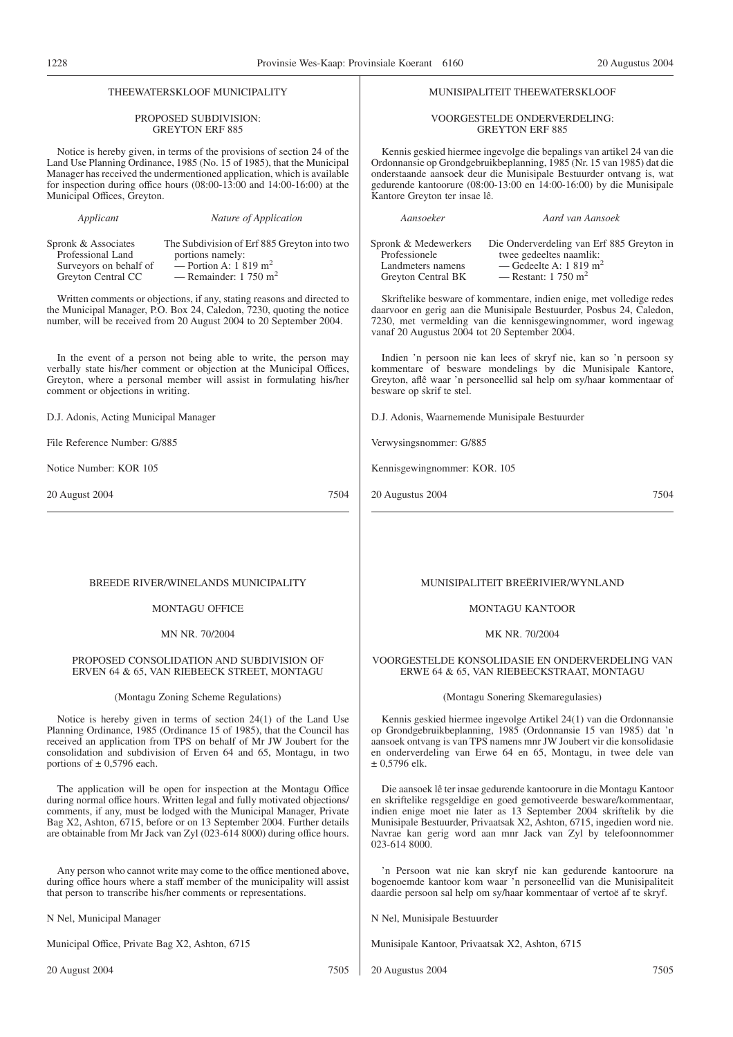| THEEWATERSKLOOF MUNICIPALITY                                                                                                                                                                                                                                                                                                                                               | MUNISIPALITEIT THEEWATERSKLOOF                                                                                                                                                                                                                                                                                                                                               |  |
|----------------------------------------------------------------------------------------------------------------------------------------------------------------------------------------------------------------------------------------------------------------------------------------------------------------------------------------------------------------------------|------------------------------------------------------------------------------------------------------------------------------------------------------------------------------------------------------------------------------------------------------------------------------------------------------------------------------------------------------------------------------|--|
| <b>PROPOSED SUBDIVISION:</b><br><b>GREYTON ERF 885</b>                                                                                                                                                                                                                                                                                                                     | VOORGESTELDE ONDERVERDELING:<br><b>GREYTON ERF 885</b>                                                                                                                                                                                                                                                                                                                       |  |
| Notice is hereby given, in terms of the provisions of section 24 of the<br>Land Use Planning Ordinance, 1985 (No. 15 of 1985), that the Municipal<br>Manager has received the undermentioned application, which is available<br>for inspection during office hours $(08:00-13:00$ and $14:00-16:00)$ at the<br>Municipal Offices, Greyton.                                 | Kennis geskied hiermee ingevolge die bepalings van artikel 24 van die<br>Ordonnansie op Grondgebruikbeplanning, 1985 (Nr. 15 van 1985) dat die<br>onderstaande aansoek deur die Munisipale Bestuurder ontvang is, wat<br>gedurende kantoorure (08:00-13:00 en 14:00-16:00) by die Munisipale<br>Kantore Greyton ter insae lê.                                                |  |
| Applicant<br>Nature of Application                                                                                                                                                                                                                                                                                                                                         | Aansoeker<br>Aard van Aansoek                                                                                                                                                                                                                                                                                                                                                |  |
| Spronk & Associates<br>The Subdivision of Erf 885 Greyton into two<br>Professional Land<br>portions namely:<br>Surveyors on behalf of<br>— Portion A: $1819 \text{ m}^2$<br>— Remainder: $1750 \text{ m}^2$<br>Greyton Central CC                                                                                                                                          | Spronk & Medewerkers<br>Die Onderverdeling van Erf 885 Greyton in<br>Professionele<br>twee gedeeltes naamlik:<br>— Gedeelte A: 1 819 m <sup>2</sup><br>Landmeters namens<br>— Restant: $1750 \text{ m}^2$<br>Greyton Central BK                                                                                                                                              |  |
| Written comments or objections, if any, stating reasons and directed to<br>the Municipal Manager, P.O. Box 24, Caledon, 7230, quoting the notice<br>number, will be received from 20 August 2004 to 20 September 2004.                                                                                                                                                     | Skriftelike besware of kommentare, indien enige, met volledige redes<br>daarvoor en gerig aan die Munisipale Bestuurder, Posbus 24, Caledon,<br>7230, met vermelding van die kennisgewingnommer, word ingewag<br>vanaf 20 Augustus 2004 tot 20 September 2004.                                                                                                               |  |
| In the event of a person not being able to write, the person may<br>verbally state his/her comment or objection at the Municipal Offices,<br>Greyton, where a personal member will assist in formulating his/her<br>comment or objections in writing.                                                                                                                      | Indien 'n persoon nie kan lees of skryf nie, kan so 'n persoon sy<br>kommentare of besware mondelings by die Munisipale Kantore,<br>Greyton, aflê waar 'n personeellid sal help om sy/haar kommentaar of<br>besware op skrif te stel.                                                                                                                                        |  |
| D.J. Adonis, Acting Municipal Manager                                                                                                                                                                                                                                                                                                                                      | D.J. Adonis, Waarnemende Munisipale Bestuurder                                                                                                                                                                                                                                                                                                                               |  |
| File Reference Number: G/885                                                                                                                                                                                                                                                                                                                                               | Verwysingsnommer: G/885                                                                                                                                                                                                                                                                                                                                                      |  |
| Notice Number: KOR 105                                                                                                                                                                                                                                                                                                                                                     | Kennisgewingnommer: KOR. 105                                                                                                                                                                                                                                                                                                                                                 |  |
| 7504<br>20 August 2004                                                                                                                                                                                                                                                                                                                                                     | 20 Augustus 2004<br>7504                                                                                                                                                                                                                                                                                                                                                     |  |
| BREEDE RIVER/WINELANDS MUNICIPALITY                                                                                                                                                                                                                                                                                                                                        | MUNISIPALITEIT BREËRIVIER/WYNLAND                                                                                                                                                                                                                                                                                                                                            |  |
| <b>MONTAGU OFFICE</b>                                                                                                                                                                                                                                                                                                                                                      | <b>MONTAGU KANTOOR</b>                                                                                                                                                                                                                                                                                                                                                       |  |
| MN NR. 70/2004                                                                                                                                                                                                                                                                                                                                                             | MK NR. 70/2004                                                                                                                                                                                                                                                                                                                                                               |  |
| PROPOSED CONSOLIDATION AND SUBDIVISION OF<br>ERVEN 64 & 65, VAN RIEBEECK STREET, MONTAGU                                                                                                                                                                                                                                                                                   | VOORGESTELDE KONSOLIDASIE EN ONDERVERDELING VAN<br>ERWE 64 & 65, VAN RIEBEECKSTRAAT, MONTAGU                                                                                                                                                                                                                                                                                 |  |
| (Montagu Zoning Scheme Regulations)                                                                                                                                                                                                                                                                                                                                        | (Montagu Sonering Skemaregulasies)                                                                                                                                                                                                                                                                                                                                           |  |
| Notice is hereby given in terms of section $24(1)$ of the Land Use<br>Planning Ordinance, 1985 (Ordinance 15 of 1985), that the Council has<br>received an application from TPS on behalf of Mr JW Joubert for the<br>consolidation and subdivision of Erven 64 and 65, Montagu, in two<br>portions of $\pm$ 0,5796 each.                                                  | Kennis geskied hiermee ingevolge Artikel 24(1) van die Ordonnansie<br>op Grondgebruikbeplanning, 1985 (Ordonnansie 15 van 1985) dat 'n<br>aansoek ontvang is van TPS namens mnr JW Joubert vir die konsolidasie<br>en onderverdeling van Erwe 64 en 65, Montagu, in twee dele van<br>$\pm$ 0,5796 elk.                                                                       |  |
| The application will be open for inspection at the Montagu Office<br>during normal office hours. Written legal and fully motivated objections/<br>comments, if any, must be lodged with the Municipal Manager, Private<br>Bag X2, Ashton, 6715, before or on 13 September 2004. Further details<br>are obtainable from Mr Jack van Zyl (023-614 8000) during office hours. | Die aansoek lê ter insae gedurende kantoorure in die Montagu Kantoor<br>en skriftelike regsgeldige en goed gemotiveerde besware/kommentaar,<br>indien enige moet nie later as 13 September 2004 skriftelik by die<br>Munisipale Bestuurder, Privaatsak X2, Ashton, 6715, ingedien word nie.<br>Navrae kan gerig word aan mnr Jack van Zyl by telefoonnommer<br>023-614 8000. |  |
| Any person who cannot write may come to the office mentioned above,<br>during office hours where a staff member of the municipality will assist<br>that person to transcribe his/her comments or representations.                                                                                                                                                          | 'n Persoon wat nie kan skryf nie kan gedurende kantoorure na<br>bogenoemde kantoor kom waar 'n personeellid van die Munisipaliteit<br>daardie persoon sal help om sy/haar kommentaar of vertoë af te skryf.                                                                                                                                                                  |  |
| N Nel, Municipal Manager                                                                                                                                                                                                                                                                                                                                                   | N Nel, Munisipale Bestuurder                                                                                                                                                                                                                                                                                                                                                 |  |
|                                                                                                                                                                                                                                                                                                                                                                            |                                                                                                                                                                                                                                                                                                                                                                              |  |

 $\overline{\phantom{a}}$ 

20 Augustus 2004 7505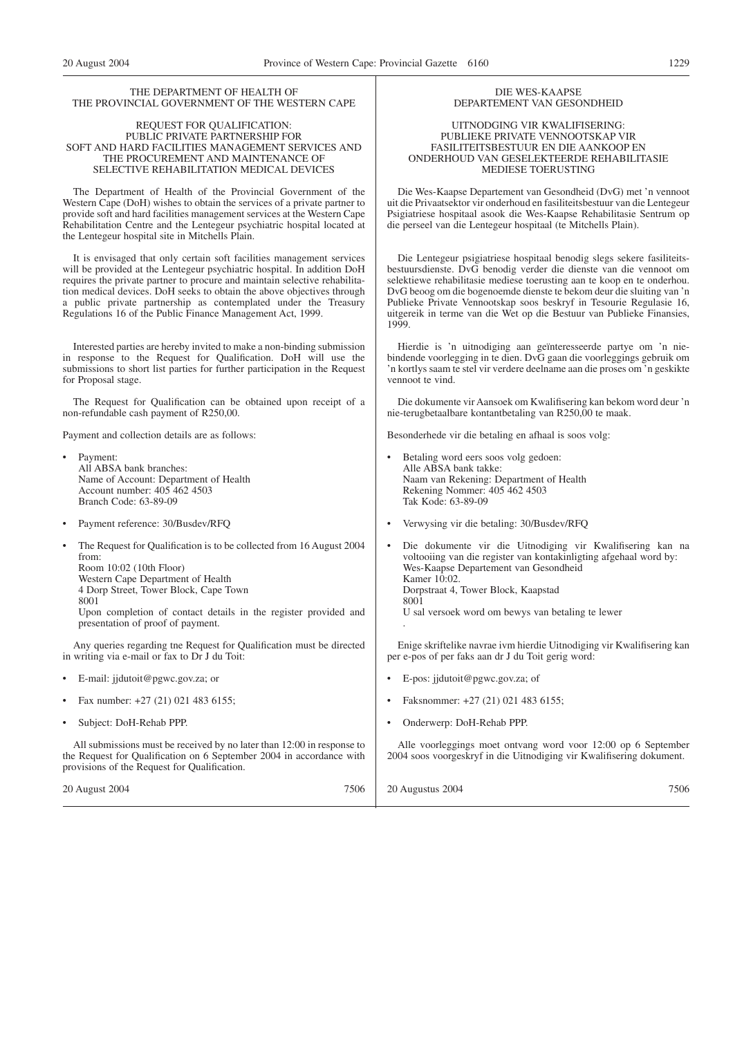#### THE DEPARTMENT OF HEALTH OF THE PROVINCIAL GOVERNMENT OF THE WESTERN CAPE

#### REQUEST FOR QUALIFICATION: PUBLIC PRIVATE PARTNERSHIP FOR SOFT AND HARD FACILITIES MANAGEMENT SERVICES AND THE PROCUREMENT AND MAINTENANCE OF SELECTIVE REHABILITATION MEDICAL DEVICES

The Department of Health of the Provincial Government of the Western Cape (DoH) wishes to obtain the services of a private partner to provide soft and hard facilities management services at the Western Cape Rehabilitation Centre and the Lentegeur psychiatric hospital located at the Lentegeur hospital site in Mitchells Plain.

It is envisaged that only certain soft facilities management services will be provided at the Lentegeur psychiatric hospital. In addition DoH requires the private partner to procure and maintain selective rehabilitation medical devices. DoH seeks to obtain the above objectives through a public private partnership as contemplated under the Treasury Regulations 16 of the Public Finance Management Act, 1999.

Interested parties are hereby invited to make a non-binding submission in response to the Request for Qualification. DoH will use the submissions to short list parties for further participation in the Request for Proposal stage.

The Request for Qualification can be obtained upon receipt of a non-refundable cash payment of R250,00.

Payment and collection details are as follows:

| Payment and collection details are as follows:                                                                                                                                                                                                                                                                      | Besonderhede vir die betaling en athaal is soos volg:                                                                                                                                                                                                                                        |
|---------------------------------------------------------------------------------------------------------------------------------------------------------------------------------------------------------------------------------------------------------------------------------------------------------------------|----------------------------------------------------------------------------------------------------------------------------------------------------------------------------------------------------------------------------------------------------------------------------------------------|
| • Payment:<br>All ABSA bank branches:<br>Name of Account: Department of Health<br>Account number: 405 462 4503<br>Branch Code: 63-89-09                                                                                                                                                                             | Betaling word eers soos volg gedoen:<br>Alle ABSA bank takke:<br>Naam van Rekening: Department of Health<br>Rekening Nommer: 405 462 4503<br>Tak Kode: 63-89-09                                                                                                                              |
| Payment reference: 30/Busdev/RFQ<br>$\bullet$                                                                                                                                                                                                                                                                       | Verwysing vir die betaling: 30/Busdev/RFQ<br>٠                                                                                                                                                                                                                                               |
| The Request for Qualification is to be collected from 16 August 2004<br>$\bullet$<br>from:<br>Room 10:02 (10th Floor)<br>Western Cape Department of Health<br>4 Dorp Street, Tower Block, Cape Town<br>8001<br>Upon completion of contact details in the register provided and<br>presentation of proof of payment. | Die dokumente vir die Uitnodiging vir Kwalifisering kan na<br>voltooiing van die register van kontakinligting afgehaal word by:<br>Wes-Kaapse Departement van Gesondheid<br>Kamer 10:02.<br>Dorpstraat 4, Tower Block, Kaapstad<br>8001<br>U sal versoek word om bewys van betaling te lewer |
| Any queries regarding the Request for Qualification must be directed<br>in writing via e-mail or fax to Dr J du Toit:                                                                                                                                                                                               | Enige skriftelike navrae ivm hierdie Uitnodiging vir Kwalifisering kan<br>per e-pos of per faks aan dr J du Toit gerig word:                                                                                                                                                                 |
| • E-mail: jidutoit@pgwc.gov.za; or                                                                                                                                                                                                                                                                                  | E-pos: jidutoit@pgwc.gov.za; of                                                                                                                                                                                                                                                              |
| Fax number: $+27(21)0214836155$ ;<br>$\bullet$                                                                                                                                                                                                                                                                      | Faksnommer: +27 (21) 021 483 6155;                                                                                                                                                                                                                                                           |
| Subject: DoH-Rehab PPP.<br>$\bullet$                                                                                                                                                                                                                                                                                | Onderwerp: DoH-Rehab PPP.                                                                                                                                                                                                                                                                    |
| All submissions must be received by no later than 12:00 in response to<br>the Request for Qualification on 6 September 2004 in accordance with<br>provisions of the Request for Qualification.                                                                                                                      | Alle voorleggings moet ontvang word voor 12:00 op 6 September<br>2004 soos voorgeskryf in die Uitnodiging vir Kwalifisering dokument.                                                                                                                                                        |
| 7506<br>20 August 2004                                                                                                                                                                                                                                                                                              | 7506<br>20 Augustus 2004                                                                                                                                                                                                                                                                     |

#### DIE WES-KAAPSE DEPARTEMENT VAN GESONDHEID

UITNODGING VIR KWALIFISERING: PUBLIEKE PRIVATE VENNOOTSKAP VIR FASILITEITSBESTUUR EN DIE AANKOOP EN ONDERHOUD VAN GESELEKTEERDE REHABILITASIE MEDIESE TOERUSTING

Die Wes-Kaapse Departement van Gesondheid (DvG) met 'n vennoot uit die Privaatsektor vir onderhoud en fasiliteitsbestuur van die Lentegeur Psigiatriese hospitaal asook die Wes-Kaapse Rehabilitasie Sentrum op die perseel van die Lentegeur hospitaal (te Mitchells Plain).

Die Lentegeur psigiatriese hospitaal benodig slegs sekere fasiliteitsbestuursdienste. DvG benodig verder die dienste van die vennoot om selektiewe rehabilitasie mediese toerusting aan te koop en te onderhou. DvG beoog om die bogenoemde dienste te bekom deur die sluiting van 'n Publieke Private Vennootskap soos beskryf in Tesourie Regulasie 16, uitgereik in terme van die Wet op die Bestuur van Publieke Finansies, 1999.

Hierdie is 'n uitnodiging aan geïnteresseerde partye om 'n niebindende voorlegging in te dien. DvG gaan die voorleggings gebruik om 'n kortlys saam te stel vir verdere deelname aan die proses om 'n geskikte vennoot te vind.

Die dokumente vir Aansoek om Kwalifisering kan bekom word deur 'n nie-terugbetaalbare kontantbetaling van R250,00 te maak.

Besonderhede vir die betaling en afhaal is soos volg: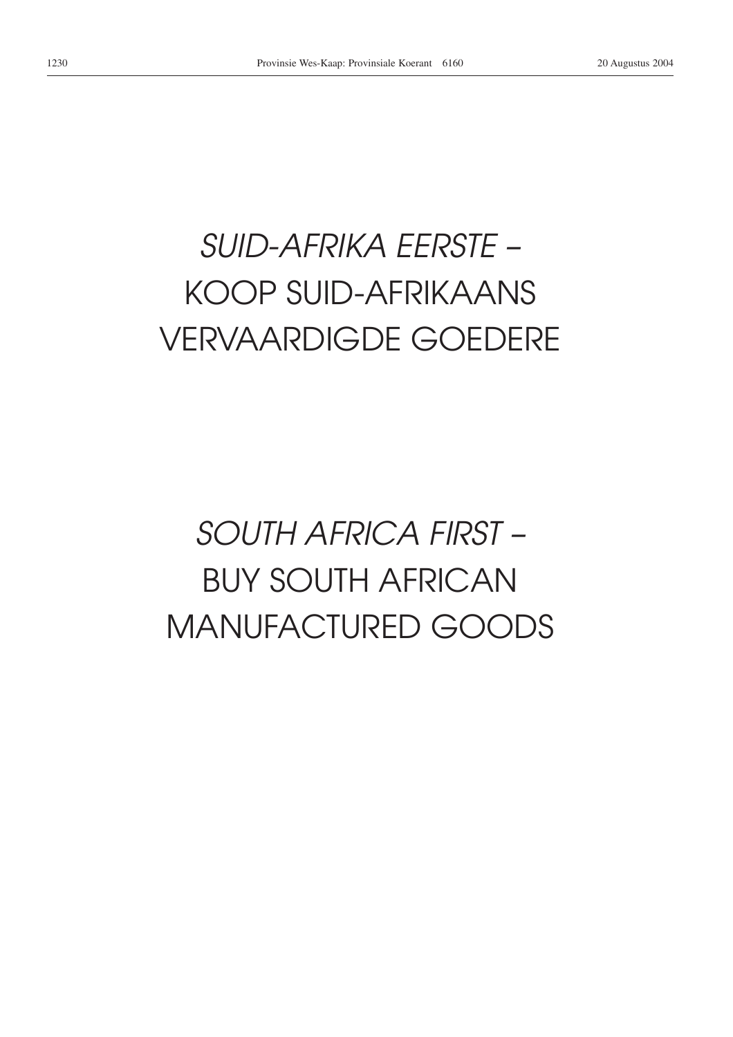# *SUID-AFRIKA EERSTE –* KOOP SUID-AFRIKAANS VERVAARDIGDE GOEDERE

# *SOUTH AFRICA FIRST –* BUY SOUTH AFRICAN MANUFACTURED GOODS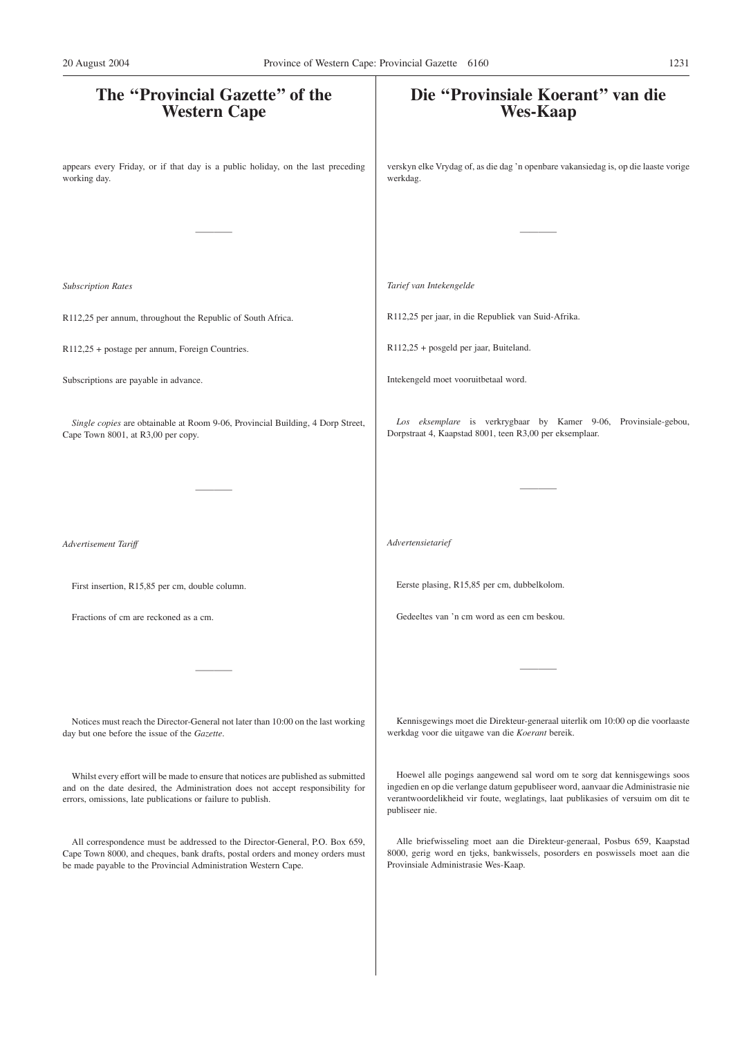| The "Provincial Gazette" of the<br><b>Western Cape</b>                                                                                                                                                                              | Die "Provinsiale Koerant" van die<br><b>Wes-Kaap</b>                                                                                                                                                                                                                |
|-------------------------------------------------------------------------------------------------------------------------------------------------------------------------------------------------------------------------------------|---------------------------------------------------------------------------------------------------------------------------------------------------------------------------------------------------------------------------------------------------------------------|
| appears every Friday, or if that day is a public holiday, on the last preceding<br>working day.                                                                                                                                     | verskyn elke Vrydag of, as die dag 'n openbare vakansiedag is, op die laaste vorige<br>werkdag.                                                                                                                                                                     |
|                                                                                                                                                                                                                                     |                                                                                                                                                                                                                                                                     |
| <b>Subscription Rates</b>                                                                                                                                                                                                           | Tarief van Intekengelde                                                                                                                                                                                                                                             |
| R112,25 per annum, throughout the Republic of South Africa.                                                                                                                                                                         | R112,25 per jaar, in die Republiek van Suid-Afrika.                                                                                                                                                                                                                 |
| R112,25 + postage per annum, Foreign Countries.                                                                                                                                                                                     | R112,25 + posgeld per jaar, Buiteland.                                                                                                                                                                                                                              |
| Subscriptions are payable in advance.                                                                                                                                                                                               | Intekengeld moet vooruitbetaal word.                                                                                                                                                                                                                                |
| Single copies are obtainable at Room 9-06, Provincial Building, 4 Dorp Street,<br>Cape Town 8001, at R3,00 per copy.                                                                                                                | Los eksemplare is verkrygbaar by Kamer 9-06, Provinsiale-gebou,<br>Dorpstraat 4, Kaapstad 8001, teen R3,00 per eksemplaar.                                                                                                                                          |
|                                                                                                                                                                                                                                     |                                                                                                                                                                                                                                                                     |
| Advertisement Tariff                                                                                                                                                                                                                | Advertensietarief                                                                                                                                                                                                                                                   |
| First insertion, R15,85 per cm, double column.                                                                                                                                                                                      | Eerste plasing, R15,85 per cm, dubbelkolom.                                                                                                                                                                                                                         |
| Fractions of cm are reckoned as a cm.                                                                                                                                                                                               | Gedeeltes van 'n cm word as een cm beskou.                                                                                                                                                                                                                          |
|                                                                                                                                                                                                                                     |                                                                                                                                                                                                                                                                     |
| Notices must reach the Director-General not later than 10:00 on the last working<br>day but one before the issue of the Gazette.                                                                                                    | Kennisgewings moet die Direkteur-generaal uiterlik om 10:00 op die voorlaaste<br>werkdag voor die uitgawe van die Koerant bereik.                                                                                                                                   |
| Whilst every effort will be made to ensure that notices are published as submitted<br>and on the date desired, the Administration does not accept responsibility for<br>errors, omissions, late publications or failure to publish. | Hoewel alle pogings aangewend sal word om te sorg dat kennisgewings soos<br>ingedien en op die verlange datum gepubliseer word, aanvaar die Administrasie nie<br>verantwoordelikheid vir foute, weglatings, laat publikasies of versuim om dit te<br>publiseer nie. |
| All correspondence must be addressed to the Director-General, P.O. Box 659,<br>Cape Town 8000, and cheques, bank drafts, postal orders and money orders must<br>be made payable to the Provincial Administration Western Cape.      | Alle briefwisseling moet aan die Direkteur-generaal, Posbus 659, Kaapstad<br>8000, gerig word en tjeks, bankwissels, posorders en poswissels moet aan die<br>Provinsiale Administrasie Wes-Kaap.                                                                    |
|                                                                                                                                                                                                                                     |                                                                                                                                                                                                                                                                     |
|                                                                                                                                                                                                                                     |                                                                                                                                                                                                                                                                     |